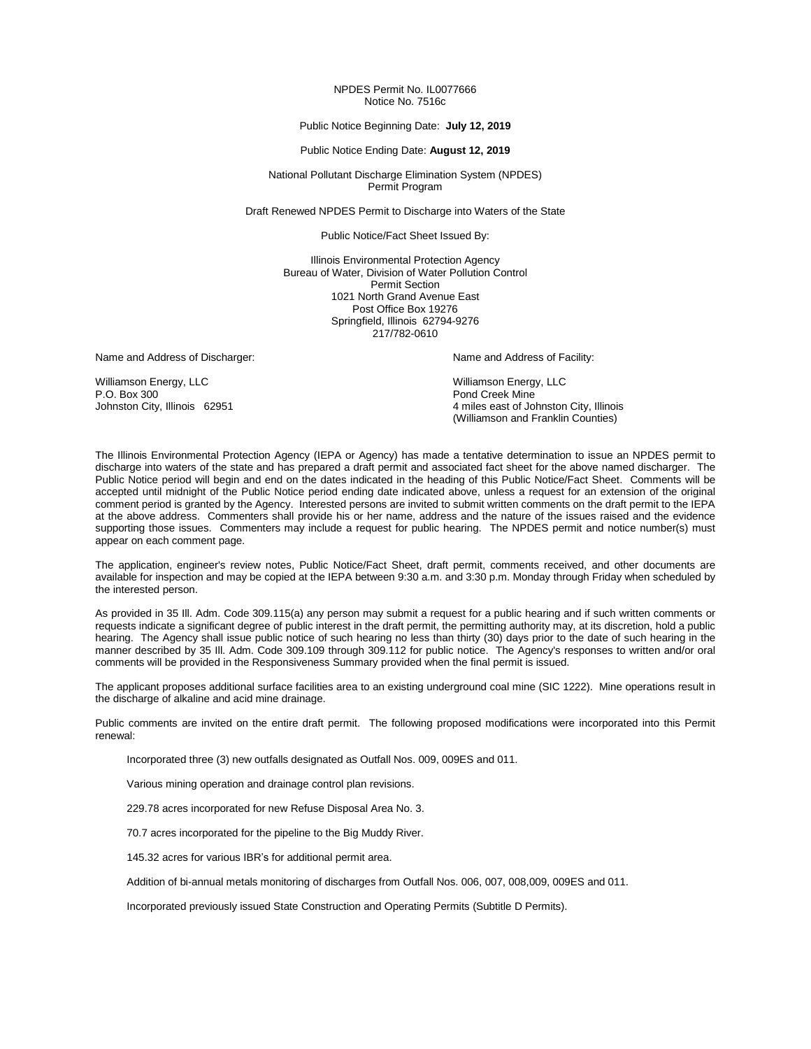#### NPDES Permit No. IL0077666 Notice No. 7516c

#### Public Notice Beginning Date: **July 12, 2019**

#### Public Notice Ending Date: **August 12, 2019**

National Pollutant Discharge Elimination System (NPDES) Permit Program

Draft Renewed NPDES Permit to Discharge into Waters of the State

Public Notice/Fact Sheet Issued By:

Illinois Environmental Protection Agency Bureau of Water, Division of Water Pollution Control Permit Section 1021 North Grand Avenue East Post Office Box 19276 Springfield, Illinois 62794-9276 217/782-0610

Name and Address of Discharger: Name and Address of Facility: Name and Address of Facility:

Williamson Energy, LLC Williamson Energy, LLC P.O. Box 300 Pond Creek Mine<br>
Johnston City, Illinois 62951 Pond Creek Mine<br>
2011 Pond Creek Mine Seast of Jo

4 miles east of Johnston City, Illinois (Williamson and Franklin Counties)

The Illinois Environmental Protection Agency (IEPA or Agency) has made a tentative determination to issue an NPDES permit to discharge into waters of the state and has prepared a draft permit and associated fact sheet for the above named discharger. The Public Notice period will begin and end on the dates indicated in the heading of this Public Notice/Fact Sheet. Comments will be accepted until midnight of the Public Notice period ending date indicated above, unless a request for an extension of the original comment period is granted by the Agency. Interested persons are invited to submit written comments on the draft permit to the IEPA at the above address. Commenters shall provide his or her name, address and the nature of the issues raised and the evidence supporting those issues. Commenters may include a request for public hearing. The NPDES permit and notice number(s) must appear on each comment page.

The application, engineer's review notes, Public Notice/Fact Sheet, draft permit, comments received, and other documents are available for inspection and may be copied at the IEPA between 9:30 a.m. and 3:30 p.m. Monday through Friday when scheduled by the interested person.

As provided in 35 Ill. Adm. Code 309.115(a) any person may submit a request for a public hearing and if such written comments or requests indicate a significant degree of public interest in the draft permit, the permitting authority may, at its discretion, hold a public hearing. The Agency shall issue public notice of such hearing no less than thirty (30) days prior to the date of such hearing in the manner described by 35 Ill. Adm. Code 309.109 through 309.112 for public notice. The Agency's responses to written and/or oral comments will be provided in the Responsiveness Summary provided when the final permit is issued.

The applicant proposes additional surface facilities area to an existing underground coal mine (SIC 1222). Mine operations result in the discharge of alkaline and acid mine drainage.

Public comments are invited on the entire draft permit. The following proposed modifications were incorporated into this Permit renewal:

Incorporated three (3) new outfalls designated as Outfall Nos. 009, 009ES and 011.

Various mining operation and drainage control plan revisions.

229.78 acres incorporated for new Refuse Disposal Area No. 3.

70.7 acres incorporated for the pipeline to the Big Muddy River.

145.32 acres for various IBR's for additional permit area.

Addition of bi-annual metals monitoring of discharges from Outfall Nos. 006, 007, 008,009, 009ES and 011.

Incorporated previously issued State Construction and Operating Permits (Subtitle D Permits).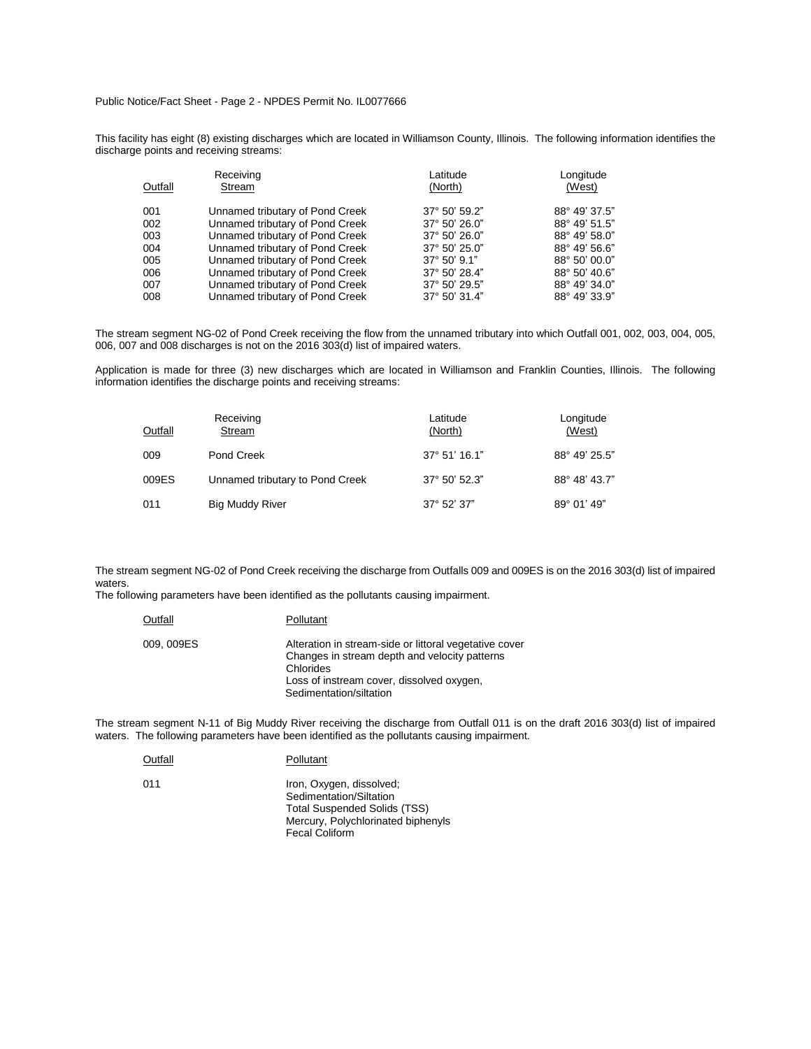Public Notice/Fact Sheet - Page 2 - NPDES Permit No. IL0077666

This facility has eight (8) existing discharges which are located in Williamson County, Illinois. The following information identifies the discharge points and receiving streams:

|         | Receiving                       | Latitude              | Longitude     |  |  |
|---------|---------------------------------|-----------------------|---------------|--|--|
| Outfall | Stream                          | (North)               | (West)        |  |  |
| 001     | Unnamed tributary of Pond Creek | 37° 50' 59.2"         | 88° 49' 37.5" |  |  |
| 002     | Unnamed tributary of Pond Creek | 37° 50' 26.0"         | 88° 49' 51.5" |  |  |
| 003     | Unnamed tributary of Pond Creek | 37° 50' 26.0"         | 88° 49' 58.0" |  |  |
| 004     | Unnamed tributary of Pond Creek | 37° 50' 25.0"         | 88° 49' 56.6" |  |  |
| 005     | Unnamed tributary of Pond Creek | $37^{\circ}$ 50' 9.1" | 88° 50' 00.0" |  |  |
| 006     | Unnamed tributary of Pond Creek | 37° 50' 28.4"         | 88° 50' 40.6" |  |  |
| 007     | Unnamed tributary of Pond Creek | 37° 50' 29.5"         | 88° 49' 34.0" |  |  |
| 008     | Unnamed tributary of Pond Creek | 37° 50' 31.4"         | 88° 49' 33.9" |  |  |

The stream segment NG-02 of Pond Creek receiving the flow from the unnamed tributary into which Outfall 001, 002, 003, 004, 005, 006, 007 and 008 discharges is not on the 2016 303(d) list of impaired waters.

Application is made for three (3) new discharges which are located in Williamson and Franklin Counties, Illinois. The following information identifies the discharge points and receiving streams:

| Outfall | Receiving<br>Stream             | Latitude<br>(North) | Longitude<br>(West) |
|---------|---------------------------------|---------------------|---------------------|
| 009     | Pond Creek                      | 37° 51' 16.1"       | 88° 49' 25.5"       |
| 009ES   | Unnamed tributary to Pond Creek | 37° 50' 52.3"       | 88° 48' 43.7"       |
| 011     | <b>Big Muddy River</b>          | 37° 52' 37"         | 89° 01' 49"         |

The stream segment NG-02 of Pond Creek receiving the discharge from Outfalls 009 and 009ES is on the 2016 303(d) list of impaired waters.

The following parameters have been identified as the pollutants causing impairment.

| Outfall    | Pollutant                                                                                                                                                                                    |
|------------|----------------------------------------------------------------------------------------------------------------------------------------------------------------------------------------------|
| 009, 009ES | Alteration in stream-side or littoral vegetative cover<br>Changes in stream depth and velocity patterns<br>Chlorides<br>Loss of instream cover, dissolved oxygen,<br>Sedimentation/siltation |

The stream segment N-11 of Big Muddy River receiving the discharge from Outfall 011 is on the draft 2016 303(d) list of impaired waters. The following parameters have been identified as the pollutants causing impairment.

| Outfall | Pollutant                                                                                                                                                 |
|---------|-----------------------------------------------------------------------------------------------------------------------------------------------------------|
| 011     | Iron, Oxygen, dissolved;<br>Sedimentation/Siltation<br><b>Total Suspended Solids (TSS)</b><br>Mercury, Polychlorinated biphenyls<br><b>Fecal Coliform</b> |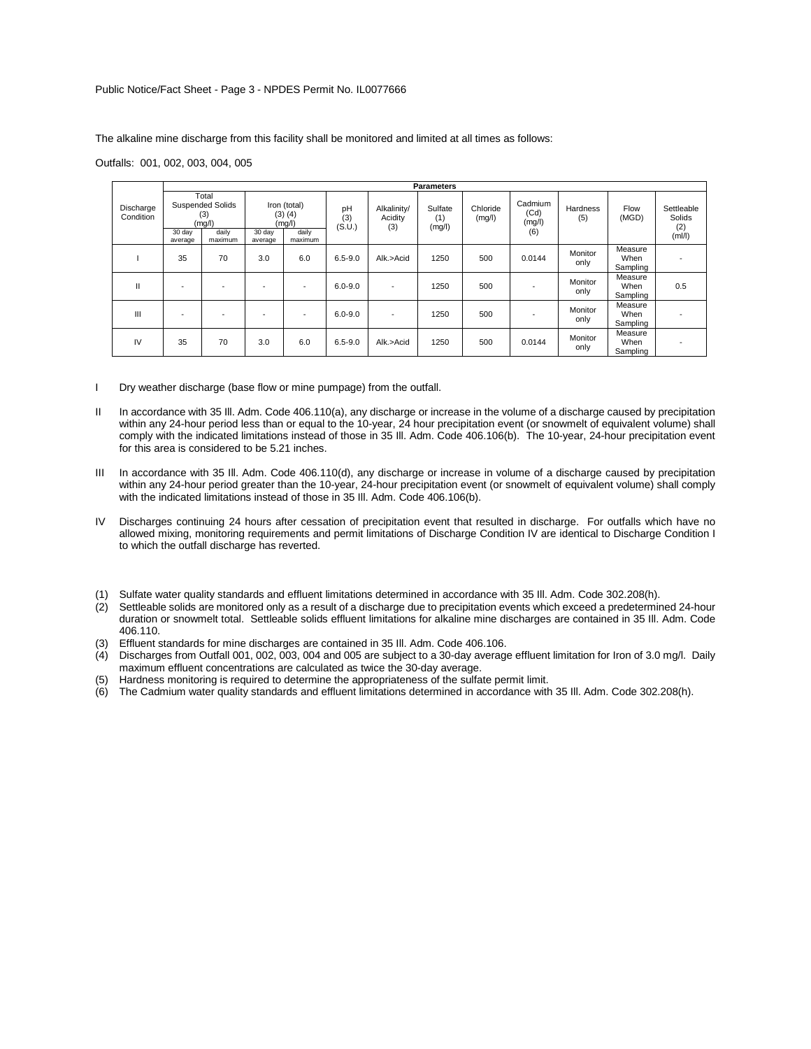Public Notice/Fact Sheet - Page 3 - NPDES Permit No. IL0077666

The alkaline mine discharge from this facility shall be monitored and limited at all times as follows:

Outfalls: 001, 002, 003, 004, 005

|                        |                                                                                            |    |                                                                                |     |                     |                               | <b>Parameters</b>        |                    |                                  |                 |                             |                                       |
|------------------------|--------------------------------------------------------------------------------------------|----|--------------------------------------------------------------------------------|-----|---------------------|-------------------------------|--------------------------|--------------------|----------------------------------|-----------------|-----------------------------|---------------------------------------|
| Discharge<br>Condition | Total<br><b>Suspended Solids</b><br>(3)<br>(mg/l)<br>daily<br>30 day<br>maximum<br>average |    | Iron (total)<br>$(3)$ $(4)$<br>(mg/l)<br>30 day<br>daily<br>maximum<br>average |     | pH<br>(3)<br>(S.U.) | Alkalinity/<br>Acidity<br>(3) | Sulfate<br>(1)<br>(mg/l) | Chloride<br>(mg/l) | Cadmium<br>(Cd)<br>(mg/l)<br>(6) | Hardness<br>(5) | Flow<br>(MGD)               | Settleable<br>Solids<br>(2)<br>(mI/I) |
|                        | 35                                                                                         | 70 | 3.0                                                                            | 6.0 | $6.5 - 9.0$         | Alk.>Acid                     | 1250                     | 500                | 0.0144                           | Monitor<br>only | Measure<br>When<br>Sampling |                                       |
| $\mathbf{II}$          |                                                                                            |    | -                                                                              |     | $6.0 - 9.0$         | $\overline{\phantom{a}}$      | 1250                     | 500                |                                  | Monitor<br>only | Measure<br>When<br>Sampling | 0.5                                   |
| Ш                      |                                                                                            |    | -                                                                              |     | $6.0 - 9.0$         | -                             | 1250                     | 500                |                                  | Monitor<br>only | Measure<br>When<br>Sampling |                                       |
| IV                     | 35                                                                                         | 70 | 3.0                                                                            | 6.0 | $6.5 - 9.0$         | Alk.>Acid                     | 1250                     | 500                | 0.0144                           | Monitor<br>only | Measure<br>When<br>Sampling |                                       |

I Dry weather discharge (base flow or mine pumpage) from the outfall.

- II In accordance with 35 III. Adm. Code 406.110(a), any discharge or increase in the volume of a discharge caused by precipitation within any 24-hour period less than or equal to the 10-year, 24 hour precipitation event (or snowmelt of equivalent volume) shall comply with the indicated limitations instead of those in 35 Ill. Adm. Code 406.106(b). The 10-year, 24-hour precipitation event for this area is considered to be 5.21 inches.
- III In accordance with 35 III. Adm. Code 406.110(d), any discharge or increase in volume of a discharge caused by precipitation within any 24-hour period greater than the 10-year, 24-hour precipitation event (or snowmelt of equivalent volume) shall comply with the indicated limitations instead of those in 35 Ill. Adm. Code 406.106(b).
- IV Discharges continuing 24 hours after cessation of precipitation event that resulted in discharge. For outfalls which have no allowed mixing, monitoring requirements and permit limitations of Discharge Condition IV are identical to Discharge Condition I to which the outfall discharge has reverted.
- (1) Sulfate water quality standards and effluent limitations determined in accordance with 35 Ill. Adm. Code 302.208(h).
- (2) Settleable solids are monitored only as a result of a discharge due to precipitation events which exceed a predetermined 24-hour duration or snowmelt total. Settleable solids effluent limitations for alkaline mine discharges are contained in 35 Ill. Adm. Code 406.110.
- (3) Effluent standards for mine discharges are contained in 35 Ill. Adm. Code 406.106.
- (4) Discharges from Outfall 001, 002, 003, 004 and 005 are subject to a 30-day average effluent limitation for Iron of 3.0 mg/l. Daily maximum effluent concentrations are calculated as twice the 30-day average.
- (5) Hardness monitoring is required to determine the appropriateness of the sulfate permit limit.
- (6) The Cadmium water quality standards and effluent limitations determined in accordance with 35 Ill. Adm. Code 302.208(h).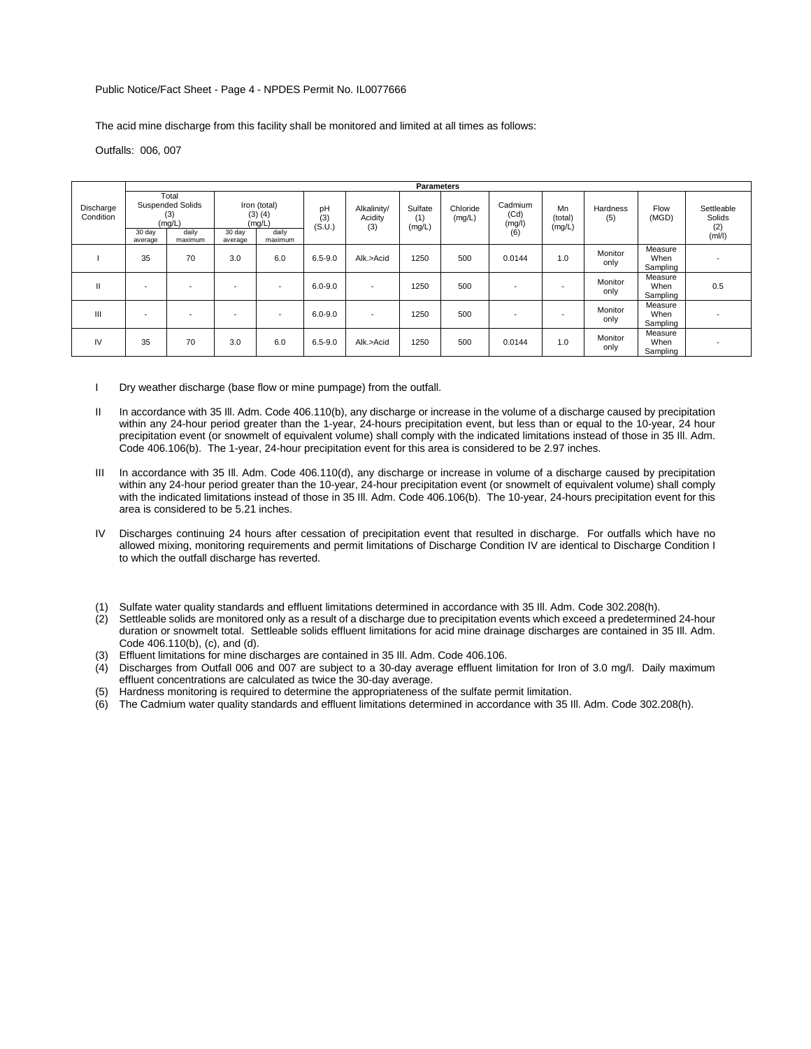#### Public Notice/Fact Sheet - Page 4 - NPDES Permit No. IL0077666

The acid mine discharge from this facility shall be monitored and limited at all times as follows:

Outfalls: 006, 007

|                        |                                                                                            |                          |                                                                                |                          |                     |                               | <b>Parameters</b>        |                    |                                  |                         |                 |                             |                                       |
|------------------------|--------------------------------------------------------------------------------------------|--------------------------|--------------------------------------------------------------------------------|--------------------------|---------------------|-------------------------------|--------------------------|--------------------|----------------------------------|-------------------------|-----------------|-----------------------------|---------------------------------------|
| Discharge<br>Condition | Total<br><b>Suspended Solids</b><br>(3)<br>(mg/L)<br>daily<br>30 day<br>maximum<br>average |                          | Iron (total)<br>$(3)$ $(4)$<br>(mg/L)<br>daily<br>30 day<br>maximum<br>average |                          | pH<br>(3)<br>(S.U.) | Alkalinity/<br>Acidity<br>(3) | Sulfate<br>(1)<br>(mg/L) | Chloride<br>(mg/L) | Cadmium<br>(Cd)<br>(mg/l)<br>(6) | Mn<br>(total)<br>(mg/L) | Hardness<br>(5) | Flow<br>(MGD)               | Settleable<br>Solids<br>(2)<br>(mI/I) |
|                        | 35                                                                                         | 70                       | 3.0                                                                            | 6.0                      | $6.5 - 9.0$         | Alk.>Acid                     | 1250                     | 500                | 0.0144                           | 1.0                     | Monitor<br>only | Measure<br>When<br>Sampling |                                       |
| Ш                      |                                                                                            | $\overline{\phantom{0}}$ |                                                                                | $\overline{\phantom{0}}$ | $6.0 - 9.0$         | $\overline{\phantom{a}}$      | 1250                     | 500                | $\overline{\phantom{a}}$         |                         | Monitor<br>only | Measure<br>When<br>Sampling | 0.5                                   |
| Ш                      |                                                                                            | $\overline{\phantom{0}}$ |                                                                                |                          | $6.0 - 9.0$         | $\overline{\phantom{0}}$      | 1250                     | 500                |                                  |                         | Monitor<br>only | Measure<br>When<br>Sampling |                                       |
| IV                     | 35                                                                                         | 70                       | 3.0                                                                            | 6.0                      | $6.5 - 9.0$         | Alk.>Acid                     | 1250                     | 500                | 0.0144                           | 1.0                     | Monitor<br>only | Measure<br>When<br>Sampling |                                       |

I Dry weather discharge (base flow or mine pumpage) from the outfall.

- II In accordance with 35 III. Adm. Code 406.110(b), any discharge or increase in the volume of a discharge caused by precipitation within any 24-hour period greater than the 1-year, 24-hours precipitation event, but less than or equal to the 10-year, 24 hour precipitation event (or snowmelt of equivalent volume) shall comply with the indicated limitations instead of those in 35 Ill. Adm. Code 406.106(b). The 1-year, 24-hour precipitation event for this area is considered to be 2.97 inches.
- III In accordance with 35 III. Adm. Code 406.110(d), any discharge or increase in volume of a discharge caused by precipitation within any 24-hour period greater than the 10-year, 24-hour precipitation event (or snowmelt of equivalent volume) shall comply with the indicated limitations instead of those in 35 Ill. Adm. Code 406.106(b). The 10-year, 24-hours precipitation event for this area is considered to be 5.21 inches.
- IV Discharges continuing 24 hours after cessation of precipitation event that resulted in discharge. For outfalls which have no allowed mixing, monitoring requirements and permit limitations of Discharge Condition IV are identical to Discharge Condition I to which the outfall discharge has reverted.
- (1) Sulfate water quality standards and effluent limitations determined in accordance with 35 Ill. Adm. Code 302.208(h).
- (2) Settleable solids are monitored only as a result of a discharge due to precipitation events which exceed a predetermined 24-hour duration or snowmelt total. Settleable solids effluent limitations for acid mine drainage discharges are contained in 35 Ill. Adm. Code 406.110(b), (c), and (d).
- (3) Effluent limitations for mine discharges are contained in 35 Ill. Adm. Code 406.106.
- (4) Discharges from Outfall 006 and 007 are subject to a 30-day average effluent limitation for Iron of 3.0 mg/l. Daily maximum effluent concentrations are calculated as twice the 30-day average.
- (5) Hardness monitoring is required to determine the appropriateness of the sulfate permit limitation.
- (6) The Cadmium water quality standards and effluent limitations determined in accordance with 35 Ill. Adm. Code 302.208(h).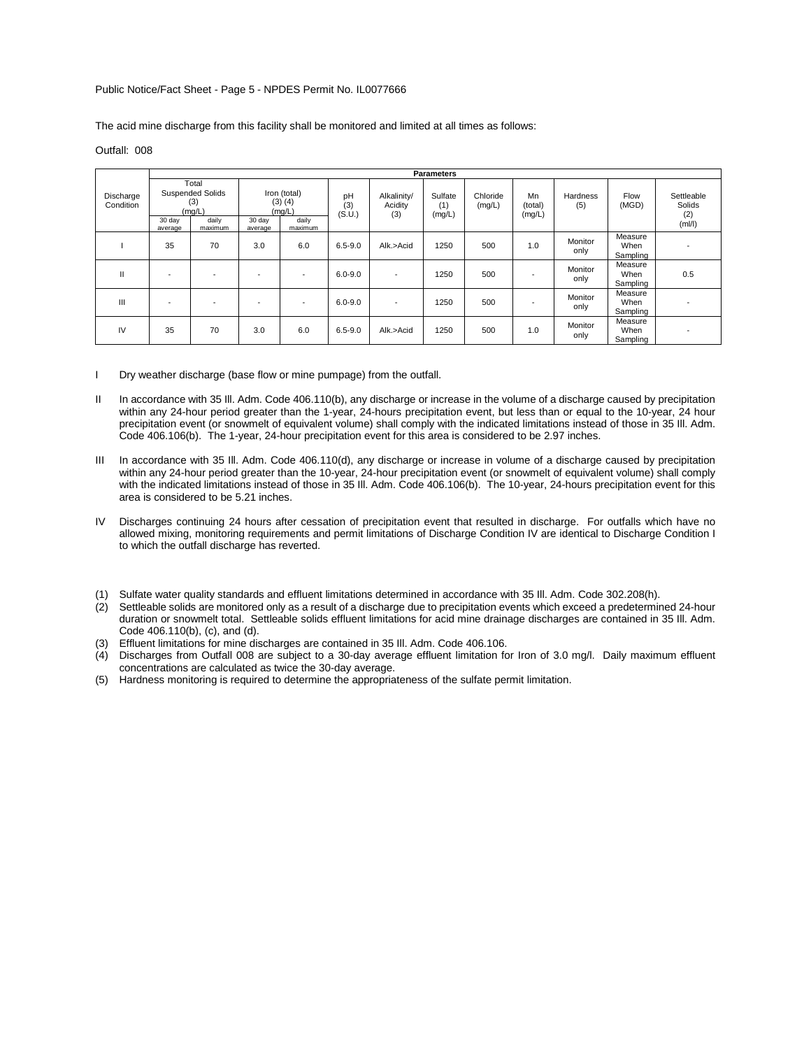# Public Notice/Fact Sheet - Page 5 - NPDES Permit No. IL0077666

The acid mine discharge from this facility shall be monitored and limited at all times as follows:

# Outfall: 008

|                        |                                                                                            |    |                                                                                |                          |                     |                               | <b>Parameters</b>        |                    |                         |                 |                             |                                       |
|------------------------|--------------------------------------------------------------------------------------------|----|--------------------------------------------------------------------------------|--------------------------|---------------------|-------------------------------|--------------------------|--------------------|-------------------------|-----------------|-----------------------------|---------------------------------------|
| Discharge<br>Condition | Total<br><b>Suspended Solids</b><br>(3)<br>(mg/L)<br>30 day<br>daily<br>maximum<br>average |    | Iron (total)<br>$(3)$ $(4)$<br>(mg/L)<br>30 day<br>daily<br>maximum<br>average |                          | pH<br>(3)<br>(S.U.) | Alkalinity/<br>Acidity<br>(3) | Sulfate<br>(1)<br>(mg/L) | Chloride<br>(mg/L) | Mn<br>(total)<br>(mg/L) | Hardness<br>(5) | Flow<br>(MGD)               | Settleable<br>Solids<br>(2)<br>(mI/I) |
|                        | 35                                                                                         | 70 | 3.0                                                                            | 6.0                      | $6.5 - 9.0$         | Alk.>Acid                     | 1250                     | 500                | 1.0                     | Monitor<br>only | Measure<br>When<br>Sampling |                                       |
| $\mathbf{H}$           |                                                                                            |    | $\overline{\phantom{0}}$                                                       |                          | $6.0 - 9.0$         |                               | 1250                     | 500                |                         | Monitor<br>only | Measure<br>When<br>Sampling | 0.5                                   |
| Ш                      | $\overline{\phantom{a}}$                                                                   | -  | ۰                                                                              | $\overline{\phantom{a}}$ | $6.0 - 9.0$         |                               | 1250                     | 500                |                         | Monitor<br>only | Measure<br>When<br>Sampling |                                       |
| IV                     | 35                                                                                         | 70 | 3.0                                                                            | 6.0                      | $6.5 - 9.0$         | Alk.>Acid                     | 1250                     | 500                | 1.0                     | Monitor<br>only | Measure<br>When<br>Sampling |                                       |

I Dry weather discharge (base flow or mine pumpage) from the outfall.

- II In accordance with 35 III. Adm. Code 406.110(b), any discharge or increase in the volume of a discharge caused by precipitation within any 24-hour period greater than the 1-year, 24-hours precipitation event, but less than or equal to the 10-year, 24 hour precipitation event (or snowmelt of equivalent volume) shall comply with the indicated limitations instead of those in 35 Ill. Adm. Code 406.106(b). The 1-year, 24-hour precipitation event for this area is considered to be 2.97 inches.
- III In accordance with 35 III. Adm. Code 406.110(d), any discharge or increase in volume of a discharge caused by precipitation within any 24-hour period greater than the 10-year, 24-hour precipitation event (or snowmelt of equivalent volume) shall comply with the indicated limitations instead of those in 35 Ill. Adm. Code 406.106(b). The 10-year, 24-hours precipitation event for this area is considered to be 5.21 inches.
- IV Discharges continuing 24 hours after cessation of precipitation event that resulted in discharge. For outfalls which have no allowed mixing, monitoring requirements and permit limitations of Discharge Condition IV are identical to Discharge Condition I to which the outfall discharge has reverted.
- (1) Sulfate water quality standards and effluent limitations determined in accordance with 35 Ill. Adm. Code 302.208(h).
- (2) Settleable solids are monitored only as a result of a discharge due to precipitation events which exceed a predetermined 24-hour duration or snowmelt total. Settleable solids effluent limitations for acid mine drainage discharges are contained in 35 Ill. Adm. Code 406.110(b), (c), and (d).
- (3) Effluent limitations for mine discharges are contained in 35 Ill. Adm. Code 406.106.
- (4) Discharges from Outfall 008 are subject to a 30-day average effluent limitation for Iron of 3.0 mg/l. Daily maximum effluent concentrations are calculated as twice the 30-day average.
- (5) Hardness monitoring is required to determine the appropriateness of the sulfate permit limitation.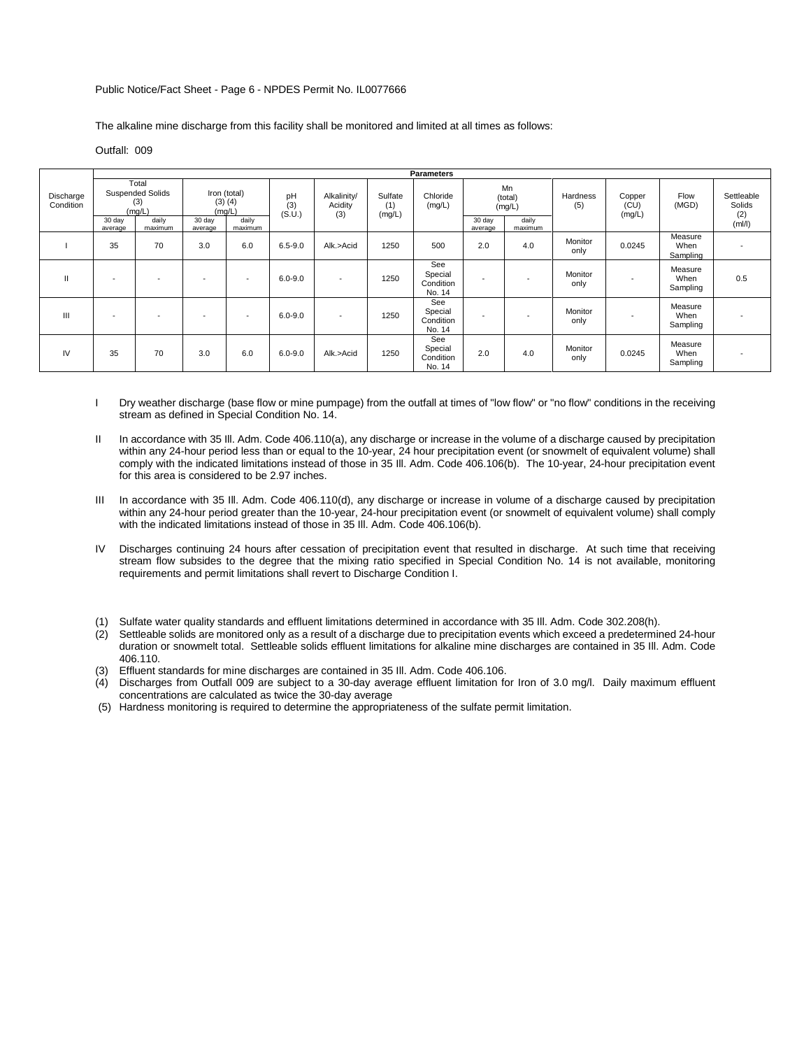#### Public Notice/Fact Sheet - Page 6 - NPDES Permit No. IL0077666

The alkaline mine discharge from this facility shall be monitored and limited at all times as follows:

## Outfall: 009

|                        |                                                                                            |                          |                   |                                                           |                     |                               |                          | <b>Parameters</b>                     |                   |                                             |                 |                          |                             |                                         |
|------------------------|--------------------------------------------------------------------------------------------|--------------------------|-------------------|-----------------------------------------------------------|---------------------|-------------------------------|--------------------------|---------------------------------------|-------------------|---------------------------------------------|-----------------|--------------------------|-----------------------------|-----------------------------------------|
| Discharge<br>Condition | Total<br><b>Suspended Solids</b><br>(3)<br>(mq/L)<br>30 day<br>daily<br>maximum<br>average |                          | 30 day<br>average | Iron (total)<br>$(3)$ $(4)$<br>(mq/L)<br>daily<br>maximum | pH<br>(3)<br>(S.U.) | Alkalinity/<br>Acidity<br>(3) | Sulfate<br>(1)<br>(mg/L) | Chloride<br>(mg/L)                    | 30 day<br>average | Mn<br>(total)<br>(mg/L)<br>daily<br>maximum | Hardness<br>(5) | Copper<br>(CU)<br>(mg/L) | Flow<br>(MGD)               | Settleable<br>Solids<br>$(2)$<br>(ml/l) |
|                        | 35                                                                                         | 70                       | 3.0               | 6.0                                                       | $6.5 - 9.0$         | Alk.>Acid                     | 1250                     | 500                                   | 2.0               | 4.0                                         | Monitor<br>only | 0.0245                   | Measure<br>When<br>Sampling |                                         |
| $\mathbf{H}$           | $\overline{\phantom{a}}$                                                                   | $\overline{\phantom{a}}$ |                   |                                                           | $6.0 - 9.0$         | $\overline{\phantom{a}}$      | 1250                     | See<br>Special<br>Condition<br>No. 14 | ٠                 | $\overline{\phantom{a}}$                    | Monitor<br>only |                          | Measure<br>When<br>Sampling | 0.5                                     |
| III                    | $\overline{\phantom{a}}$                                                                   | $\overline{\phantom{a}}$ |                   |                                                           | $6.0 - 9.0$         | $\overline{\phantom{a}}$      | 1250                     | See<br>Special<br>Condition<br>No. 14 |                   | $\overline{\phantom{a}}$                    | Monitor<br>only |                          | Measure<br>When<br>Sampling |                                         |
| IV                     | 35                                                                                         | 70                       | 3.0               | 6.0                                                       | $6.0 - 9.0$         | Alk.>Acid                     | 1250                     | See<br>Special<br>Condition<br>No. 14 | 2.0               | 4.0                                         | Monitor<br>only | 0.0245                   | Measure<br>When<br>Sampling |                                         |

I Dry weather discharge (base flow or mine pumpage) from the outfall at times of "low flow" or "no flow" conditions in the receiving stream as defined in Special Condition No. 14.

- II In accordance with 35 III. Adm. Code 406.110(a), any discharge or increase in the volume of a discharge caused by precipitation within any 24-hour period less than or equal to the 10-year, 24 hour precipitation event (or snowmelt of equivalent volume) shall comply with the indicated limitations instead of those in 35 Ill. Adm. Code 406.106(b). The 10-year, 24-hour precipitation event for this area is considered to be 2.97 inches.
- III In accordance with 35 Ill. Adm. Code 406.110(d), any discharge or increase in volume of a discharge caused by precipitation within any 24-hour period greater than the 10-year, 24-hour precipitation event (or snowmelt of equivalent volume) shall comply with the indicated limitations instead of those in 35 Ill. Adm. Code 406.106(b).
- IV Discharges continuing 24 hours after cessation of precipitation event that resulted in discharge. At such time that receiving stream flow subsides to the degree that the mixing ratio specified in Special Condition No. 14 is not available, monitoring requirements and permit limitations shall revert to Discharge Condition I.
- (1) Sulfate water quality standards and effluent limitations determined in accordance with 35 Ill. Adm. Code 302.208(h).
- (2) Settleable solids are monitored only as a result of a discharge due to precipitation events which exceed a predetermined 24-hour duration or snowmelt total. Settleable solids effluent limitations for alkaline mine discharges are contained in 35 Ill. Adm. Code 406.110.
- (3) Effluent standards for mine discharges are contained in 35 Ill. Adm. Code 406.106.
- (4) Discharges from Outfall 009 are subject to a 30-day average effluent limitation for Iron of 3.0 mg/l. Daily maximum effluent concentrations are calculated as twice the 30-day average
- (5) Hardness monitoring is required to determine the appropriateness of the sulfate permit limitation.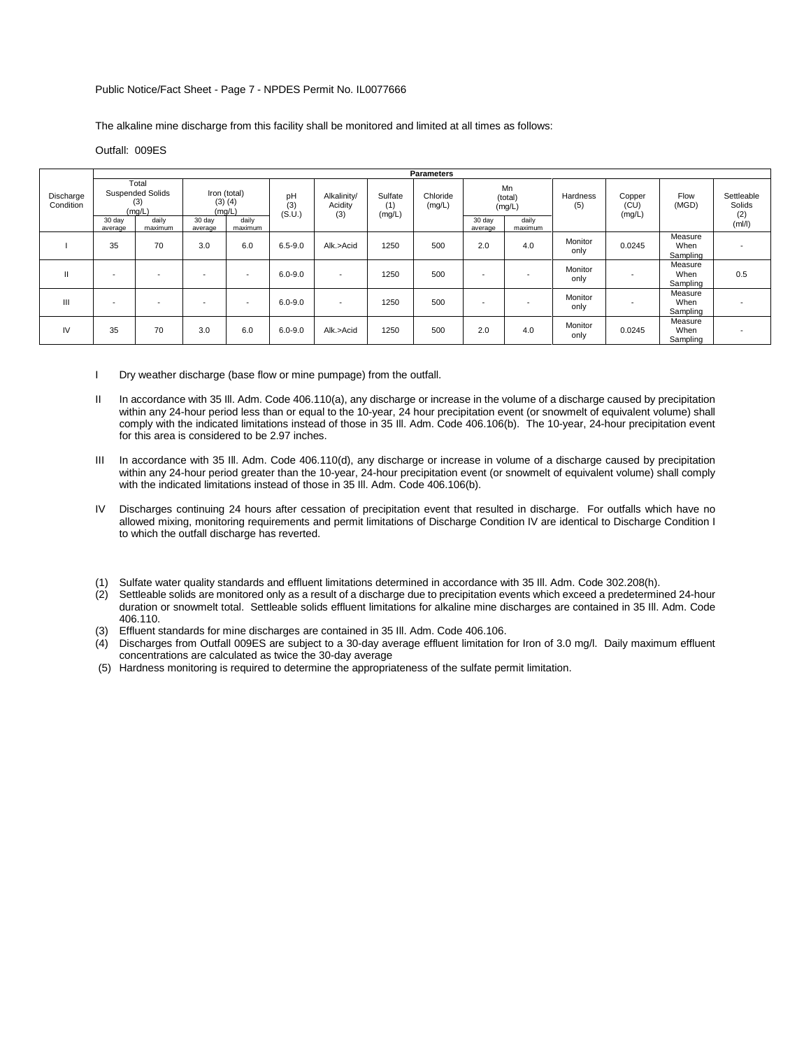#### Public Notice/Fact Sheet - Page 7 - NPDES Permit No. IL0077666

The alkaline mine discharge from this facility shall be monitored and limited at all times as follows:

# Outfall: 009ES

|                        | <b>Parameters</b>                                 |                          |                                       |                          |                     |                               |                          |                    |                          |                         |                 |        |                             |                             |
|------------------------|---------------------------------------------------|--------------------------|---------------------------------------|--------------------------|---------------------|-------------------------------|--------------------------|--------------------|--------------------------|-------------------------|-----------------|--------|-----------------------------|-----------------------------|
| Discharge<br>Condition | Total<br><b>Suspended Solids</b><br>(3)<br>(mg/L) |                          | Iron (total)<br>$(3)$ $(4)$<br>(mg/L) |                          | pH<br>(3)<br>(S.U.) | Alkalinity/<br>Acidity<br>(3) | Sulfate<br>(1)<br>(mg/L) | Chloride<br>(mg/L) |                          | Mn<br>(total)<br>(mg/L) | Hardness<br>(5) |        | Flow<br>(MGD)               | Settleable<br>Solids<br>(2) |
|                        | 30 day<br>average                                 | daily<br>maximum         | 30 day<br>average                     | daily<br>maximum         |                     |                               |                          |                    | 30 day<br>average        | daily<br>maximum        |                 | (mg/L) |                             | (mI/l)                      |
|                        | 35                                                | 70                       | 3.0                                   | 6.0                      | $6.5 - 9.0$         | Alk.>Acid                     | 1250                     | 500                | 2.0                      | 4.0                     | Monitor<br>only | 0.0245 | Measure<br>When<br>Sampling |                             |
| $\mathbf{H}$           |                                                   | $\overline{\phantom{a}}$ | $\overline{\phantom{0}}$              | $\overline{\phantom{a}}$ | $6.0 - 9.0$         | $\overline{\phantom{0}}$      | 1250                     | 500                | $\overline{\phantom{a}}$ |                         | Monitor<br>only |        | Measure<br>When<br>Sampling | 0.5                         |
| Ш                      | -                                                 | $\overline{\phantom{a}}$ |                                       | $\overline{\phantom{a}}$ | $6.0 - 9.0$         | $\overline{\phantom{0}}$      | 1250                     | 500                | $\overline{\phantom{a}}$ |                         | Monitor<br>only |        | Measure<br>When<br>Sampling |                             |
| IV                     | 35                                                | 70                       | 3.0                                   | 6.0                      | $6.0 - 9.0$         | Alk.>Acid                     | 1250                     | 500                | 2.0                      | 4.0                     | Monitor<br>only | 0.0245 | Measure<br>When<br>Sampling |                             |

- I Dry weather discharge (base flow or mine pumpage) from the outfall.
- II In accordance with 35 III. Adm. Code 406.110(a), any discharge or increase in the volume of a discharge caused by precipitation within any 24-hour period less than or equal to the 10-year, 24 hour precipitation event (or snowmelt of equivalent volume) shall comply with the indicated limitations instead of those in 35 Ill. Adm. Code 406.106(b). The 10-year, 24-hour precipitation event for this area is considered to be 2.97 inches.
- III In accordance with 35 III. Adm. Code 406.110(d), any discharge or increase in volume of a discharge caused by precipitation within any 24-hour period greater than the 10-year, 24-hour precipitation event (or snowmelt of equivalent volume) shall comply with the indicated limitations instead of those in 35 Ill. Adm. Code 406.106(b).
- IV Discharges continuing 24 hours after cessation of precipitation event that resulted in discharge. For outfalls which have no allowed mixing, monitoring requirements and permit limitations of Discharge Condition IV are identical to Discharge Condition I to which the outfall discharge has reverted.
- (1) Sulfate water quality standards and effluent limitations determined in accordance with 35 Ill. Adm. Code 302.208(h).
- (2) Settleable solids are monitored only as a result of a discharge due to precipitation events which exceed a predetermined 24-hour duration or snowmelt total. Settleable solids effluent limitations for alkaline mine discharges are contained in 35 Ill. Adm. Code 406.110.
- (3) Effluent standards for mine discharges are contained in 35 Ill. Adm. Code 406.106.
- (4) Discharges from Outfall 009ES are subject to a 30-day average effluent limitation for Iron of 3.0 mg/l. Daily maximum effluent concentrations are calculated as twice the 30-day average
- (5) Hardness monitoring is required to determine the appropriateness of the sulfate permit limitation.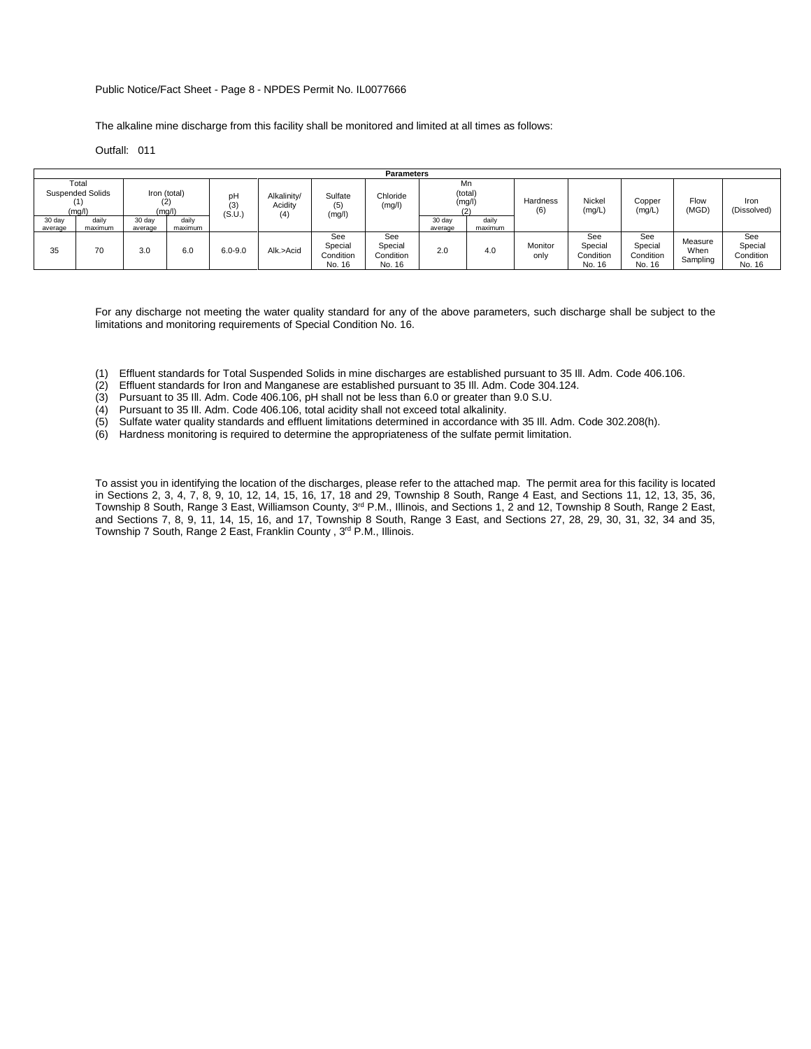# Public Notice/Fact Sheet - Page 8 - NPDES Permit No. IL0077666

The alkaline mine discharge from this facility shall be monitored and limited at all times as follows:

Outfall: 011

|                   |                                            |                   |                               |                     |                        |                                       | <b>Parameters</b>                     |                   |                         |                 |                                       |                                       |                             |                                       |  |
|-------------------|--------------------------------------------|-------------------|-------------------------------|---------------------|------------------------|---------------------------------------|---------------------------------------|-------------------|-------------------------|-----------------|---------------------------------------|---------------------------------------|-----------------------------|---------------------------------------|--|
|                   | Total<br><b>Suspended Solids</b><br>(mg/l) |                   | Iron (total)<br>(2)<br>(mg/l) | рH<br>(3)<br>(S.U.) | Alkalinity/<br>Acidity | Sulfate<br>(5)<br>(mg/l)              | Chloride<br>(mg/l)                    |                   | Mn<br>(total)<br>(mg/l) | Hardness<br>(6) | Nickel<br>(mg/L)                      | Copper<br>(mg/L)                      | Flow<br>(MGD)               | Iron<br>(Dissolved)                   |  |
| 30 day<br>average | daily<br>maximum                           | 30 day<br>average | daily<br>maximum              |                     | (4)                    |                                       |                                       | 30 day<br>average | daily<br>maximum        |                 |                                       |                                       |                             |                                       |  |
| 35                | 70                                         | 3.0               | 6.0                           | $6.0 - 9.0$         | Alk.>Acid              | See<br>Special<br>Condition<br>No. 16 | See<br>Special<br>Condition<br>No. 16 | 2.0               | 4.0                     | Monitor<br>only | See<br>Special<br>Condition<br>No. 16 | See<br>Special<br>Condition<br>No. 16 | Measure<br>When<br>Sampling | See<br>Special<br>Condition<br>No. 16 |  |

For any discharge not meeting the water quality standard for any of the above parameters, such discharge shall be subject to the limitations and monitoring requirements of Special Condition No. 16.

- (1) Effluent standards for Total Suspended Solids in mine discharges are established pursuant to 35 Ill. Adm. Code 406.106.
- (2) Effluent standards for Iron and Manganese are established pursuant to 35 Ill. Adm. Code 304.124.
- (3) Pursuant to 35 Ill. Adm. Code 406.106, pH shall not be less than 6.0 or greater than 9.0 S.U.
- (4) Pursuant to 35 Ill. Adm. Code 406.106, total acidity shall not exceed total alkalinity.
- (5) Sulfate water quality standards and effluent limitations determined in accordance with 35 Ill. Adm. Code 302.208(h).
- (6) Hardness monitoring is required to determine the appropriateness of the sulfate permit limitation.

To assist you in identifying the location of the discharges, please refer to the attached map. The permit area for this facility is located in Sections 2, 3, 4, 7, 8, 9, 10, 12, 14, 15, 16, 17, 18 and 29, Township 8 South, Range 4 East, and Sections 11, 12, 13, 35, 36, Township 8 South, Range 3 East, Williamson County, 3<sup>rd</sup> P.M., Illinois, and Sections 1, 2 and 12, Township 8 South, Range 2 East, and Sections 7, 8, 9, 11, 14, 15, 16, and 17, Township 8 South, Range 3 East, and Sections 27, 28, 29, 30, 31, 32, 34 and 35, Township 7 South, Range 2 East, Franklin County, 3<sup>rd</sup> P.M., Illinois.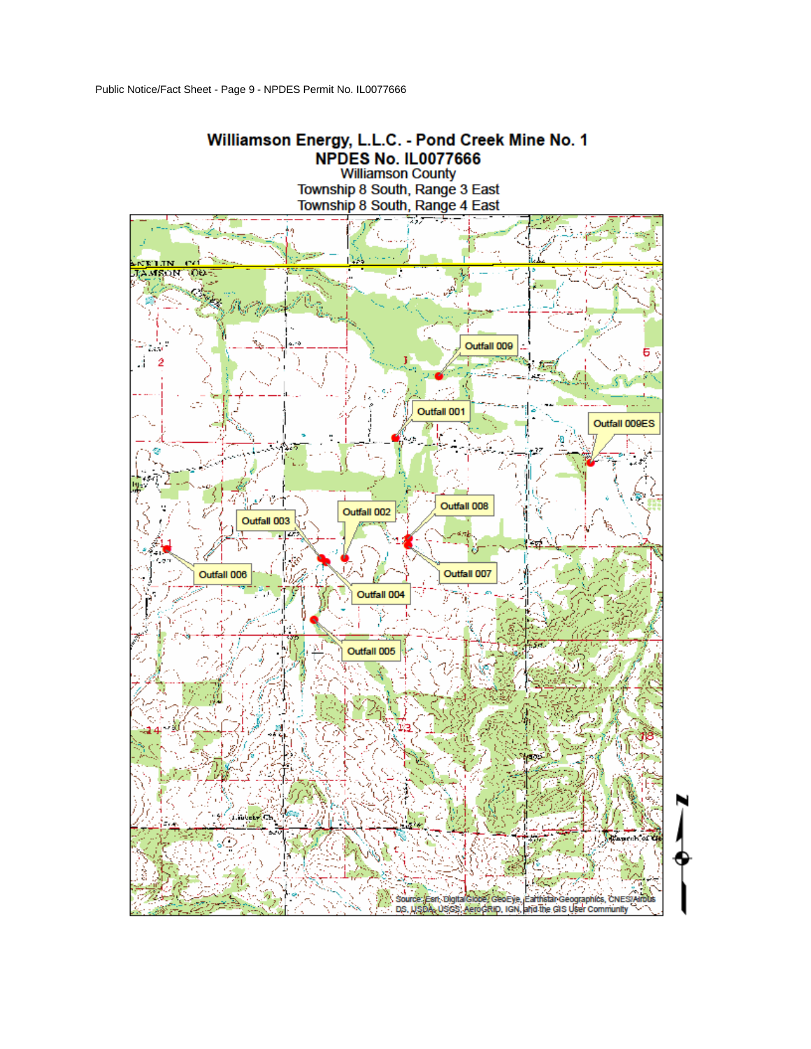

**Williamson County** Township 8 South, Range 3 East Township 8 South, Range 4 East

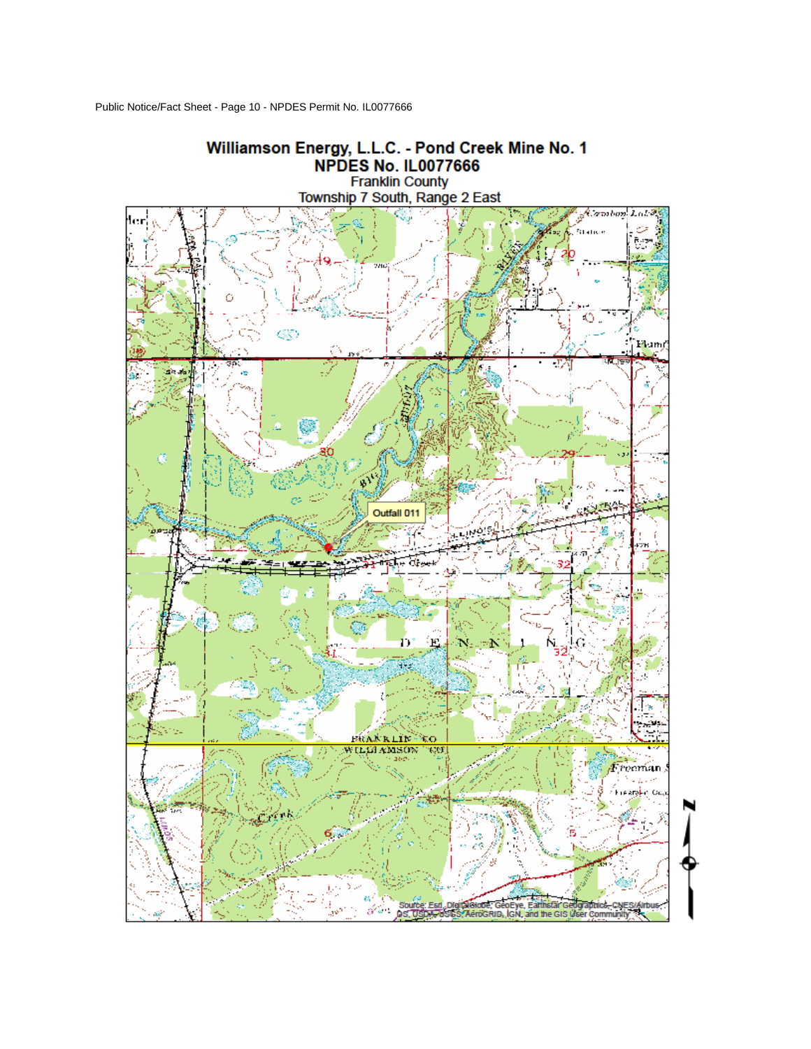Public Notice/Fact Sheet - Page 10 - NPDES Permit No. IL0077666

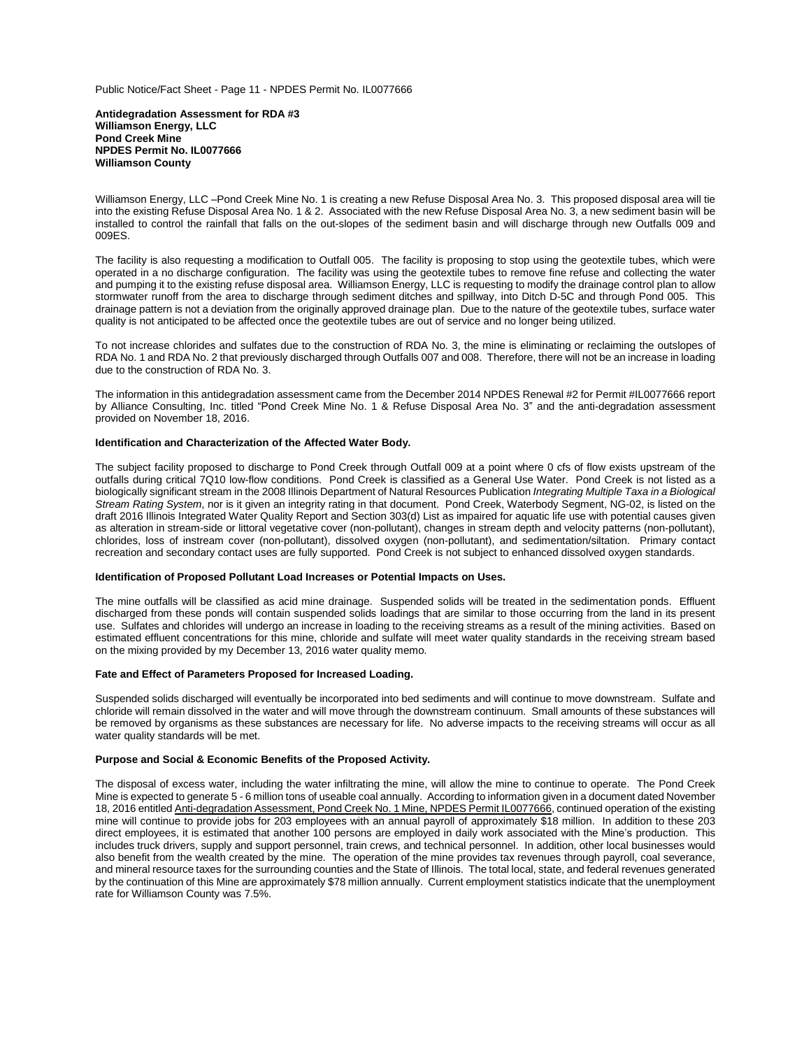Public Notice/Fact Sheet - Page 11 - NPDES Permit No. IL0077666

**Antidegradation Assessment for RDA #3 Williamson Energy, LLC Pond Creek Mine NPDES Permit No. IL0077666 Williamson County**

Williamson Energy, LLC –Pond Creek Mine No. 1 is creating a new Refuse Disposal Area No. 3. This proposed disposal area will tie into the existing Refuse Disposal Area No. 1 & 2. Associated with the new Refuse Disposal Area No. 3, a new sediment basin will be installed to control the rainfall that falls on the out-slopes of the sediment basin and will discharge through new Outfalls 009 and 009ES.

The facility is also requesting a modification to Outfall 005. The facility is proposing to stop using the geotextile tubes, which were operated in a no discharge configuration. The facility was using the geotextile tubes to remove fine refuse and collecting the water and pumping it to the existing refuse disposal area. Williamson Energy, LLC is requesting to modify the drainage control plan to allow stormwater runoff from the area to discharge through sediment ditches and spillway, into Ditch D-5C and through Pond 005. This drainage pattern is not a deviation from the originally approved drainage plan. Due to the nature of the geotextile tubes, surface water quality is not anticipated to be affected once the geotextile tubes are out of service and no longer being utilized.

To not increase chlorides and sulfates due to the construction of RDA No. 3, the mine is eliminating or reclaiming the outslopes of RDA No. 1 and RDA No. 2 that previously discharged through Outfalls 007 and 008. Therefore, there will not be an increase in loading due to the construction of RDA No. 3.

The information in this antidegradation assessment came from the December 2014 NPDES Renewal #2 for Permit #IL0077666 report by Alliance Consulting, Inc. titled "Pond Creek Mine No. 1 & Refuse Disposal Area No. 3" and the anti-degradation assessment provided on November 18, 2016.

# **Identification and Characterization of the Affected Water Body.**

The subject facility proposed to discharge to Pond Creek through Outfall 009 at a point where 0 cfs of flow exists upstream of the outfalls during critical 7Q10 low-flow conditions.Pond Creek is classified as a General Use Water. Pond Creek is not listed as a biologically significant stream in the 2008 Illinois Department of Natural Resources Publication *Integrating Multiple Taxa in a Biological Stream Rating System*, nor is it given an integrity rating in that document. Pond Creek, Waterbody Segment, NG-02, is listed on the draft 2016 Illinois Integrated Water Quality Report and Section 303(d) List as impaired for aquatic life use with potential causes given as alteration in stream-side or littoral vegetative cover (non-pollutant), changes in stream depth and velocity patterns (non-pollutant), chlorides, loss of instream cover (non-pollutant), dissolved oxygen (non-pollutant), and sedimentation/siltation. Primary contact recreation and secondary contact uses are fully supported. Pond Creek is not subject to enhanced dissolved oxygen standards.

#### **Identification of Proposed Pollutant Load Increases or Potential Impacts on Uses.**

The mine outfalls will be classified as acid mine drainage. Suspended solids will be treated in the sedimentation ponds. Effluent discharged from these ponds will contain suspended solids loadings that are similar to those occurring from the land in its present use. Sulfates and chlorides will undergo an increase in loading to the receiving streams as a result of the mining activities. Based on estimated effluent concentrations for this mine, chloride and sulfate will meet water quality standards in the receiving stream based on the mixing provided by my December 13, 2016 water quality memo.

# **Fate and Effect of Parameters Proposed for Increased Loading.**

Suspended solids discharged will eventually be incorporated into bed sediments and will continue to move downstream. Sulfate and chloride will remain dissolved in the water and will move through the downstream continuum. Small amounts of these substances will be removed by organisms as these substances are necessary for life. No adverse impacts to the receiving streams will occur as all water quality standards will be met.

# **Purpose and Social & Economic Benefits of the Proposed Activity.**

The disposal of excess water, including the water infiltrating the mine, will allow the mine to continue to operate. The Pond Creek Mine is expected to generate 5 - 6 million tons of useable coal annually. According to information given in a document dated November 18, 2016 entitled Anti-degradation Assessment, Pond Creek No. 1 Mine, NPDES Permit IL0077666, continued operation of the existing mine will continue to provide jobs for 203 employees with an annual payroll of approximately \$18 million. In addition to these 203 direct employees, it is estimated that another 100 persons are employed in daily work associated with the Mine's production. This includes truck drivers, supply and support personnel, train crews, and technical personnel. In addition, other local businesses would also benefit from the wealth created by the mine. The operation of the mine provides tax revenues through payroll, coal severance, and mineral resource taxes for the surrounding counties and the State of Illinois. The total local, state, and federal revenues generated by the continuation of this Mine are approximately \$78 million annually. Current employment statistics indicate that the unemployment rate for Williamson County was 7.5%.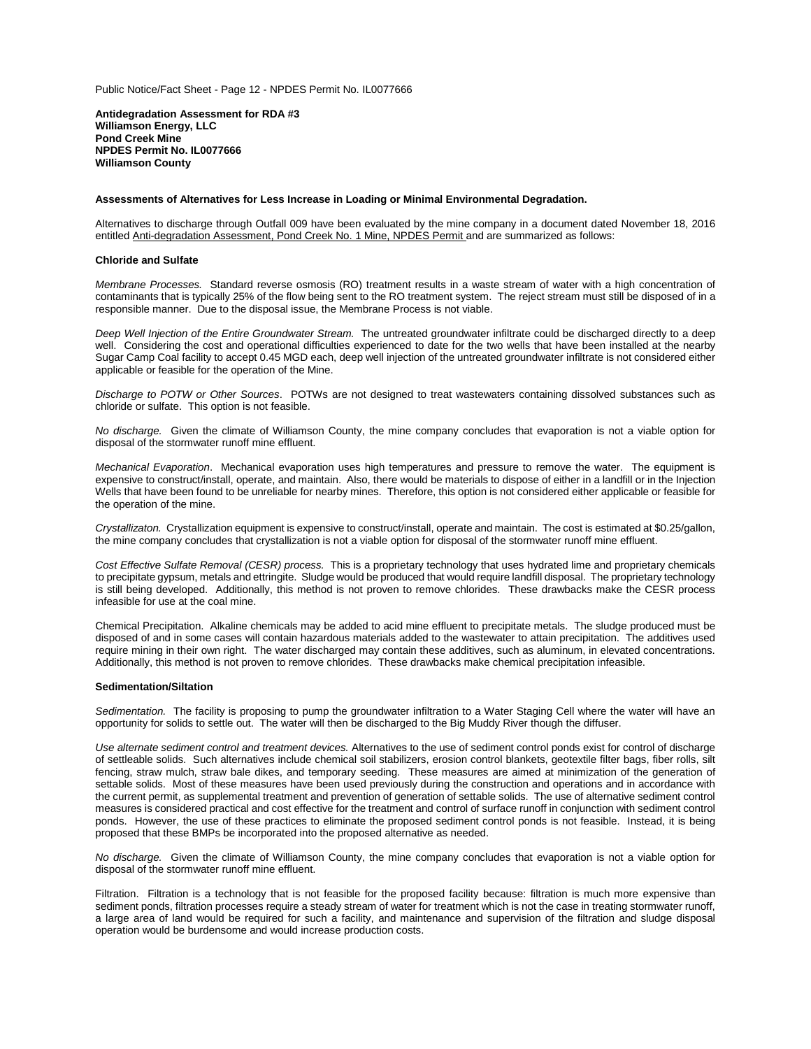Public Notice/Fact Sheet - Page 12 - NPDES Permit No. IL0077666

**Antidegradation Assessment for RDA #3 Williamson Energy, LLC Pond Creek Mine NPDES Permit No. IL0077666 Williamson County**

#### **Assessments of Alternatives for Less Increase in Loading or Minimal Environmental Degradation.**

Alternatives to discharge through Outfall 009 have been evaluated by the mine company in a document dated November 18, 2016 entitled Anti-degradation Assessment, Pond Creek No. 1 Mine, NPDES Permit and are summarized as follows:

# **Chloride and Sulfate**

*Membrane Processes.* Standard reverse osmosis (RO) treatment results in a waste stream of water with a high concentration of contaminants that is typically 25% of the flow being sent to the RO treatment system. The reject stream must still be disposed of in a responsible manner. Due to the disposal issue, the Membrane Process is not viable.

*Deep Well Injection of the Entire Groundwater Stream.* The untreated groundwater infiltrate could be discharged directly to a deep well. Considering the cost and operational difficulties experienced to date for the two wells that have been installed at the nearby Sugar Camp Coal facility to accept 0.45 MGD each, deep well injection of the untreated groundwater infiltrate is not considered either applicable or feasible for the operation of the Mine.

*Discharge to POTW or Other Sources*. POTWs are not designed to treat wastewaters containing dissolved substances such as chloride or sulfate. This option is not feasible.

*No discharge.* Given the climate of Williamson County, the mine company concludes that evaporation is not a viable option for disposal of the stormwater runoff mine effluent.

*Mechanical Evaporation*. Mechanical evaporation uses high temperatures and pressure to remove the water. The equipment is expensive to construct/install, operate, and maintain. Also, there would be materials to dispose of either in a landfill or in the Injection Wells that have been found to be unreliable for nearby mines. Therefore, this option is not considered either applicable or feasible for the operation of the mine.

*Crystallizaton.* Crystallization equipment is expensive to construct/install, operate and maintain. The cost is estimated at \$0.25/gallon, the mine company concludes that crystallization is not a viable option for disposal of the stormwater runoff mine effluent.

*Cost Effective Sulfate Removal (CESR) process.* This is a proprietary technology that uses hydrated lime and proprietary chemicals to precipitate gypsum, metals and ettringite. Sludge would be produced that would require landfill disposal. The proprietary technology is still being developed. Additionally, this method is not proven to remove chlorides. These drawbacks make the CESR process infeasible for use at the coal mine.

Chemical Precipitation. Alkaline chemicals may be added to acid mine effluent to precipitate metals. The sludge produced must be disposed of and in some cases will contain hazardous materials added to the wastewater to attain precipitation. The additives used require mining in their own right. The water discharged may contain these additives, such as aluminum, in elevated concentrations. Additionally, this method is not proven to remove chlorides. These drawbacks make chemical precipitation infeasible.

# **Sedimentation/Siltation**

*Sedimentation.* The facility is proposing to pump the groundwater infiltration to a Water Staging Cell where the water will have an opportunity for solids to settle out. The water will then be discharged to the Big Muddy River though the diffuser.

*Use alternate sediment control and treatment devices.* Alternatives to the use of sediment control ponds exist for control of discharge of settleable solids. Such alternatives include chemical soil stabilizers, erosion control blankets, geotextile filter bags, fiber rolls, silt fencing, straw mulch, straw bale dikes, and temporary seeding. These measures are aimed at minimization of the generation of settable solids. Most of these measures have been used previously during the construction and operations and in accordance with the current permit, as supplemental treatment and prevention of generation of settable solids. The use of alternative sediment control measures is considered practical and cost effective for the treatment and control of surface runoff in conjunction with sediment control ponds. However, the use of these practices to eliminate the proposed sediment control ponds is not feasible. Instead, it is being proposed that these BMPs be incorporated into the proposed alternative as needed.

*No discharge.* Given the climate of Williamson County, the mine company concludes that evaporation is not a viable option for disposal of the stormwater runoff mine effluent.

Filtration. Filtration is a technology that is not feasible for the proposed facility because: filtration is much more expensive than sediment ponds, filtration processes require a steady stream of water for treatment which is not the case in treating stormwater runoff, a large area of land would be required for such a facility, and maintenance and supervision of the filtration and sludge disposal operation would be burdensome and would increase production costs.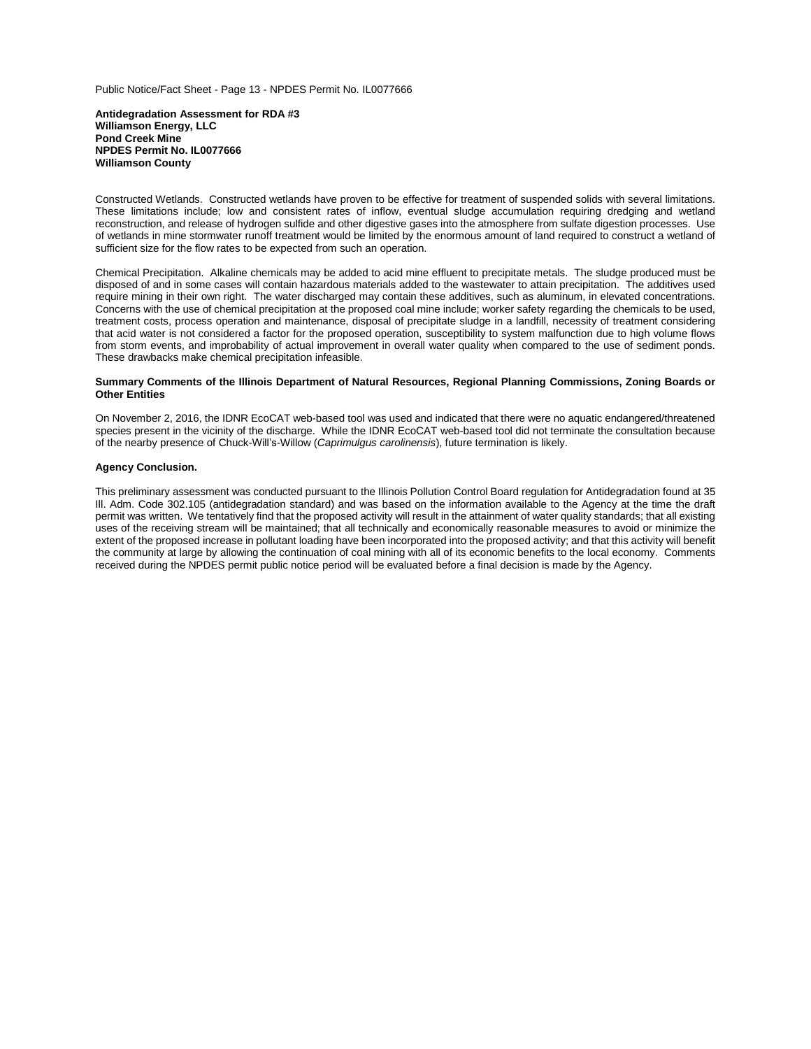Public Notice/Fact Sheet - Page 13 - NPDES Permit No. IL0077666

**Antidegradation Assessment for RDA #3 Williamson Energy, LLC Pond Creek Mine NPDES Permit No. IL0077666 Williamson County**

Constructed Wetlands. Constructed wetlands have proven to be effective for treatment of suspended solids with several limitations. These limitations include; low and consistent rates of inflow, eventual sludge accumulation requiring dredging and wetland reconstruction, and release of hydrogen sulfide and other digestive gases into the atmosphere from sulfate digestion processes. Use of wetlands in mine stormwater runoff treatment would be limited by the enormous amount of land required to construct a wetland of sufficient size for the flow rates to be expected from such an operation.

Chemical Precipitation. Alkaline chemicals may be added to acid mine effluent to precipitate metals. The sludge produced must be disposed of and in some cases will contain hazardous materials added to the wastewater to attain precipitation. The additives used require mining in their own right. The water discharged may contain these additives, such as aluminum, in elevated concentrations. Concerns with the use of chemical precipitation at the proposed coal mine include; worker safety regarding the chemicals to be used, treatment costs, process operation and maintenance, disposal of precipitate sludge in a landfill, necessity of treatment considering that acid water is not considered a factor for the proposed operation, susceptibility to system malfunction due to high volume flows from storm events, and improbability of actual improvement in overall water quality when compared to the use of sediment ponds. These drawbacks make chemical precipitation infeasible.

# **Summary Comments of the Illinois Department of Natural Resources, Regional Planning Commissions, Zoning Boards or Other Entities**

On November 2, 2016, the IDNR EcoCAT web-based tool was used and indicated that there were no aquatic endangered/threatened species present in the vicinity of the discharge. While the IDNR EcoCAT web-based tool did not terminate the consultation because of the nearby presence of Chuck-Will's-Willow (*Caprimulgus carolinensis*), future termination is likely.

# **Agency Conclusion.**

This preliminary assessment was conducted pursuant to the Illinois Pollution Control Board regulation for Antidegradation found at 35 Ill. Adm. Code 302.105 (antidegradation standard) and was based on the information available to the Agency at the time the draft permit was written. We tentatively find that the proposed activity will result in the attainment of water quality standards; that all existing uses of the receiving stream will be maintained; that all technically and economically reasonable measures to avoid or minimize the extent of the proposed increase in pollutant loading have been incorporated into the proposed activity; and that this activity will benefit the community at large by allowing the continuation of coal mining with all of its economic benefits to the local economy. Comments received during the NPDES permit public notice period will be evaluated before a final decision is made by the Agency.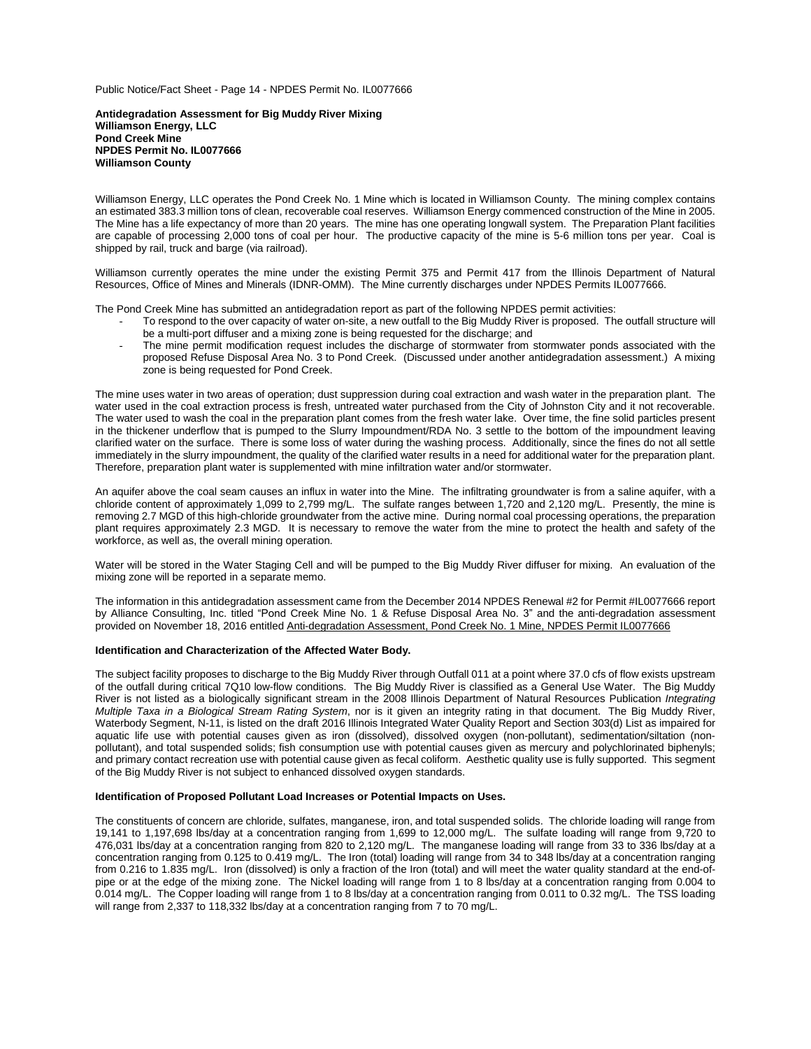Public Notice/Fact Sheet - Page 14 - NPDES Permit No. IL0077666

**Antidegradation Assessment for Big Muddy River Mixing Williamson Energy, LLC Pond Creek Mine NPDES Permit No. IL0077666 Williamson County**

Williamson Energy, LLC operates the Pond Creek No. 1 Mine which is located in Williamson County. The mining complex contains an estimated 383.3 million tons of clean, recoverable coal reserves. Williamson Energy commenced construction of the Mine in 2005. The Mine has a life expectancy of more than 20 years. The mine has one operating longwall system. The Preparation Plant facilities are capable of processing 2,000 tons of coal per hour. The productive capacity of the mine is 5-6 million tons per year. Coal is shipped by rail, truck and barge (via railroad).

Williamson currently operates the mine under the existing Permit 375 and Permit 417 from the Illinois Department of Natural Resources, Office of Mines and Minerals (IDNR-OMM). The Mine currently discharges under NPDES Permits IL0077666.

The Pond Creek Mine has submitted an antidegradation report as part of the following NPDES permit activities:

- To respond to the over capacity of water on-site, a new outfall to the Big Muddy River is proposed. The outfall structure will be a multi-port diffuser and a mixing zone is being requested for the discharge; and
- The mine permit modification request includes the discharge of stormwater from stormwater ponds associated with the proposed Refuse Disposal Area No. 3 to Pond Creek. (Discussed under another antidegradation assessment.) A mixing zone is being requested for Pond Creek.

The mine uses water in two areas of operation; dust suppression during coal extraction and wash water in the preparation plant. The water used in the coal extraction process is fresh, untreated water purchased from the City of Johnston City and it not recoverable. The water used to wash the coal in the preparation plant comes from the fresh water lake. Over time, the fine solid particles present in the thickener underflow that is pumped to the Slurry Impoundment/RDA No. 3 settle to the bottom of the impoundment leaving clarified water on the surface. There is some loss of water during the washing process. Additionally, since the fines do not all settle immediately in the slurry impoundment, the quality of the clarified water results in a need for additional water for the preparation plant. Therefore, preparation plant water is supplemented with mine infiltration water and/or stormwater.

An aquifer above the coal seam causes an influx in water into the Mine.The infiltrating groundwater is from a saline aquifer, with a chloride content of approximately 1,099 to 2,799 mg/L. The sulfate ranges between 1,720 and 2,120 mg/L. Presently, the mine is removing 2.7 MGD of this high-chloride groundwater from the active mine. During normal coal processing operations, the preparation plant requires approximately 2.3 MGD.It is necessary to remove the water from the mine to protect the health and safety of the workforce, as well as, the overall mining operation.

Water will be stored in the Water Staging Cell and will be pumped to the Big Muddy River diffuser for mixing. An evaluation of the mixing zone will be reported in a separate memo.

The information in this antidegradation assessment came from the December 2014 NPDES Renewal #2 for Permit #IL0077666 report by Alliance Consulting, Inc. titled "Pond Creek Mine No. 1 & Refuse Disposal Area No. 3" and the anti-degradation assessment provided on November 18, 2016 entitled Anti-degradation Assessment, Pond Creek No. 1 Mine, NPDES Permit IL0077666

# **Identification and Characterization of the Affected Water Body.**

The subject facility proposes to discharge to the Big Muddy River through Outfall 011 at a point where 37.0 cfs of flow exists upstream of the outfall during critical 7Q10 low-flow conditions. The Big Muddy River is classified as a General Use Water. The Big Muddy River is not listed as a biologically significant stream in the 2008 Illinois Department of Natural Resources Publication *Integrating Multiple Taxa in a Biological Stream Rating System*, nor is it given an integrity rating in that document. The Big Muddy River, Waterbody Segment, N-11, is listed on the draft 2016 Illinois Integrated Water Quality Report and Section 303(d) List as impaired for aquatic life use with potential causes given as iron (dissolved), dissolved oxygen (non-pollutant), sedimentation/siltation (nonpollutant), and total suspended solids; fish consumption use with potential causes given as mercury and polychlorinated biphenyls; and primary contact recreation use with potential cause given as fecal coliform. Aesthetic quality use is fully supported. This segment of the Big Muddy River is not subject to enhanced dissolved oxygen standards.

# **Identification of Proposed Pollutant Load Increases or Potential Impacts on Uses.**

The constituents of concern are chloride, sulfates, manganese, iron, and total suspended solids. The chloride loading will range from 19,141 to 1,197,698 lbs/day at a concentration ranging from 1,699 to 12,000 mg/L. The sulfate loading will range from 9,720 to 476,031 lbs/day at a concentration ranging from 820 to 2,120 mg/L. The manganese loading will range from 33 to 336 lbs/day at a concentration ranging from 0.125 to 0.419 mg/L. The Iron (total) loading will range from 34 to 348 lbs/day at a concentration ranging from 0.216 to 1.835 mg/L. Iron (dissolved) is only a fraction of the Iron (total) and will meet the water quality standard at the end-ofpipe or at the edge of the mixing zone. The Nickel loading will range from 1 to 8 lbs/day at a concentration ranging from 0.004 to 0.014 mg/L. The Copper loading will range from 1 to 8 lbs/day at a concentration ranging from 0.011 to 0.32 mg/L. The TSS loading will range from 2,337 to 118,332 lbs/day at a concentration ranging from 7 to 70 mg/L.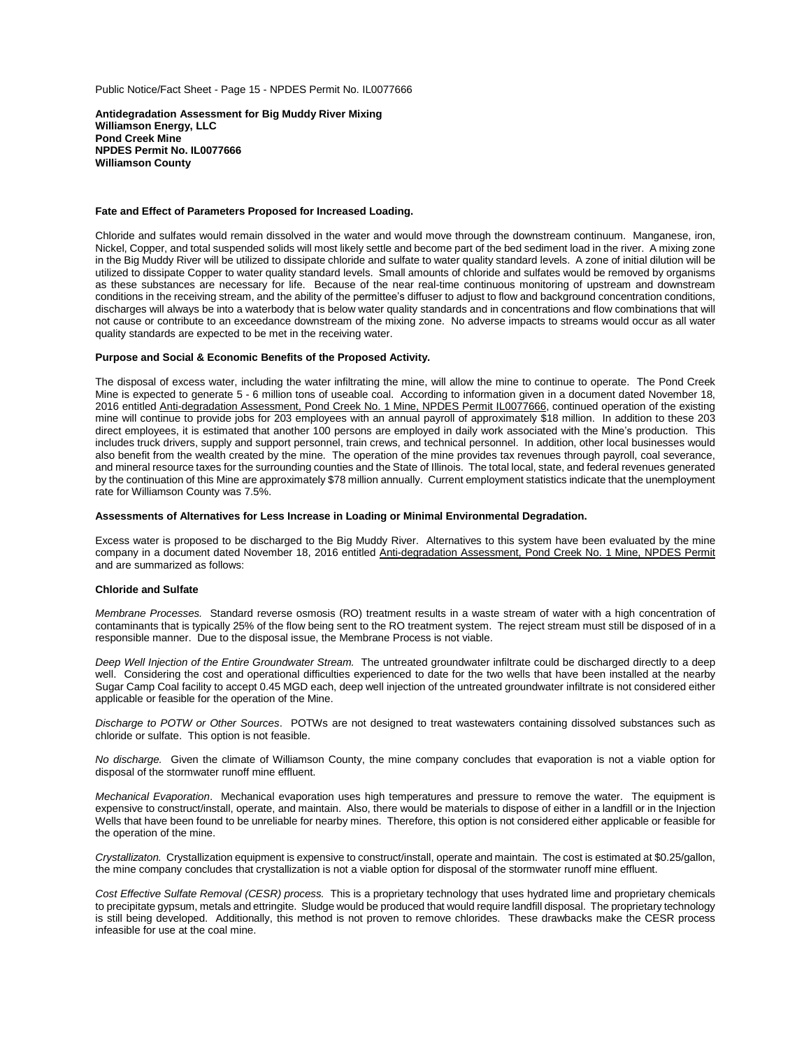Public Notice/Fact Sheet - Page 15 - NPDES Permit No. IL0077666

**Antidegradation Assessment for Big Muddy River Mixing Williamson Energy, LLC Pond Creek Mine NPDES Permit No. IL0077666 Williamson County**

## **Fate and Effect of Parameters Proposed for Increased Loading.**

Chloride and sulfates would remain dissolved in the water and would move through the downstream continuum. Manganese, iron, Nickel, Copper, and total suspended solids will most likely settle and become part of the bed sediment load in the river. A mixing zone in the Big Muddy River will be utilized to dissipate chloride and sulfate to water quality standard levels. A zone of initial dilution will be utilized to dissipate Copper to water quality standard levels. Small amounts of chloride and sulfates would be removed by organisms as these substances are necessary for life. Because of the near real-time continuous monitoring of upstream and downstream conditions in the receiving stream, and the ability of the permittee's diffuser to adjust to flow and background concentration conditions, discharges will always be into a waterbody that is below water quality standards and in concentrations and flow combinations that will not cause or contribute to an exceedance downstream of the mixing zone. No adverse impacts to streams would occur as all water quality standards are expected to be met in the receiving water.

# **Purpose and Social & Economic Benefits of the Proposed Activity.**

The disposal of excess water, including the water infiltrating the mine, will allow the mine to continue to operate. The Pond Creek Mine is expected to generate 5 - 6 million tons of useable coal. According to information given in a document dated November 18, 2016 entitled Anti-degradation Assessment, Pond Creek No. 1 Mine, NPDES Permit IL0077666, continued operation of the existing mine will continue to provide jobs for 203 employees with an annual payroll of approximately \$18 million. In addition to these 203 direct employees, it is estimated that another 100 persons are employed in daily work associated with the Mine's production. This includes truck drivers, supply and support personnel, train crews, and technical personnel. In addition, other local businesses would also benefit from the wealth created by the mine. The operation of the mine provides tax revenues through payroll, coal severance, and mineral resource taxes for the surrounding counties and the State of Illinois. The total local, state, and federal revenues generated by the continuation of this Mine are approximately \$78 million annually. Current employment statistics indicate that the unemployment rate for Williamson County was 7.5%.

# **Assessments of Alternatives for Less Increase in Loading or Minimal Environmental Degradation.**

Excess water is proposed to be discharged to the Big Muddy River. Alternatives to this system have been evaluated by the mine company in a document dated November 18, 2016 entitled Anti-degradation Assessment, Pond Creek No. 1 Mine, NPDES Permit and are summarized as follows:

#### **Chloride and Sulfate**

*Membrane Processes.* Standard reverse osmosis (RO) treatment results in a waste stream of water with a high concentration of contaminants that is typically 25% of the flow being sent to the RO treatment system. The reject stream must still be disposed of in a responsible manner. Due to the disposal issue, the Membrane Process is not viable.

*Deep Well Injection of the Entire Groundwater Stream.* The untreated groundwater infiltrate could be discharged directly to a deep well. Considering the cost and operational difficulties experienced to date for the two wells that have been installed at the nearby Sugar Camp Coal facility to accept 0.45 MGD each, deep well injection of the untreated groundwater infiltrate is not considered either applicable or feasible for the operation of the Mine.

*Discharge to POTW or Other Sources*. POTWs are not designed to treat wastewaters containing dissolved substances such as chloride or sulfate. This option is not feasible.

*No discharge.* Given the climate of Williamson County, the mine company concludes that evaporation is not a viable option for disposal of the stormwater runoff mine effluent.

*Mechanical Evaporation*. Mechanical evaporation uses high temperatures and pressure to remove the water. The equipment is expensive to construct/install, operate, and maintain. Also, there would be materials to dispose of either in a landfill or in the Injection Wells that have been found to be unreliable for nearby mines. Therefore, this option is not considered either applicable or feasible for the operation of the mine.

*Crystallizaton.* Crystallization equipment is expensive to construct/install, operate and maintain. The cost is estimated at \$0.25/gallon, the mine company concludes that crystallization is not a viable option for disposal of the stormwater runoff mine effluent.

*Cost Effective Sulfate Removal (CESR) process.* This is a proprietary technology that uses hydrated lime and proprietary chemicals to precipitate gypsum, metals and ettringite. Sludge would be produced that would require landfill disposal. The proprietary technology is still being developed. Additionally, this method is not proven to remove chlorides. These drawbacks make the CESR process infeasible for use at the coal mine.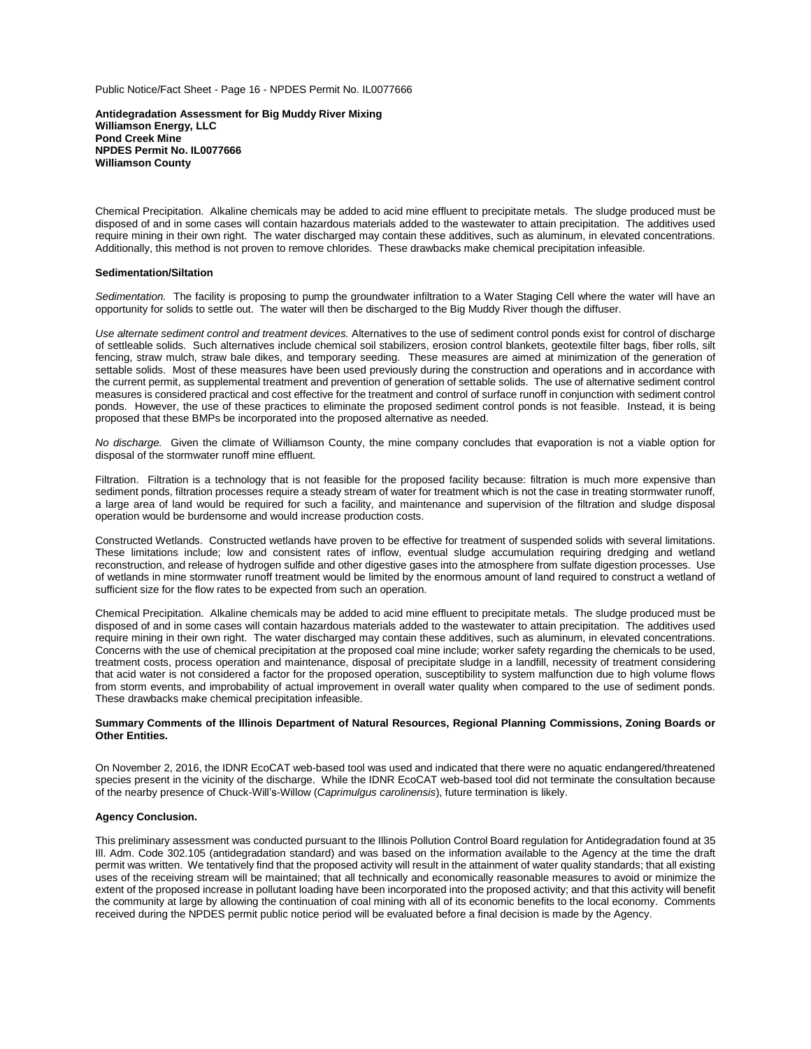Public Notice/Fact Sheet - Page 16 - NPDES Permit No. IL0077666

**Antidegradation Assessment for Big Muddy River Mixing Williamson Energy, LLC Pond Creek Mine NPDES Permit No. IL0077666 Williamson County**

Chemical Precipitation. Alkaline chemicals may be added to acid mine effluent to precipitate metals. The sludge produced must be disposed of and in some cases will contain hazardous materials added to the wastewater to attain precipitation. The additives used require mining in their own right. The water discharged may contain these additives, such as aluminum, in elevated concentrations. Additionally, this method is not proven to remove chlorides. These drawbacks make chemical precipitation infeasible.

#### **Sedimentation/Siltation**

*Sedimentation.* The facility is proposing to pump the groundwater infiltration to a Water Staging Cell where the water will have an opportunity for solids to settle out. The water will then be discharged to the Big Muddy River though the diffuser.

*Use alternate sediment control and treatment devices.* Alternatives to the use of sediment control ponds exist for control of discharge of settleable solids. Such alternatives include chemical soil stabilizers, erosion control blankets, geotextile filter bags, fiber rolls, silt fencing, straw mulch, straw bale dikes, and temporary seeding. These measures are aimed at minimization of the generation of settable solids. Most of these measures have been used previously during the construction and operations and in accordance with the current permit, as supplemental treatment and prevention of generation of settable solids. The use of alternative sediment control measures is considered practical and cost effective for the treatment and control of surface runoff in conjunction with sediment control ponds. However, the use of these practices to eliminate the proposed sediment control ponds is not feasible. Instead, it is being proposed that these BMPs be incorporated into the proposed alternative as needed.

*No discharge.* Given the climate of Williamson County, the mine company concludes that evaporation is not a viable option for disposal of the stormwater runoff mine effluent.

Filtration. Filtration is a technology that is not feasible for the proposed facility because: filtration is much more expensive than sediment ponds, filtration processes require a steady stream of water for treatment which is not the case in treating stormwater runoff, a large area of land would be required for such a facility, and maintenance and supervision of the filtration and sludge disposal operation would be burdensome and would increase production costs.

Constructed Wetlands. Constructed wetlands have proven to be effective for treatment of suspended solids with several limitations. These limitations include; low and consistent rates of inflow, eventual sludge accumulation requiring dredging and wetland reconstruction, and release of hydrogen sulfide and other digestive gases into the atmosphere from sulfate digestion processes. Use of wetlands in mine stormwater runoff treatment would be limited by the enormous amount of land required to construct a wetland of sufficient size for the flow rates to be expected from such an operation.

Chemical Precipitation. Alkaline chemicals may be added to acid mine effluent to precipitate metals. The sludge produced must be disposed of and in some cases will contain hazardous materials added to the wastewater to attain precipitation. The additives used require mining in their own right. The water discharged may contain these additives, such as aluminum, in elevated concentrations. Concerns with the use of chemical precipitation at the proposed coal mine include; worker safety regarding the chemicals to be used, treatment costs, process operation and maintenance, disposal of precipitate sludge in a landfill, necessity of treatment considering that acid water is not considered a factor for the proposed operation, susceptibility to system malfunction due to high volume flows from storm events, and improbability of actual improvement in overall water quality when compared to the use of sediment ponds. These drawbacks make chemical precipitation infeasible.

## **Summary Comments of the Illinois Department of Natural Resources, Regional Planning Commissions, Zoning Boards or Other Entities.**

On November 2, 2016, the IDNR EcoCAT web-based tool was used and indicated that there were no aquatic endangered/threatened species present in the vicinity of the discharge. While the IDNR EcoCAT web-based tool did not terminate the consultation because of the nearby presence of Chuck-Will's-Willow (*Caprimulgus carolinensis*), future termination is likely.

# **Agency Conclusion.**

This preliminary assessment was conducted pursuant to the Illinois Pollution Control Board regulation for Antidegradation found at 35 Ill. Adm. Code 302.105 (antidegradation standard) and was based on the information available to the Agency at the time the draft permit was written. We tentatively find that the proposed activity will result in the attainment of water quality standards; that all existing uses of the receiving stream will be maintained; that all technically and economically reasonable measures to avoid or minimize the extent of the proposed increase in pollutant loading have been incorporated into the proposed activity; and that this activity will benefit the community at large by allowing the continuation of coal mining with all of its economic benefits to the local economy. Comments received during the NPDES permit public notice period will be evaluated before a final decision is made by the Agency.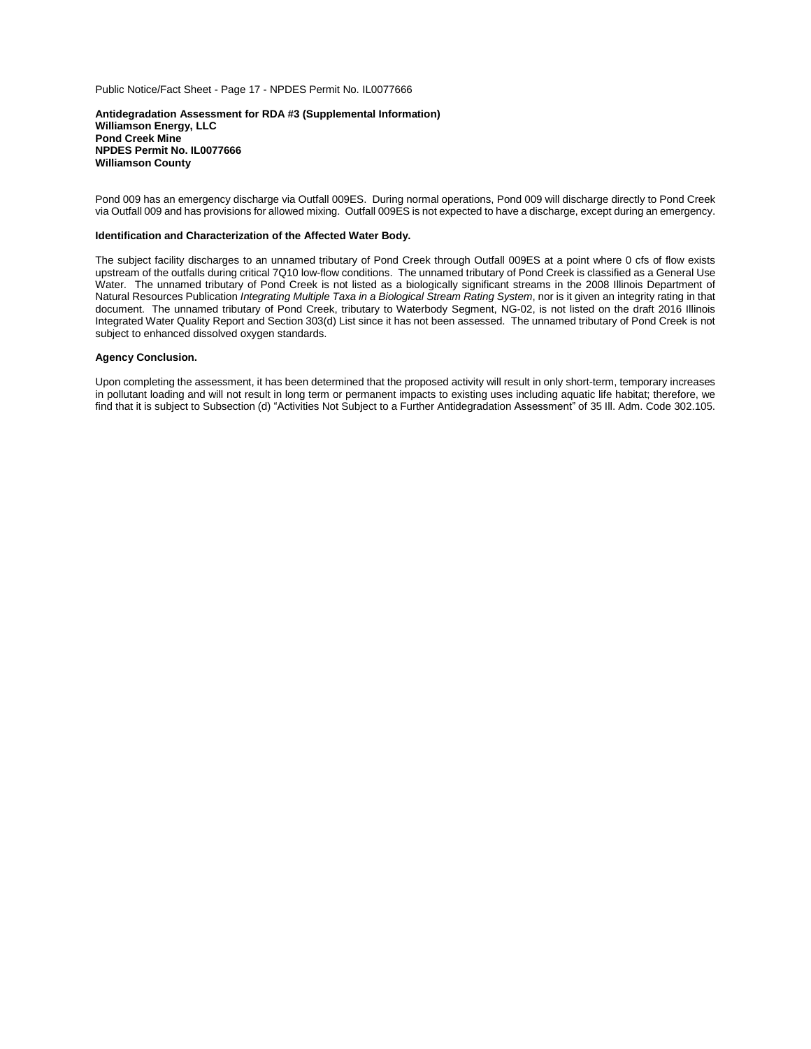Public Notice/Fact Sheet - Page 17 - NPDES Permit No. IL0077666

#### **Antidegradation Assessment for RDA #3 (Supplemental Information) Williamson Energy, LLC Pond Creek Mine NPDES Permit No. IL0077666 Williamson County**

Pond 009 has an emergency discharge via Outfall 009ES. During normal operations, Pond 009 will discharge directly to Pond Creek via Outfall 009 and has provisions for allowed mixing. Outfall 009ES is not expected to have a discharge, except during an emergency.

# **Identification and Characterization of the Affected Water Body.**

The subject facility discharges to an unnamed tributary of Pond Creek through Outfall 009ES at a point where 0 cfs of flow exists upstream of the outfalls during critical 7Q10 low-flow conditions.The unnamed tributary of Pond Creek is classified as a General Use Water. The unnamed tributary of Pond Creek is not listed as a biologically significant streams in the 2008 Illinois Department of Natural Resources Publication *Integrating Multiple Taxa in a Biological Stream Rating System*, nor is it given an integrity rating in that document. The unnamed tributary of Pond Creek, tributary to Waterbody Segment, NG-02, is not listed on the draft 2016 Illinois Integrated Water Quality Report and Section 303(d) List since it has not been assessed. The unnamed tributary of Pond Creek is not subject to enhanced dissolved oxygen standards.

# **Agency Conclusion.**

Upon completing the assessment, it has been determined that the proposed activity will result in only short-term, temporary increases in pollutant loading and will not result in long term or permanent impacts to existing uses including aquatic life habitat; therefore, we find that it is subject to Subsection (d) "Activities Not Subject to a Further Antidegradation Assessment" of 35 Ill. Adm. Code 302.105.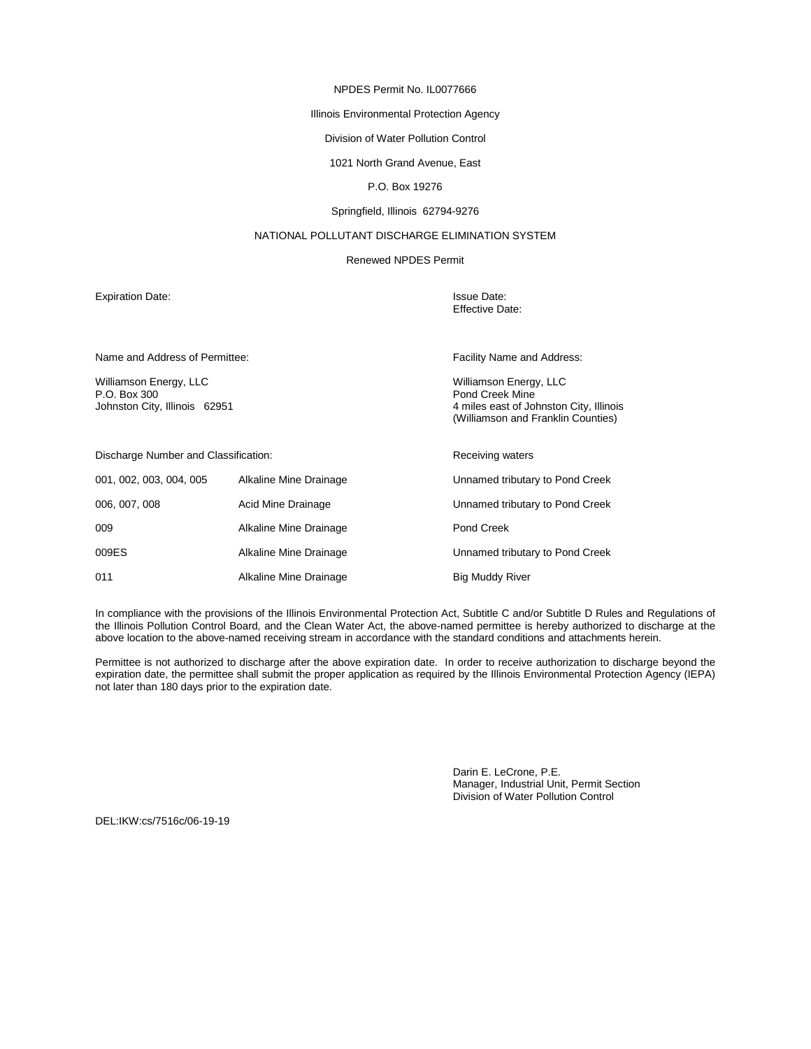# Illinois Environmental Protection Agency

# Division of Water Pollution Control

# 1021 North Grand Avenue, East

# P.O. Box 19276

# Springfield, Illinois 62794-9276

# NATIONAL POLLUTANT DISCHARGE ELIMINATION SYSTEM

# Renewed NPDES Permit

Expiration Date: In the United States of the United States of the United States of the United States of the United States of the United States of the United States of the United States of the United States of the United St

Effective Date:

| Name and Address of Permittee:                                          |                        | Facility Name and Address:                                                                                                 |
|-------------------------------------------------------------------------|------------------------|----------------------------------------------------------------------------------------------------------------------------|
| Williamson Energy, LLC<br>P.O. Box 300<br>Johnston City, Illinois 62951 |                        | Williamson Energy, LLC<br>Pond Creek Mine<br>4 miles east of Johnston City, Illinois<br>(Williamson and Franklin Counties) |
| Discharge Number and Classification:                                    |                        | <b>Receiving waters</b>                                                                                                    |
| 001, 002, 003, 004, 005                                                 | Alkaline Mine Drainage | Unnamed tributary to Pond Creek                                                                                            |
| 006, 007, 008                                                           | Acid Mine Drainage     | Unnamed tributary to Pond Creek                                                                                            |
| 009                                                                     | Alkaline Mine Drainage | Pond Creek                                                                                                                 |
| 009ES                                                                   | Alkaline Mine Drainage | Unnamed tributary to Pond Creek                                                                                            |
| 011                                                                     | Alkaline Mine Drainage | <b>Big Muddy River</b>                                                                                                     |

In compliance with the provisions of the Illinois Environmental Protection Act, Subtitle C and/or Subtitle D Rules and Regulations of the Illinois Pollution Control Board, and the Clean Water Act, the above-named permittee is hereby authorized to discharge at the above location to the above-named receiving stream in accordance with the standard conditions and attachments herein.

Permittee is not authorized to discharge after the above expiration date. In order to receive authorization to discharge beyond the expiration date, the permittee shall submit the proper application as required by the Illinois Environmental Protection Agency (IEPA) not later than 180 days prior to the expiration date.

> Darin E. LeCrone, P.E. Manager, Industrial Unit, Permit Section Division of Water Pollution Control

DEL:IKW:cs/7516c/06-19-19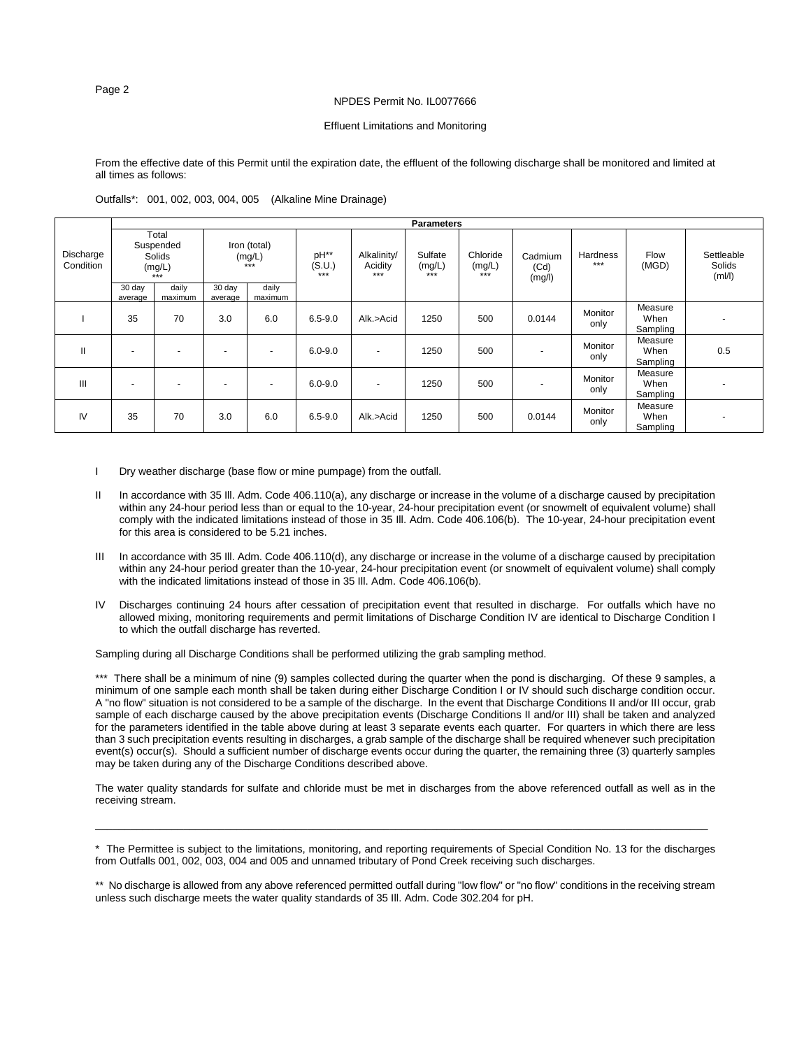# Effluent Limitations and Monitoring

From the effective date of this Permit until the expiration date, the effluent of the following discharge shall be monitored and limited at all times as follows:

Outfalls\*: 001, 002, 003, 004, 005 (Alkaline Mine Drainage)

|                        |                                               |                  |                                   |                  |                       |                               | <b>Parameters</b>            |                           |                           |                 |                             |                                |
|------------------------|-----------------------------------------------|------------------|-----------------------------------|------------------|-----------------------|-------------------------------|------------------------------|---------------------------|---------------------------|-----------------|-----------------------------|--------------------------------|
| Discharge<br>Condition | Total<br>Suspended<br>Solids<br>(mg/L)<br>*** |                  | Iron (total)<br>(mg/L)<br>$* * *$ |                  | pH**<br>(S.U.)<br>*** | Alkalinity/<br>Acidity<br>*** | Sulfate<br>(mg/L)<br>$+ + +$ | Chloride<br>(mg/L)<br>*** | Cadmium<br>(Cd)<br>(mg/l) | Hardness<br>*** | Flow<br>(MGD)               | Settleable<br>Solids<br>(mI/I) |
|                        | 30 day<br>average                             | daily<br>maximum | 30 day<br>average                 | daily<br>maximum |                       |                               |                              |                           |                           |                 |                             |                                |
|                        | 35                                            | 70               | 3.0                               | 6.0              | $6.5 - 9.0$           | Alk.>Acid                     | 1250                         | 500                       | 0.0144                    | Monitor<br>only | Measure<br>When<br>Sampling |                                |
| $\mathbf{II}$          | $\overline{\phantom{0}}$                      | ۰                | $\overline{\phantom{a}}$          |                  | $6.0 - 9.0$           | $\overline{\phantom{0}}$      | 1250                         | 500                       |                           | Monitor<br>only | Measure<br>When<br>Sampling | 0.5                            |
| Ш                      | $\overline{\phantom{0}}$                      |                  |                                   |                  | $6.0 - 9.0$           |                               | 1250                         | 500                       |                           | Monitor<br>only | Measure<br>When<br>Sampling |                                |
| IV                     | 35                                            | 70               | 3.0                               | 6.0              | $6.5 - 9.0$           | Alk.>Acid                     | 1250                         | 500                       | 0.0144                    | Monitor<br>only | Measure<br>When<br>Sampling |                                |

- I Dry weather discharge (base flow or mine pumpage) from the outfall.
- II In accordance with 35 III. Adm. Code 406.110(a), any discharge or increase in the volume of a discharge caused by precipitation within any 24-hour period less than or equal to the 10-year, 24-hour precipitation event (or snowmelt of equivalent volume) shall comply with the indicated limitations instead of those in 35 Ill. Adm. Code 406.106(b). The 10-year, 24-hour precipitation event for this area is considered to be 5.21 inches.
- In accordance with 35 III. Adm. Code 406.110(d), any discharge or increase in the volume of a discharge caused by precipitation within any 24-hour period greater than the 10-year, 24-hour precipitation event (or snowmelt of equivalent volume) shall comply with the indicated limitations instead of those in 35 Ill. Adm. Code 406.106(b).
- IV Discharges continuing 24 hours after cessation of precipitation event that resulted in discharge. For outfalls which have no allowed mixing, monitoring requirements and permit limitations of Discharge Condition IV are identical to Discharge Condition I to which the outfall discharge has reverted.

Sampling during all Discharge Conditions shall be performed utilizing the grab sampling method.

\*\*\* There shall be a minimum of nine (9) samples collected during the quarter when the pond is discharging. Of these 9 samples, a minimum of one sample each month shall be taken during either Discharge Condition I or IV should such discharge condition occur. A "no flow" situation is not considered to be a sample of the discharge. In the event that Discharge Conditions II and/or III occur, grab sample of each discharge caused by the above precipitation events (Discharge Conditions II and/or III) shall be taken and analyzed for the parameters identified in the table above during at least 3 separate events each quarter. For quarters in which there are less than 3 such precipitation events resulting in discharges, a grab sample of the discharge shall be required whenever such precipitation event(s) occur(s). Should a sufficient number of discharge events occur during the quarter, the remaining three (3) quarterly samples may be taken during any of the Discharge Conditions described above.

The water quality standards for sulfate and chloride must be met in discharges from the above referenced outfall as well as in the receiving stream.

 $\_$  ,  $\_$  ,  $\_$  ,  $\_$  ,  $\_$  ,  $\_$  ,  $\_$  ,  $\_$  ,  $\_$  ,  $\_$  ,  $\_$  ,  $\_$  ,  $\_$  ,  $\_$  ,  $\_$  ,  $\_$  ,  $\_$  ,  $\_$  ,  $\_$  ,  $\_$  ,  $\_$  ,  $\_$  ,  $\_$  ,  $\_$  ,  $\_$  ,  $\_$  ,  $\_$  ,  $\_$  ,  $\_$  ,  $\_$  ,  $\_$  ,  $\_$  ,  $\_$  ,  $\_$  ,  $\_$  ,  $\_$  ,  $\_$  ,

<sup>\*</sup> The Permittee is subject to the limitations, monitoring, and reporting requirements of Special Condition No. 13 for the discharges from Outfalls 001, 002, 003, 004 and 005 and unnamed tributary of Pond Creek receiving such discharges.

<sup>\*\*</sup> No discharge is allowed from any above referenced permitted outfall during "low flow" or "no flow" conditions in the receiving stream unless such discharge meets the water quality standards of 35 Ill. Adm. Code 302.204 for pH.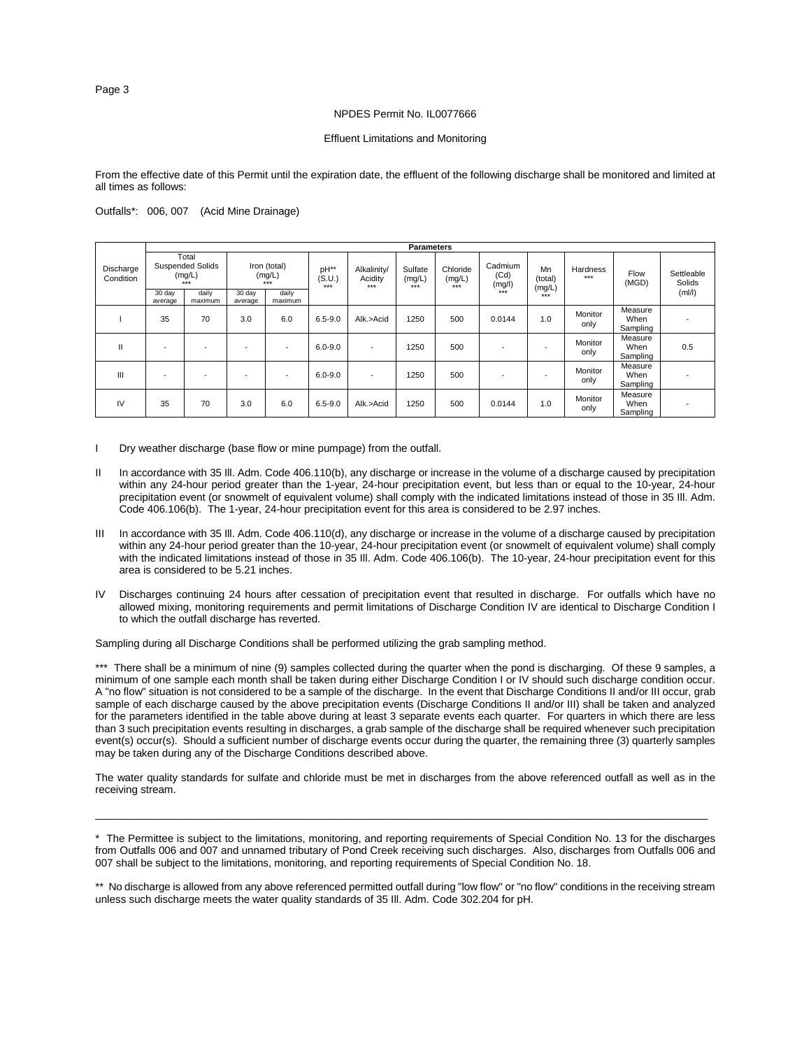# Effluent Limitations and Monitoring

From the effective date of this Permit until the expiration date, the effluent of the following discharge shall be monitored and limited at all times as follows:

# Outfalls\*: 006, 007 (Acid Mine Drainage)

|                        |                          |                                                       |                                 |                          |                         |                                 | <b>Parameters</b>          |                             |                           |                         |                   |                             |                      |
|------------------------|--------------------------|-------------------------------------------------------|---------------------------------|--------------------------|-------------------------|---------------------------------|----------------------------|-----------------------------|---------------------------|-------------------------|-------------------|-----------------------------|----------------------|
| Discharge<br>Condition |                          | Total<br><b>Suspended Solids</b><br>(mg/L)<br>$+ + +$ | Iron (total)<br>(mg/L)<br>$***$ |                          | pH**<br>(S.U.)<br>$***$ | Alkalinity/<br>Acidity<br>$***$ | Sulfate<br>(mg/L)<br>$***$ | Chloride<br>(mg/L)<br>$***$ | Cadmium<br>(Cd)<br>(mg/l) | Mn<br>(total)<br>(mg/L) | Hardness<br>$***$ | Flow<br>(MGD)               | Settleable<br>Solids |
|                        | 30 day<br>average        | daily<br>maximum                                      | 30 day<br>average               | daily<br>maximum         |                         |                                 |                            |                             | $***$                     | $***$                   |                   |                             | (mI/I)               |
|                        | 35                       | 70                                                    | 3.0                             | 6.0                      | $6.5 - 9.0$             | Alk.>Acid                       | 1250                       | 500                         | 0.0144                    | 1.0                     | Monitor<br>only   | Measure<br>When<br>Sampling |                      |
| Ш                      | $\overline{\phantom{0}}$ |                                                       |                                 | $\overline{\phantom{0}}$ | $6.0 - 9.0$             | $\overline{\phantom{a}}$        | 1250                       | 500                         |                           |                         | Monitor<br>only   | Measure<br>When<br>Sampling | 0.5                  |
| III                    | $\overline{a}$           | $\overline{\phantom{0}}$                              |                                 | $\overline{\phantom{a}}$ | $6.0 - 9.0$             | ٠                               | 1250                       | 500                         |                           |                         | Monitor<br>only   | Measure<br>When<br>Sampling |                      |
| IV                     | 35                       | 70                                                    | 3.0                             | 6.0                      | $6.5 - 9.0$             | Alk.>Acid                       | 1250                       | 500                         | 0.0144                    | 1.0                     | Monitor<br>only   | Measure<br>When<br>Sampling |                      |

- I Dry weather discharge (base flow or mine pumpage) from the outfall.
- II In accordance with 35 III. Adm. Code 406.110(b), any discharge or increase in the volume of a discharge caused by precipitation within any 24-hour period greater than the 1-year, 24-hour precipitation event, but less than or equal to the 10-year, 24-hour precipitation event (or snowmelt of equivalent volume) shall comply with the indicated limitations instead of those in 35 Ill. Adm. Code 406.106(b). The 1-year, 24-hour precipitation event for this area is considered to be 2.97 inches.
- III In accordance with 35 III. Adm. Code 406.110(d), any discharge or increase in the volume of a discharge caused by precipitation within any 24-hour period greater than the 10-year, 24-hour precipitation event (or snowmelt of equivalent volume) shall comply with the indicated limitations instead of those in 35 Ill. Adm. Code 406.106(b). The 10-year, 24-hour precipitation event for this area is considered to be 5.21 inches.
- IV Discharges continuing 24 hours after cessation of precipitation event that resulted in discharge. For outfalls which have no allowed mixing, monitoring requirements and permit limitations of Discharge Condition IV are identical to Discharge Condition I to which the outfall discharge has reverted.

Sampling during all Discharge Conditions shall be performed utilizing the grab sampling method.

\*\*\* There shall be a minimum of nine (9) samples collected during the quarter when the pond is discharging. Of these 9 samples, a minimum of one sample each month shall be taken during either Discharge Condition I or IV should such discharge condition occur. A "no flow" situation is not considered to be a sample of the discharge. In the event that Discharge Conditions II and/or III occur, grab sample of each discharge caused by the above precipitation events (Discharge Conditions II and/or III) shall be taken and analyzed for the parameters identified in the table above during at least 3 separate events each quarter. For quarters in which there are less than 3 such precipitation events resulting in discharges, a grab sample of the discharge shall be required whenever such precipitation event(s) occur(s). Should a sufficient number of discharge events occur during the quarter, the remaining three (3) quarterly samples may be taken during any of the Discharge Conditions described above.

The water quality standards for sulfate and chloride must be met in discharges from the above referenced outfall as well as in the receiving stream.

\_\_\_\_\_\_\_\_\_\_\_\_\_\_\_\_\_\_\_\_\_\_\_\_\_\_\_\_\_\_\_\_\_\_\_\_\_\_\_\_\_\_\_\_\_\_\_\_\_\_\_\_\_\_\_\_\_\_\_\_\_\_\_\_\_\_\_\_\_\_\_\_\_\_\_\_\_\_\_\_\_\_\_\_\_\_\_\_\_\_\_\_\_\_\_\_\_\_\_\_\_\_\_\_

Page 3

<sup>\*</sup> The Permittee is subject to the limitations, monitoring, and reporting requirements of Special Condition No. 13 for the discharges from Outfalls 006 and 007 and unnamed tributary of Pond Creek receiving such discharges. Also, discharges from Outfalls 006 and 007 shall be subject to the limitations, monitoring, and reporting requirements of Special Condition No. 18.

<sup>\*\*</sup> No discharge is allowed from any above referenced permitted outfall during "low flow" or "no flow" conditions in the receiving stream unless such discharge meets the water quality standards of 35 Ill. Adm. Code 302.204 for pH.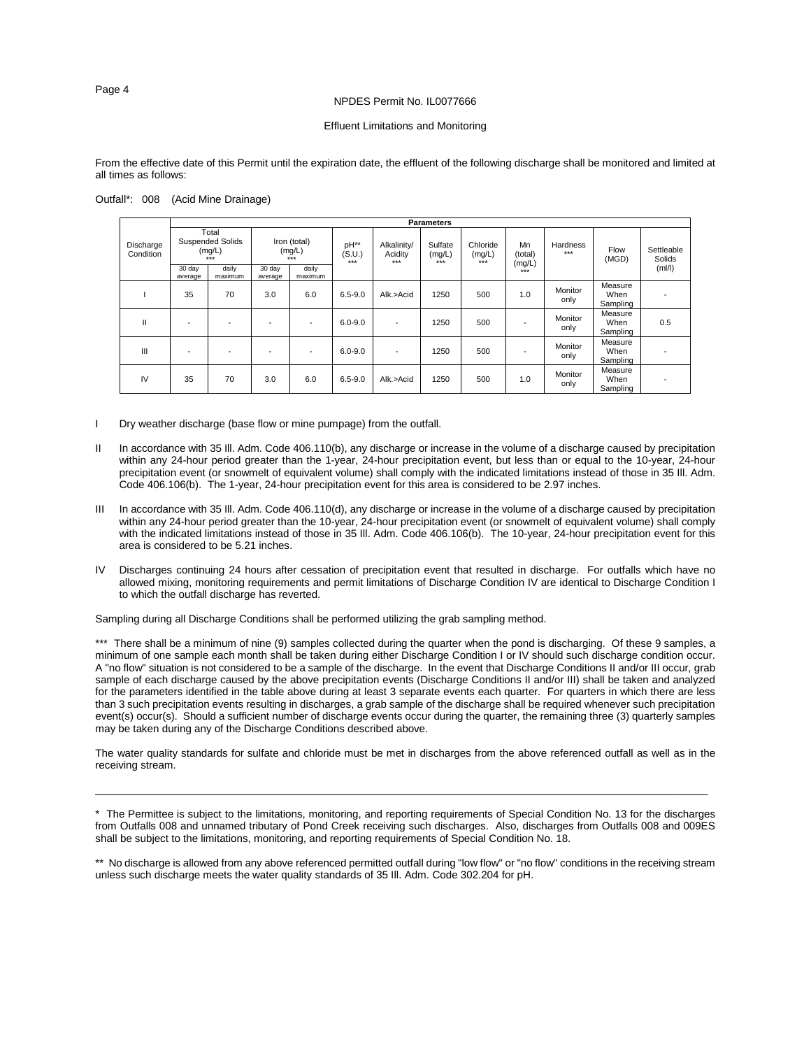# Effluent Limitations and Monitoring

From the effective date of this Permit until the expiration date, the effluent of the following discharge shall be monitored and limited at all times as follows:

|                        |                                                       |                  |                                   |                  |                         |                                 | <b>Parameters</b>          |                             |                         |                   |                             |                      |
|------------------------|-------------------------------------------------------|------------------|-----------------------------------|------------------|-------------------------|---------------------------------|----------------------------|-----------------------------|-------------------------|-------------------|-----------------------------|----------------------|
| Discharge<br>Condition | Total<br><b>Suspended Solids</b><br>(mg/L)<br>$+ + +$ |                  | Iron (total)<br>(mg/L)<br>$+ + +$ |                  | pH**<br>(S.U.)<br>$***$ | Alkalinity/<br>Acidity<br>$***$ | Sulfate<br>(mg/L)<br>$***$ | Chloride<br>(mg/L)<br>$***$ | Mn<br>(total)<br>(mg/L) | Hardness<br>$***$ | Flow<br>(MGD)               | Settleable<br>Solids |
|                        | 30 day<br>average                                     | daily<br>maximum | 30 day<br>average                 | daily<br>maximum |                         |                                 |                            |                             | $***$                   |                   |                             | (mI/I)               |
|                        | 35                                                    | 70               | 3.0                               | 6.0              | $6.5 - 9.0$             | Alk.>Acid                       | 1250                       | 500                         | 1.0                     | Monitor<br>only   | Measure<br>When<br>Sampling |                      |
| $\mathbf{I}$           |                                                       |                  | $\overline{\phantom{a}}$          | -                | $6.0 - 9.0$             | $\overline{\phantom{a}}$        | 1250                       | 500                         |                         | Monitor<br>only   | Measure<br>When<br>Sampling | 0.5                  |
| Ш                      |                                                       |                  | $\overline{\phantom{a}}$          |                  | $6.0 - 9.0$             | ٠                               | 1250                       | 500                         |                         | Monitor<br>only   | Measure<br>When<br>Sampling |                      |
| IV                     | 35                                                    | 70               | 3.0                               | 6.0              | $6.5 - 9.0$             | Alk.>Acid                       | 1250                       | 500                         | 1.0                     | Monitor<br>only   | Measure<br>When<br>Sampling |                      |

Outfall\*: 008 (Acid Mine Drainage)

- I Dry weather discharge (base flow or mine pumpage) from the outfall.
- II In accordance with 35 III. Adm. Code 406.110(b), any discharge or increase in the volume of a discharge caused by precipitation within any 24-hour period greater than the 1-year, 24-hour precipitation event, but less than or equal to the 10-year, 24-hour precipitation event (or snowmelt of equivalent volume) shall comply with the indicated limitations instead of those in 35 Ill. Adm. Code 406.106(b). The 1-year, 24-hour precipitation event for this area is considered to be 2.97 inches.
- III In accordance with 35 III. Adm. Code 406.110(d), any discharge or increase in the volume of a discharge caused by precipitation within any 24-hour period greater than the 10-year, 24-hour precipitation event (or snowmelt of equivalent volume) shall comply with the indicated limitations instead of those in 35 Ill. Adm. Code 406.106(b). The 10-year, 24-hour precipitation event for this area is considered to be 5.21 inches.
- Discharges continuing 24 hours after cessation of precipitation event that resulted in discharge. For outfalls which have no allowed mixing, monitoring requirements and permit limitations of Discharge Condition IV are identical to Discharge Condition I to which the outfall discharge has reverted.

Sampling during all Discharge Conditions shall be performed utilizing the grab sampling method.

\*\*\* There shall be a minimum of nine (9) samples collected during the quarter when the pond is discharging. Of these 9 samples, a minimum of one sample each month shall be taken during either Discharge Condition I or IV should such discharge condition occur. A "no flow" situation is not considered to be a sample of the discharge. In the event that Discharge Conditions II and/or III occur, grab sample of each discharge caused by the above precipitation events (Discharge Conditions II and/or III) shall be taken and analyzed for the parameters identified in the table above during at least 3 separate events each quarter. For quarters in which there are less than 3 such precipitation events resulting in discharges, a grab sample of the discharge shall be required whenever such precipitation event(s) occur(s). Should a sufficient number of discharge events occur during the quarter, the remaining three (3) quarterly samples may be taken during any of the Discharge Conditions described above.

The water quality standards for sulfate and chloride must be met in discharges from the above referenced outfall as well as in the receiving stream.

\_\_\_\_\_\_\_\_\_\_\_\_\_\_\_\_\_\_\_\_\_\_\_\_\_\_\_\_\_\_\_\_\_\_\_\_\_\_\_\_\_\_\_\_\_\_\_\_\_\_\_\_\_\_\_\_\_\_\_\_\_\_\_\_\_\_\_\_\_\_\_\_\_\_\_\_\_\_\_\_\_\_\_\_\_\_\_\_\_\_\_\_\_\_\_\_\_\_\_\_\_\_\_\_

Page 4

<sup>\*</sup> The Permittee is subject to the limitations, monitoring, and reporting requirements of Special Condition No. 13 for the discharges from Outfalls 008 and unnamed tributary of Pond Creek receiving such discharges. Also, discharges from Outfalls 008 and 009ES shall be subject to the limitations, monitoring, and reporting requirements of Special Condition No. 18.

<sup>\*\*</sup> No discharge is allowed from any above referenced permitted outfall during "low flow" or "no flow" conditions in the receiving stream unless such discharge meets the water quality standards of 35 Ill. Adm. Code 302.204 for pH.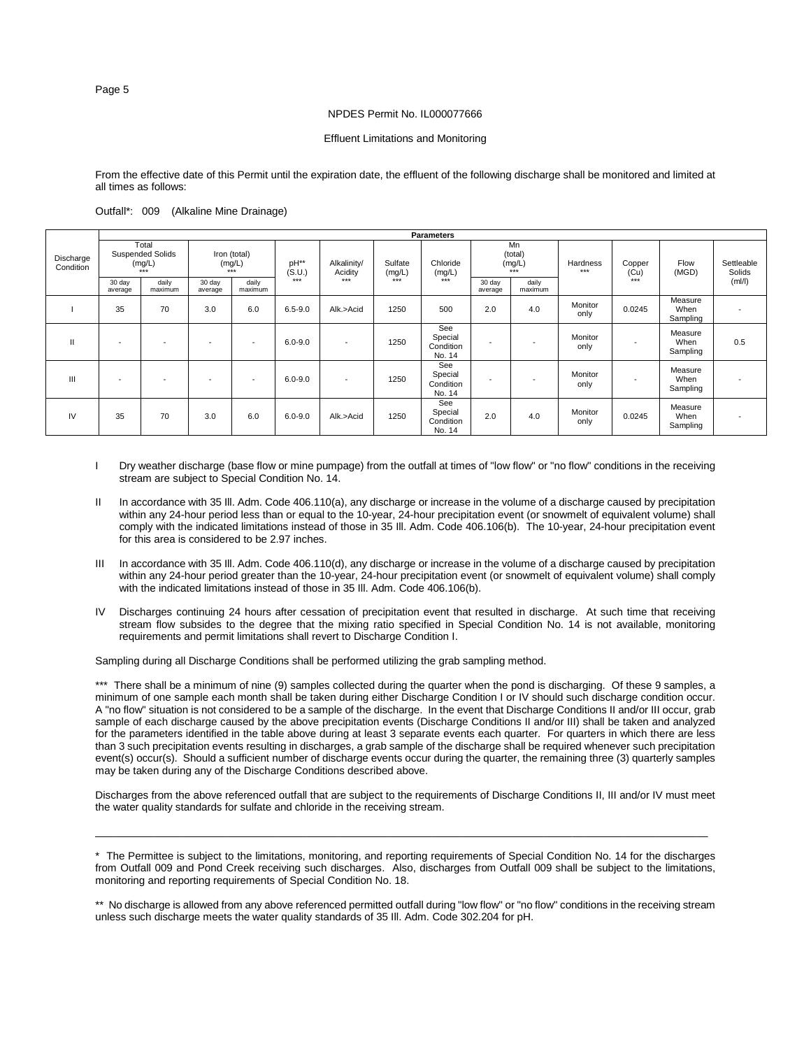#### Effluent Limitations and Monitoring

From the effective date of this Permit until the expiration date, the effluent of the following discharge shall be monitored and limited at all times as follows:

# Outfall\*: 009 (Alkaline Mine Drainage)

|                        |                   |                                                     |                                                    |                          |                         |                                   |                              | <b>Parameters</b>                     |                                  |                  |                   |                         |                             |                                |
|------------------------|-------------------|-----------------------------------------------------|----------------------------------------------------|--------------------------|-------------------------|-----------------------------------|------------------------------|---------------------------------------|----------------------------------|------------------|-------------------|-------------------------|-----------------------------|--------------------------------|
| Discharge<br>Condition |                   | Total<br><b>Suspended Solids</b><br>(mg/L)<br>$***$ | Iron (total)<br>(mg/L)<br>$***$<br>daily<br>30 day |                          | pH**<br>(S.U.)<br>$***$ | Alkalinity/<br>Acidity<br>$+ + +$ | Sulfate<br>(mg/L)<br>$+ + +$ | Chloride<br>(mg/L)<br>$***$           | Mn<br>(total)<br>(mg/L)<br>$***$ |                  | Hardness<br>$***$ | Copper<br>(Cu)<br>أخخخا | Flow<br>(MGD)               | Settleable<br>Solids<br>(mI/I) |
|                        | 30 day<br>average | daily<br>maximum                                    | average                                            | maximum                  |                         |                                   |                              |                                       | 30 day<br>average                | daily<br>maximum |                   |                         |                             |                                |
|                        | 35                | 70                                                  | 3.0                                                | 6.0                      | $6.5 - 9.0$             | Alk.>Acid                         | 1250                         | 500                                   | 2.0                              | 4.0              | Monitor<br>only   | 0.0245                  | Measure<br>When<br>Sampling |                                |
| $\mathbf{H}$           | ٠                 |                                                     | $\overline{\phantom{a}}$                           | $\overline{\phantom{a}}$ | $6.0 - 9.0$             | $\overline{\phantom{a}}$          | 1250                         | See<br>Special<br>Condition<br>No. 14 |                                  | -                | Monitor<br>only   | ٠                       | Measure<br>When<br>Sampling | 0.5                            |
| $\mathbf{III}$         |                   |                                                     | $\overline{\phantom{a}}$                           | $\overline{\phantom{a}}$ | $6.0 - 9.0$             | $\overline{\phantom{a}}$          | 1250                         | See<br>Special<br>Condition<br>No. 14 | $\overline{\phantom{a}}$         |                  | Monitor<br>only   |                         | Measure<br>When<br>Sampling |                                |
| IV                     | 35                | 70                                                  | 3.0                                                | 6.0                      | $6.0 - 9.0$             | Alk.>Acid                         | 1250                         | See<br>Special<br>Condition<br>No. 14 | 2.0                              | 4.0              | Monitor<br>only   | 0.0245                  | Measure<br>When<br>Sampling |                                |

- I Dry weather discharge (base flow or mine pumpage) from the outfall at times of "low flow" or "no flow" conditions in the receiving stream are subject to Special Condition No. 14.
- II In accordance with 35 III. Adm. Code 406.110(a), any discharge or increase in the volume of a discharge caused by precipitation within any 24-hour period less than or equal to the 10-year, 24-hour precipitation event (or snowmelt of equivalent volume) shall comply with the indicated limitations instead of those in 35 Ill. Adm. Code 406.106(b). The 10-year, 24-hour precipitation event for this area is considered to be 2.97 inches.
- III In accordance with 35 III. Adm. Code 406.110(d), any discharge or increase in the volume of a discharge caused by precipitation within any 24-hour period greater than the 10-year, 24-hour precipitation event (or snowmelt of equivalent volume) shall comply with the indicated limitations instead of those in 35 Ill. Adm. Code 406.106(b).
- Discharges continuing 24 hours after cessation of precipitation event that resulted in discharge. At such time that receiving stream flow subsides to the degree that the mixing ratio specified in Special Condition No. 14 is not available, monitoring requirements and permit limitations shall revert to Discharge Condition I.

Sampling during all Discharge Conditions shall be performed utilizing the grab sampling method.

\*\*\* There shall be a minimum of nine (9) samples collected during the quarter when the pond is discharging. Of these 9 samples, a minimum of one sample each month shall be taken during either Discharge Condition I or IV should such discharge condition occur. A "no flow" situation is not considered to be a sample of the discharge. In the event that Discharge Conditions II and/or III occur, grab sample of each discharge caused by the above precipitation events (Discharge Conditions II and/or III) shall be taken and analyzed for the parameters identified in the table above during at least 3 separate events each quarter. For quarters in which there are less than 3 such precipitation events resulting in discharges, a grab sample of the discharge shall be required whenever such precipitation event(s) occur(s). Should a sufficient number of discharge events occur during the quarter, the remaining three (3) quarterly samples may be taken during any of the Discharge Conditions described above.

Discharges from the above referenced outfall that are subject to the requirements of Discharge Conditions II, III and/or IV must meet the water quality standards for sulfate and chloride in the receiving stream.

 $\_$  ,  $\_$  ,  $\_$  ,  $\_$  ,  $\_$  ,  $\_$  ,  $\_$  ,  $\_$  ,  $\_$  ,  $\_$  ,  $\_$  ,  $\_$  ,  $\_$  ,  $\_$  ,  $\_$  ,  $\_$  ,  $\_$  ,  $\_$  ,  $\_$  ,  $\_$  ,  $\_$  ,  $\_$  ,  $\_$  ,  $\_$  ,  $\_$  ,  $\_$  ,  $\_$  ,  $\_$  ,  $\_$  ,  $\_$  ,  $\_$  ,  $\_$  ,  $\_$  ,  $\_$  ,  $\_$  ,  $\_$  ,  $\_$  ,

<sup>\*</sup> The Permittee is subject to the limitations, monitoring, and reporting requirements of Special Condition No. 14 for the discharges from Outfall 009 and Pond Creek receiving such discharges. Also, discharges from Outfall 009 shall be subject to the limitations, monitoring and reporting requirements of Special Condition No. 18.

<sup>\*\*</sup> No discharge is allowed from any above referenced permitted outfall during "low flow" or "no flow" conditions in the receiving stream unless such discharge meets the water quality standards of 35 Ill. Adm. Code 302.204 for pH.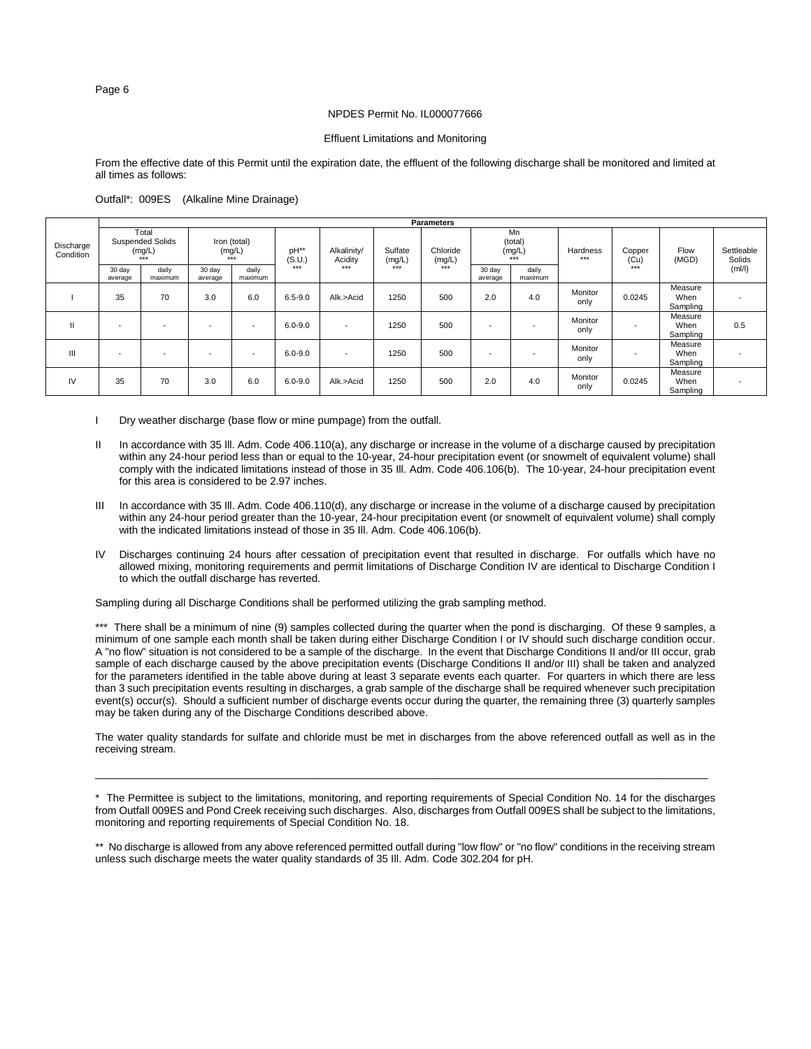# Effluent Limitations and Monitoring

From the effective date of this Permit until the expiration date, the effluent of the following discharge shall be monitored and limited at all times as follows:

|                        |                          |                                                     |                                 |                          |                                          |                          |                   | <b>Parameters</b>  |                                  |                          |                   |                |                             |                      |
|------------------------|--------------------------|-----------------------------------------------------|---------------------------------|--------------------------|------------------------------------------|--------------------------|-------------------|--------------------|----------------------------------|--------------------------|-------------------|----------------|-----------------------------|----------------------|
| Discharge<br>Condition |                          | Total<br><b>Suspended Solids</b><br>(mg/L)<br>$***$ | Iron (total)<br>(mg/L)<br>$***$ |                          | pH**<br>Alkalinity/<br>(S.U.)<br>Acidity |                          | Sulfate<br>(mg/L) | Chloride<br>(mg/L) | Mn<br>(total)<br>(mg/L)<br>$***$ |                          | Hardness<br>$***$ | Copper<br>(Cu) | Flow<br>(MGD)               | Settleable<br>Solids |
|                        | 30 day<br>average        | daily<br>maximum                                    | 30 day<br>average               | daily<br>maximum         | ***                                      | $***$                    | $***$             | $***$              | 30 day<br>average                | daily<br>maximum         |                   | $***$          |                             | (mI/I)               |
|                        | 35                       | 70                                                  | 3.0                             | 6.0                      | $6.5 - 9.0$                              | Alk.>Acid                | 1250              | 500                | 2.0                              | 4.0                      | Monitor<br>only   | 0.0245         | Measure<br>When<br>Sampling |                      |
|                        | -                        | $\overline{\phantom{a}}$                            | ۰                               | $\overline{\phantom{a}}$ | $6.0 - 9.0$                              | $\overline{\phantom{a}}$ | 1250              | 500                | $\overline{\phantom{a}}$         | $\overline{\phantom{a}}$ | Monitor<br>only   |                | Measure<br>When<br>Sampling | 0.5                  |
| Ш                      | $\overline{\phantom{a}}$ | $\overline{\phantom{a}}$                            | ۰                               | $\overline{\phantom{a}}$ | $6.0 - 9.0$                              | $\overline{\phantom{a}}$ | 1250              | 500                | $\overline{\phantom{a}}$         | $\overline{\phantom{a}}$ | Monitor<br>only   |                | Measure<br>When<br>Sampling |                      |
| IV                     | 35                       | 70                                                  | 3.0                             | 6.0                      | $6.0 - 9.0$                              | Alk.>Acid                | 1250              | 500                | 2.0                              | 4.0                      | Monitor<br>only   | 0.0245         | Measure<br>When<br>Sampling |                      |

Outfall\*: 009ES (Alkaline Mine Drainage)

- I Dry weather discharge (base flow or mine pumpage) from the outfall.
- II In accordance with 35 III. Adm. Code 406.110(a), any discharge or increase in the volume of a discharge caused by precipitation within any 24-hour period less than or equal to the 10-year, 24-hour precipitation event (or snowmelt of equivalent volume) shall comply with the indicated limitations instead of those in 35 Ill. Adm. Code 406.106(b). The 10-year, 24-hour precipitation event for this area is considered to be 2.97 inches.
- III In accordance with 35 III. Adm. Code 406.110(d), any discharge or increase in the volume of a discharge caused by precipitation within any 24-hour period greater than the 10-year, 24-hour precipitation event (or snowmelt of equivalent volume) shall comply with the indicated limitations instead of those in 35 III. Adm. Code 406.106(b).
- IV Discharges continuing 24 hours after cessation of precipitation event that resulted in discharge. For outfalls which have no allowed mixing, monitoring requirements and permit limitations of Discharge Condition IV are identical to Discharge Condition I to which the outfall discharge has reverted.

Sampling during all Discharge Conditions shall be performed utilizing the grab sampling method.

\*\*\* There shall be a minimum of nine (9) samples collected during the quarter when the pond is discharging. Of these 9 samples, a minimum of one sample each month shall be taken during either Discharge Condition I or IV should such discharge condition occur. A "no flow" situation is not considered to be a sample of the discharge. In the event that Discharge Conditions II and/or III occur, grab sample of each discharge caused by the above precipitation events (Discharge Conditions II and/or III) shall be taken and analyzed for the parameters identified in the table above during at least 3 separate events each quarter. For quarters in which there are less than 3 such precipitation events resulting in discharges, a grab sample of the discharge shall be required whenever such precipitation event(s) occur(s). Should a sufficient number of discharge events occur during the quarter, the remaining three (3) quarterly samples may be taken during any of the Discharge Conditions described above.

The water quality standards for sulfate and chloride must be met in discharges from the above referenced outfall as well as in the receiving stream.

\_\_\_\_\_\_\_\_\_\_\_\_\_\_\_\_\_\_\_\_\_\_\_\_\_\_\_\_\_\_\_\_\_\_\_\_\_\_\_\_\_\_\_\_\_\_\_\_\_\_\_\_\_\_\_\_\_\_\_\_\_\_\_\_\_\_\_\_\_\_\_\_\_\_\_\_\_\_\_\_\_\_\_\_\_\_\_\_\_\_\_\_\_\_\_\_\_\_\_\_\_\_\_\_

<sup>\*</sup> The Permittee is subject to the limitations, monitoring, and reporting requirements of Special Condition No. 14 for the discharges from Outfall 009ES and Pond Creek receiving such discharges. Also, discharges from Outfall 009ES shall be subject to the limitations, monitoring and reporting requirements of Special Condition No. 18.

<sup>\*\*</sup> No discharge is allowed from any above referenced permitted outfall during "low flow" or "no flow" conditions in the receiving stream unless such discharge meets the water quality standards of 35 Ill. Adm. Code 302.204 for pH.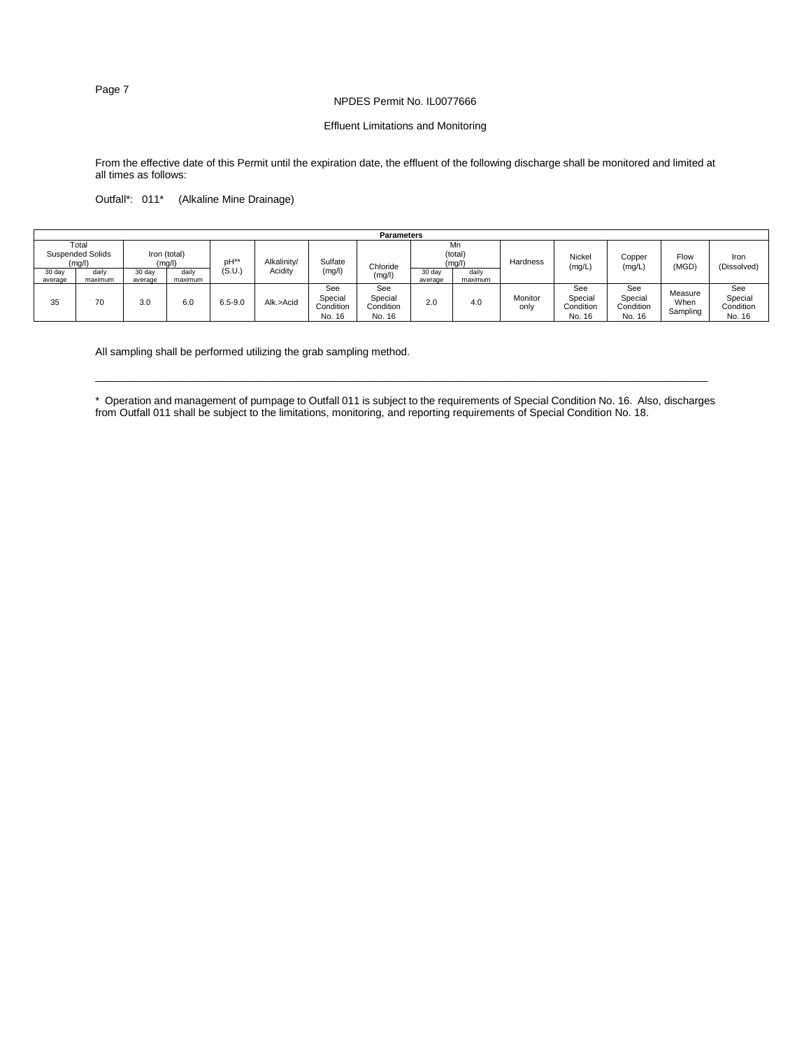# NPDES Permit No. IL0077666

# Effluent Limitations and Monitoring

From the effective date of this Permit until the expiration date, the effluent of the following discharge shall be monitored and limited at all times as follows:

Outfall\*: 011\* (Alkaline Mine Drainage)

|                   |                                                                                          |                   |                  |             |           |                                       | <b>Parameters</b>                     |                   |                  |                  |                                       |                                       |                             |                                       |
|-------------------|------------------------------------------------------------------------------------------|-------------------|------------------|-------------|-----------|---------------------------------------|---------------------------------------|-------------------|------------------|------------------|---------------------------------------|---------------------------------------|-----------------------------|---------------------------------------|
|                   | Total<br><b>Suspended Solids</b><br>Iron (total)<br>pH <sup>**</sup><br>(mg/l)<br>(mg/l) |                   | Alkalinity/      | Sulfate     |           | Mn<br>(total)<br>(mg/l)               |                                       | Hardness          | Nickel<br>(mg/L) | Copper<br>(mg/L) | Flow<br>(MGD)                         | Iron<br>(Dissolved)                   |                             |                                       |
| 30 day<br>average | daily<br>maximum                                                                         | 30 day<br>average | daily<br>maximum | (S.U.       | Acidity   | (mg/l)                                | Chloride<br>(mg/l)                    | 30 day<br>average | daily<br>maximum |                  |                                       |                                       |                             |                                       |
| 35                | 70                                                                                       | 3.0               | 6.0              | $6.5 - 9.0$ | Alk.>Acid | See<br>Special<br>Condition<br>No. 16 | See<br>Special<br>Condition<br>No. 16 | 2.0               | 4.0              | Monitor<br>only  | See<br>Special<br>Condition<br>No. 16 | See<br>Special<br>Condition<br>No. 16 | Measure<br>When<br>Sampling | See<br>Special<br>Condition<br>No. 16 |

All sampling shall be performed utilizing the grab sampling method.

\* Operation and management of pumpage to Outfall 011 is subject to the requirements of Special Condition No. 16. Also, discharges from Outfall 011 shall be subject to the limitations, monitoring, and reporting requirements of Special Condition No. 18.

\_\_\_\_\_\_\_\_\_\_\_\_\_\_\_\_\_\_\_\_\_\_\_\_\_\_\_\_\_\_\_\_\_\_\_\_\_\_\_\_\_\_\_\_\_\_\_\_\_\_\_\_\_\_\_\_\_\_\_\_\_\_\_\_\_\_\_\_\_\_\_\_\_\_\_\_\_\_\_\_\_\_\_\_\_\_\_\_\_\_\_\_\_\_\_\_\_\_\_\_\_\_\_\_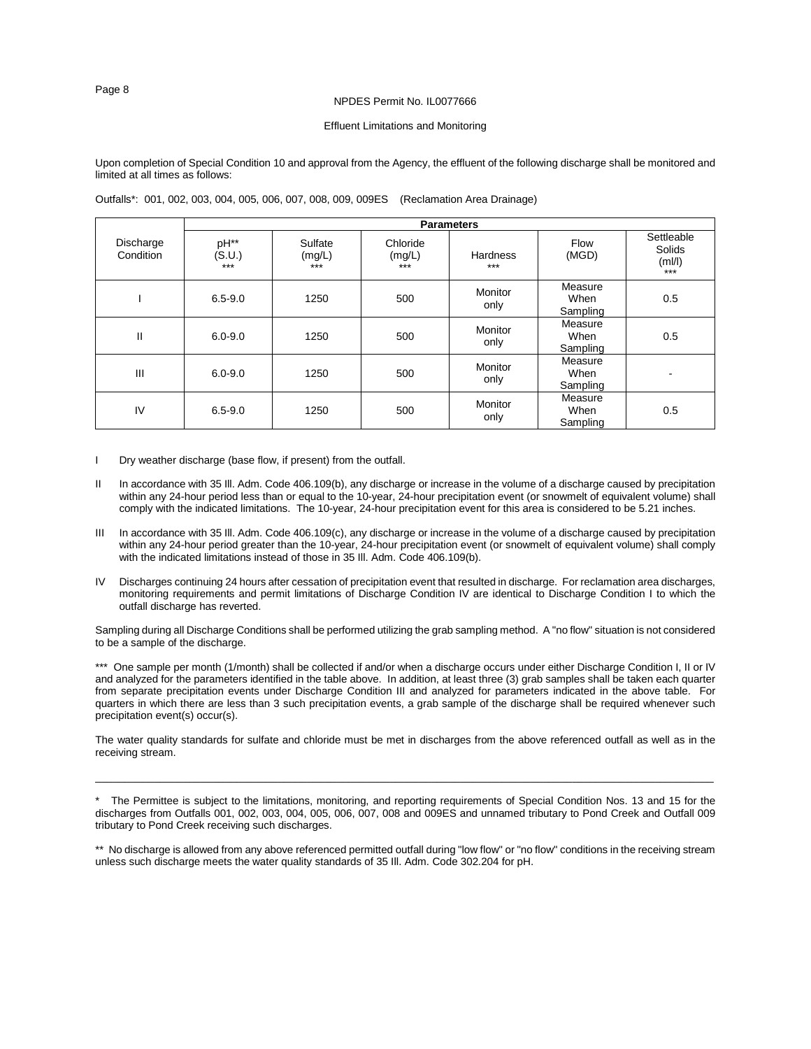# Effluent Limitations and Monitoring

Upon completion of Special Condition 10 and approval from the Agency, the effluent of the following discharge shall be monitored and limited at all times as follows:

|                        |                         |                            |                             | <b>Parameters</b>        |                             |                                         |
|------------------------|-------------------------|----------------------------|-----------------------------|--------------------------|-----------------------------|-----------------------------------------|
| Discharge<br>Condition | pH**<br>(S.U.)<br>$***$ | Sulfate<br>(mg/L)<br>$***$ | Chloride<br>(mg/L)<br>$***$ | <b>Hardness</b><br>$***$ | Flow<br>(MGD)               | Settleable<br>Solids<br>(mI/I)<br>$***$ |
|                        | $6.5 - 9.0$             | 1250                       | 500                         | Monitor<br>only          | Measure<br>When<br>Sampling | 0.5                                     |
| Ш                      | $6.0 - 9.0$             | 1250                       | 500                         | Monitor<br>only          | Measure<br>When<br>Sampling | 0.5                                     |
| III                    | $6.0 - 9.0$             | 1250                       | 500                         | Monitor<br>only          | Measure<br>When<br>Sampling | $\blacksquare$                          |
| IV                     | $6.5 - 9.0$             | 1250                       | 500                         | Monitor<br>only          | Measure<br>When<br>Sampling | 0.5                                     |

Outfalls\*: 001, 002, 003, 004, 005, 006, 007, 008, 009, 009ES (Reclamation Area Drainage)

- I Dry weather discharge (base flow, if present) from the outfall.
- II In accordance with 35 III. Adm. Code 406.109(b), any discharge or increase in the volume of a discharge caused by precipitation within any 24-hour period less than or equal to the 10-year, 24-hour precipitation event (or snowmelt of equivalent volume) shall comply with the indicated limitations. The 10-year, 24-hour precipitation event for this area is considered to be 5.21 inches.
- III In accordance with 35 III. Adm. Code 406.109(c), any discharge or increase in the volume of a discharge caused by precipitation within any 24-hour period greater than the 10-year, 24-hour precipitation event (or snowmelt of equivalent volume) shall comply with the indicated limitations instead of those in 35 Ill. Adm. Code 406.109(b).
- IV Discharges continuing 24 hours after cessation of precipitation event that resulted in discharge. For reclamation area discharges, monitoring requirements and permit limitations of Discharge Condition IV are identical to Discharge Condition I to which the outfall discharge has reverted.

Sampling during all Discharge Conditions shall be performed utilizing the grab sampling method. A "no flow" situation is not considered to be a sample of the discharge.

\*\*\* One sample per month (1/month) shall be collected if and/or when a discharge occurs under either Discharge Condition I, II or IV and analyzed for the parameters identified in the table above. In addition, at least three (3) grab samples shall be taken each quarter from separate precipitation events under Discharge Condition III and analyzed for parameters indicated in the above table. For quarters in which there are less than 3 such precipitation events, a grab sample of the discharge shall be required whenever such precipitation event(s) occur(s).

The water quality standards for sulfate and chloride must be met in discharges from the above referenced outfall as well as in the receiving stream.

\_\_\_\_\_\_\_\_\_\_\_\_\_\_\_\_\_\_\_\_\_\_\_\_\_\_\_\_\_\_\_\_\_\_\_\_\_\_\_\_\_\_\_\_\_\_\_\_\_\_\_\_\_\_\_\_\_\_\_\_\_\_\_\_\_\_\_\_\_\_\_\_\_\_\_\_\_\_\_\_\_\_\_\_\_\_\_\_\_\_\_\_\_\_\_\_\_\_\_\_\_\_\_\_\_

\* The Permittee is subject to the limitations, monitoring, and reporting requirements of Special Condition Nos. 13 and 15 for the discharges from Outfalls 001, 002, 003, 004, 005, 006, 007, 008 and 009ES and unnamed tributary to Pond Creek and Outfall 009 tributary to Pond Creek receiving such discharges.

\*\* No discharge is allowed from any above referenced permitted outfall during "low flow" or "no flow" conditions in the receiving stream unless such discharge meets the water quality standards of 35 Ill. Adm. Code 302.204 for pH.

Page 8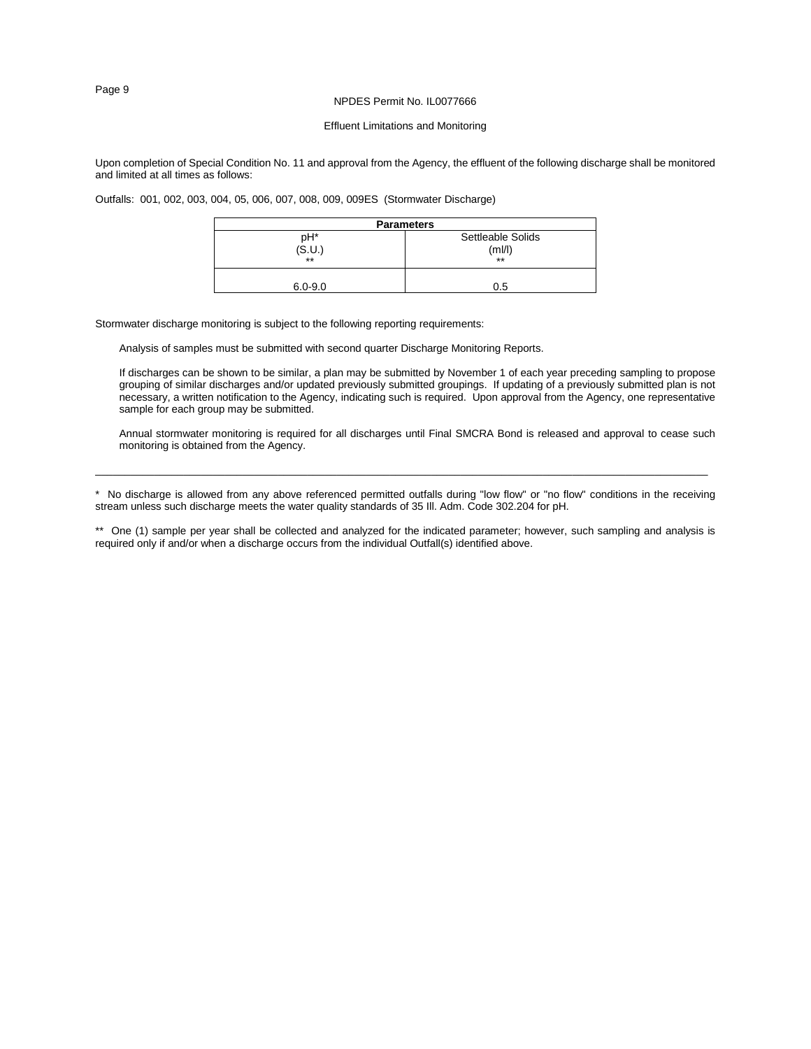# Effluent Limitations and Monitoring

Upon completion of Special Condition No. 11 and approval from the Agency, the effluent of the following discharge shall be monitored and limited at all times as follows:

Outfalls: 001, 002, 003, 004, 05, 006, 007, 008, 009, 009ES (Stormwater Discharge)

| <b>Parameters</b> |                   |  |  |  |  |  |  |  |  |
|-------------------|-------------------|--|--|--|--|--|--|--|--|
| pH*               | Settleable Solids |  |  |  |  |  |  |  |  |
| (S.U.)            | (ml/l`            |  |  |  |  |  |  |  |  |
| $***$             | $***$             |  |  |  |  |  |  |  |  |
|                   |                   |  |  |  |  |  |  |  |  |
| $6.0 - 9.0$       | 0.5               |  |  |  |  |  |  |  |  |

Stormwater discharge monitoring is subject to the following reporting requirements:

Analysis of samples must be submitted with second quarter Discharge Monitoring Reports.

If discharges can be shown to be similar, a plan may be submitted by November 1 of each year preceding sampling to propose grouping of similar discharges and/or updated previously submitted groupings. If updating of a previously submitted plan is not necessary, a written notification to the Agency, indicating such is required. Upon approval from the Agency, one representative sample for each group may be submitted.

Annual stormwater monitoring is required for all discharges until Final SMCRA Bond is released and approval to cease such monitoring is obtained from the Agency.

\* No discharge is allowed from any above referenced permitted outfalls during "low flow" or "no flow" conditions in the receiving stream unless such discharge meets the water quality standards of 35 Ill. Adm. Code 302.204 for pH.

\_\_\_\_\_\_\_\_\_\_\_\_\_\_\_\_\_\_\_\_\_\_\_\_\_\_\_\_\_\_\_\_\_\_\_\_\_\_\_\_\_\_\_\_\_\_\_\_\_\_\_\_\_\_\_\_\_\_\_\_\_\_\_\_\_\_\_\_\_\_\_\_\_\_\_\_\_\_\_\_\_\_\_\_\_\_\_\_\_\_\_\_\_\_\_\_\_\_\_\_\_\_\_\_

\*\* One (1) sample per year shall be collected and analyzed for the indicated parameter; however, such sampling and analysis is required only if and/or when a discharge occurs from the individual Outfall(s) identified above.

Page 9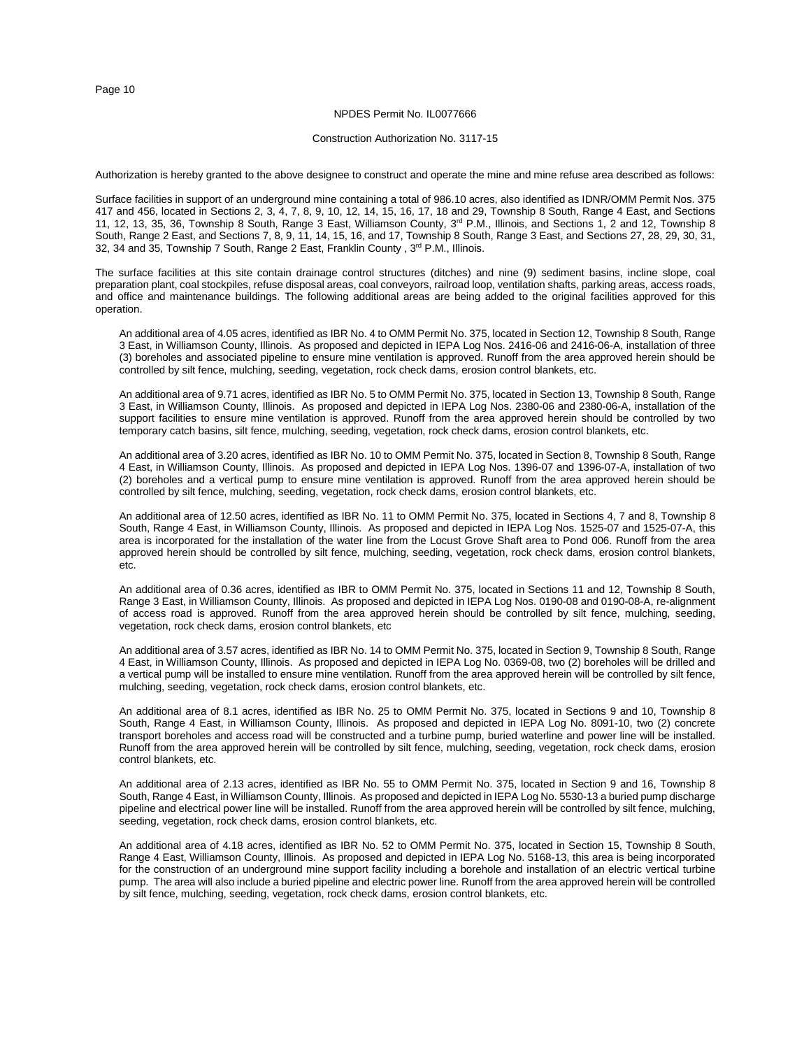#### NPDES Permit No. IL0077666

#### Construction Authorization No. 3117-15

Authorization is hereby granted to the above designee to construct and operate the mine and mine refuse area described as follows:

Surface facilities in support of an underground mine containing a total of 986.10 acres, also identified as IDNR/OMM Permit Nos. 375 417 and 456, located in Sections 2, 3, 4, 7, 8, 9, 10, 12, 14, 15, 16, 17, 18 and 29, Township 8 South, Range 4 East, and Sections 11, 12, 13, 35, 36, Township 8 South, Range 3 East, Williamson County, 3<sup>rd</sup> P.M., Illinois, and Sections 1, 2 and 12, Township 8 South, Range 2 East, and Sections 7, 8, 9, 11, 14, 15, 16, and 17, Township 8 South, Range 3 East, and Sections 27, 28, 29, 30, 31, 32, 34 and 35, Township 7 South, Range 2 East, Franklin County, 3<sup>rd</sup> P.M., Illinois.

The surface facilities at this site contain drainage control structures (ditches) and nine (9) sediment basins, incline slope, coal preparation plant, coal stockpiles, refuse disposal areas, coal conveyors, railroad loop, ventilation shafts, parking areas, access roads, and office and maintenance buildings. The following additional areas are being added to the original facilities approved for this operation.

An additional area of 4.05 acres, identified as IBR No. 4 to OMM Permit No. 375, located in Section 12, Township 8 South, Range 3 East, in Williamson County, Illinois. As proposed and depicted in IEPA Log Nos. 2416-06 and 2416-06-A, installation of three (3) boreholes and associated pipeline to ensure mine ventilation is approved. Runoff from the area approved herein should be controlled by silt fence, mulching, seeding, vegetation, rock check dams, erosion control blankets, etc.

An additional area of 9.71 acres, identified as IBR No. 5 to OMM Permit No. 375, located in Section 13, Township 8 South, Range 3 East, in Williamson County, Illinois. As proposed and depicted in IEPA Log Nos. 2380-06 and 2380-06-A, installation of the support facilities to ensure mine ventilation is approved. Runoff from the area approved herein should be controlled by two temporary catch basins, silt fence, mulching, seeding, vegetation, rock check dams, erosion control blankets, etc.

An additional area of 3.20 acres, identified as IBR No. 10 to OMM Permit No. 375, located in Section 8, Township 8 South, Range 4 East, in Williamson County, Illinois. As proposed and depicted in IEPA Log Nos. 1396-07 and 1396-07-A, installation of two (2) boreholes and a vertical pump to ensure mine ventilation is approved. Runoff from the area approved herein should be controlled by silt fence, mulching, seeding, vegetation, rock check dams, erosion control blankets, etc.

An additional area of 12.50 acres, identified as IBR No. 11 to OMM Permit No. 375, located in Sections 4, 7 and 8, Township 8 South, Range 4 East, in Williamson County, Illinois. As proposed and depicted in IEPA Log Nos. 1525-07 and 1525-07-A, this area is incorporated for the installation of the water line from the Locust Grove Shaft area to Pond 006. Runoff from the area approved herein should be controlled by silt fence, mulching, seeding, vegetation, rock check dams, erosion control blankets, etc.

An additional area of 0.36 acres, identified as IBR to OMM Permit No. 375, located in Sections 11 and 12, Township 8 South, Range 3 East, in Williamson County, Illinois. As proposed and depicted in IEPA Log Nos. 0190-08 and 0190-08-A, re-alignment of access road is approved. Runoff from the area approved herein should be controlled by silt fence, mulching, seeding, vegetation, rock check dams, erosion control blankets, etc

An additional area of 3.57 acres, identified as IBR No. 14 to OMM Permit No. 375, located in Section 9, Township 8 South, Range 4 East, in Williamson County, Illinois. As proposed and depicted in IEPA Log No. 0369-08, two (2) boreholes will be drilled and a vertical pump will be installed to ensure mine ventilation. Runoff from the area approved herein will be controlled by silt fence, mulching, seeding, vegetation, rock check dams, erosion control blankets, etc.

An additional area of 8.1 acres, identified as IBR No. 25 to OMM Permit No. 375, located in Sections 9 and 10, Township 8 South, Range 4 East, in Williamson County, Illinois. As proposed and depicted in IEPA Log No. 8091-10, two (2) concrete transport boreholes and access road will be constructed and a turbine pump, buried waterline and power line will be installed. Runoff from the area approved herein will be controlled by silt fence, mulching, seeding, vegetation, rock check dams, erosion control blankets, etc.

An additional area of 2.13 acres, identified as IBR No. 55 to OMM Permit No. 375, located in Section 9 and 16, Township 8 South, Range 4 East, in Williamson County, Illinois. As proposed and depicted in IEPA Log No. 5530-13 a buried pump discharge pipeline and electrical power line will be installed. Runoff from the area approved herein will be controlled by silt fence, mulching, seeding, vegetation, rock check dams, erosion control blankets, etc.

An additional area of 4.18 acres, identified as IBR No. 52 to OMM Permit No. 375, located in Section 15, Township 8 South, Range 4 East, Williamson County, Illinois. As proposed and depicted in IEPA Log No. 5168-13, this area is being incorporated for the construction of an underground mine support facility including a borehole and installation of an electric vertical turbine pump. The area will also include a buried pipeline and electric power line. Runoff from the area approved herein will be controlled by silt fence, mulching, seeding, vegetation, rock check dams, erosion control blankets, etc.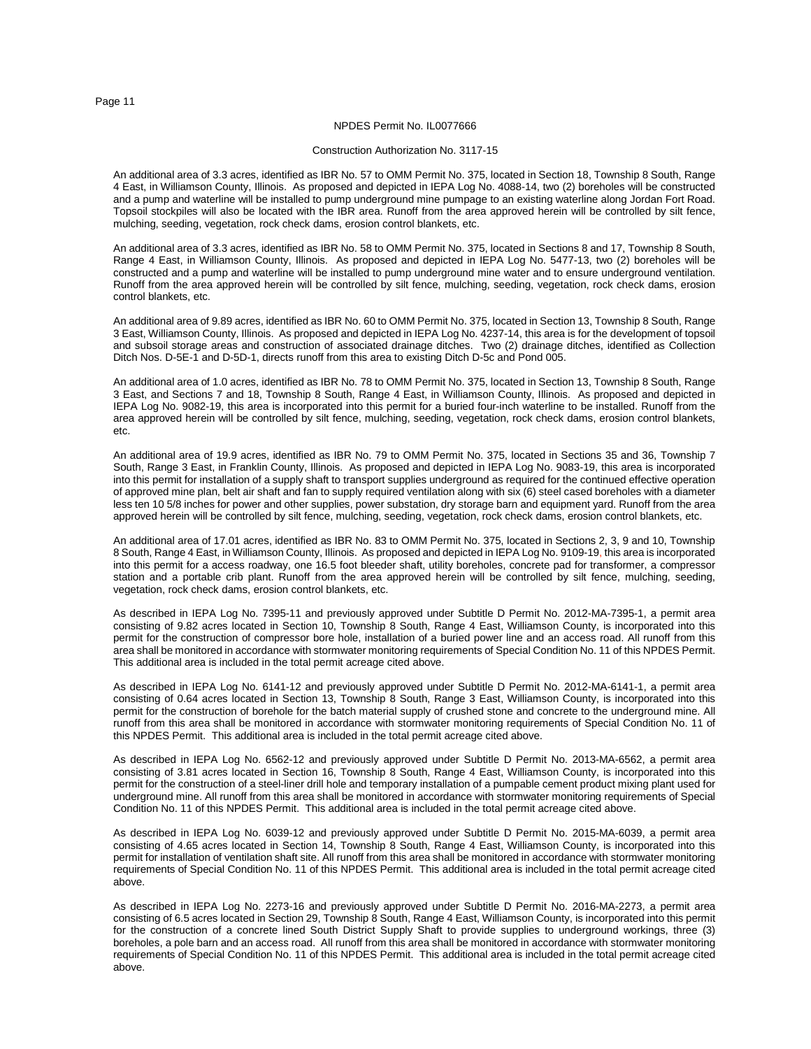# NPDES Permit No. IL0077666

#### Construction Authorization No. 3117-15

An additional area of 3.3 acres, identified as IBR No. 57 to OMM Permit No. 375, located in Section 18, Township 8 South, Range 4 East, in Williamson County, Illinois. As proposed and depicted in IEPA Log No. 4088-14, two (2) boreholes will be constructed and a pump and waterline will be installed to pump underground mine pumpage to an existing waterline along Jordan Fort Road. Topsoil stockpiles will also be located with the IBR area. Runoff from the area approved herein will be controlled by silt fence, mulching, seeding, vegetation, rock check dams, erosion control blankets, etc.

An additional area of 3.3 acres, identified as IBR No. 58 to OMM Permit No. 375, located in Sections 8 and 17, Township 8 South, Range 4 East, in Williamson County, Illinois. As proposed and depicted in IEPA Log No. 5477-13, two (2) boreholes will be constructed and a pump and waterline will be installed to pump underground mine water and to ensure underground ventilation. Runoff from the area approved herein will be controlled by silt fence, mulching, seeding, vegetation, rock check dams, erosion control blankets, etc.

An additional area of 9.89 acres, identified as IBR No. 60 to OMM Permit No. 375, located in Section 13, Township 8 South, Range 3 East, Williamson County, Illinois. As proposed and depicted in IEPA Log No. 4237-14, this area is for the development of topsoil and subsoil storage areas and construction of associated drainage ditches. Two (2) drainage ditches, identified as Collection Ditch Nos. D-5E-1 and D-5D-1, directs runoff from this area to existing Ditch D-5c and Pond 005.

An additional area of 1.0 acres, identified as IBR No. 78 to OMM Permit No. 375, located in Section 13, Township 8 South, Range 3 East, and Sections 7 and 18, Township 8 South, Range 4 East, in Williamson County, Illinois. As proposed and depicted in IEPA Log No. 9082-19, this area is incorporated into this permit for a buried four-inch waterline to be installed. Runoff from the area approved herein will be controlled by silt fence, mulching, seeding, vegetation, rock check dams, erosion control blankets, etc.

An additional area of 19.9 acres, identified as IBR No. 79 to OMM Permit No. 375, located in Sections 35 and 36, Township 7 South, Range 3 East, in Franklin County, Illinois. As proposed and depicted in IEPA Log No. 9083-19, this area is incorporated into this permit for installation of a supply shaft to transport supplies underground as required for the continued effective operation of approved mine plan, belt air shaft and fan to supply required ventilation along with six (6) steel cased boreholes with a diameter less ten 10 5/8 inches for power and other supplies, power substation, dry storage barn and equipment yard. Runoff from the area approved herein will be controlled by silt fence, mulching, seeding, vegetation, rock check dams, erosion control blankets, etc.

An additional area of 17.01 acres, identified as IBR No. 83 to OMM Permit No. 375, located in Sections 2, 3, 9 and 10, Township 8 South, Range 4 East, in Williamson County, Illinois. As proposed and depicted in IEPA Log No. 9109-19, this area is incorporated into this permit for a access roadway, one 16.5 foot bleeder shaft, utility boreholes, concrete pad for transformer, a compressor station and a portable crib plant. Runoff from the area approved herein will be controlled by silt fence, mulching, seeding, vegetation, rock check dams, erosion control blankets, etc.

As described in IEPA Log No. 7395-11 and previously approved under Subtitle D Permit No. 2012-MA-7395-1, a permit area consisting of 9.82 acres located in Section 10, Township 8 South, Range 4 East, Williamson County, is incorporated into this permit for the construction of compressor bore hole, installation of a buried power line and an access road. All runoff from this area shall be monitored in accordance with stormwater monitoring requirements of Special Condition No. 11 of this NPDES Permit. This additional area is included in the total permit acreage cited above.

As described in IEPA Log No. 6141-12 and previously approved under Subtitle D Permit No. 2012-MA-6141-1, a permit area consisting of 0.64 acres located in Section 13, Township 8 South, Range 3 East, Williamson County, is incorporated into this permit for the construction of borehole for the batch material supply of crushed stone and concrete to the underground mine. All runoff from this area shall be monitored in accordance with stormwater monitoring requirements of Special Condition No. 11 of this NPDES Permit. This additional area is included in the total permit acreage cited above.

As described in IEPA Log No. 6562-12 and previously approved under Subtitle D Permit No. 2013-MA-6562, a permit area consisting of 3.81 acres located in Section 16, Township 8 South, Range 4 East, Williamson County, is incorporated into this permit for the construction of a steel-liner drill hole and temporary installation of a pumpable cement product mixing plant used for underground mine. All runoff from this area shall be monitored in accordance with stormwater monitoring requirements of Special Condition No. 11 of this NPDES Permit. This additional area is included in the total permit acreage cited above.

As described in IEPA Log No. 6039-12 and previously approved under Subtitle D Permit No. 2015-MA-6039, a permit area consisting of 4.65 acres located in Section 14, Township 8 South, Range 4 East, Williamson County, is incorporated into this permit for installation of ventilation shaft site. All runoff from this area shall be monitored in accordance with stormwater monitoring requirements of Special Condition No. 11 of this NPDES Permit. This additional area is included in the total permit acreage cited above.

As described in IEPA Log No. 2273-16 and previously approved under Subtitle D Permit No. 2016-MA-2273, a permit area consisting of 6.5 acres located in Section 29, Township 8 South, Range 4 East, Williamson County, is incorporated into this permit for the construction of a concrete lined South District Supply Shaft to provide supplies to underground workings, three (3) boreholes, a pole barn and an access road. All runoff from this area shall be monitored in accordance with stormwater monitoring requirements of Special Condition No. 11 of this NPDES Permit. This additional area is included in the total permit acreage cited above.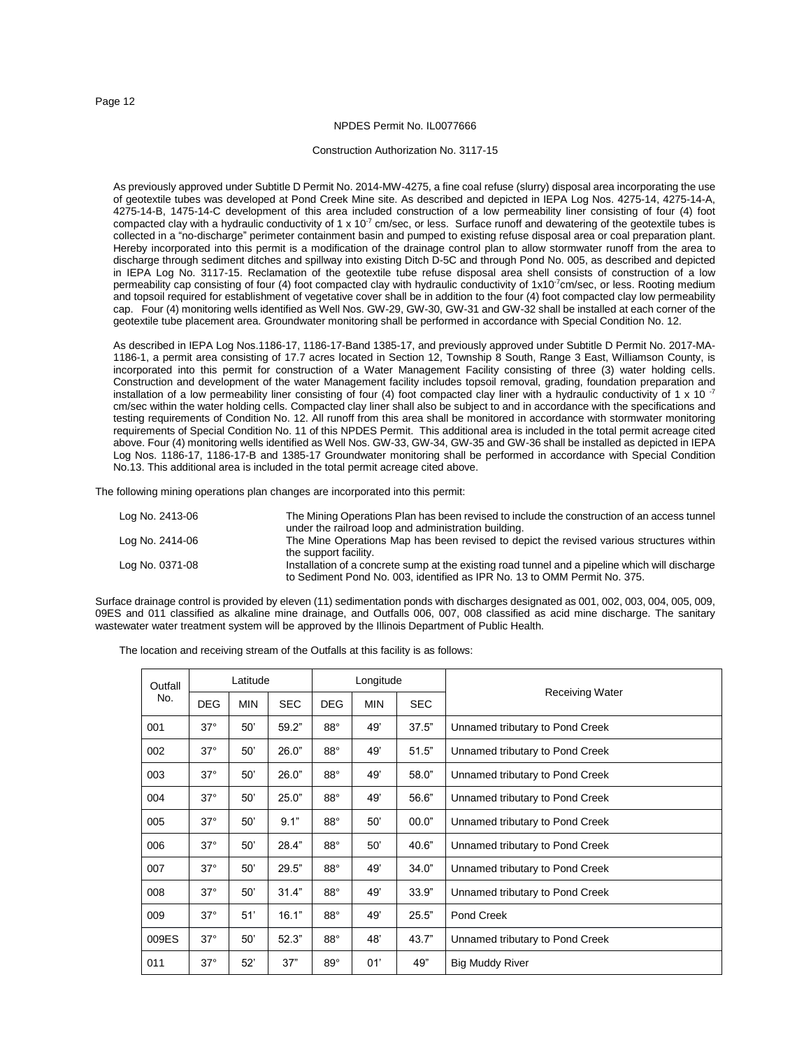#### Construction Authorization No. 3117-15

As previously approved under Subtitle D Permit No. 2014-MW-4275, a fine coal refuse (slurry) disposal area incorporating the use of geotextile tubes was developed at Pond Creek Mine site. As described and depicted in IEPA Log Nos. 4275-14, 4275-14-A, 4275-14-B, 1475-14-C development of this area included construction of a low permeability liner consisting of four (4) foot compacted clay with a hydraulic conductivity of  $1 \times 10^{-7}$  cm/sec, or less. Surface runoff and dewatering of the geotextile tubes is collected in a "no-discharge" perimeter containment basin and pumped to existing refuse disposal area or coal preparation plant. Hereby incorporated into this permit is a modification of the drainage control plan to allow stormwater runoff from the area to discharge through sediment ditches and spillway into existing Ditch D-5C and through Pond No. 005, as described and depicted in IEPA Log No. 3117-15. Reclamation of the geotextile tube refuse disposal area shell consists of construction of a low permeability cap consisting of four (4) foot compacted clay with hydraulic conductivity of 1x10<sup>-7</sup>cm/sec, or less. Rooting medium and topsoil required for establishment of vegetative cover shall be in addition to the four (4) foot compacted clay low permeability cap. Four (4) monitoring wells identified as Well Nos. GW-29, GW-30, GW-31 and GW-32 shall be installed at each corner of the geotextile tube placement area. Groundwater monitoring shall be performed in accordance with Special Condition No. 12.

As described in IEPA Log Nos.1186-17, 1186-17-Band 1385-17, and previously approved under Subtitle D Permit No. 2017-MA-1186-1, a permit area consisting of 17.7 acres located in Section 12, Township 8 South, Range 3 East, Williamson County, is incorporated into this permit for construction of a Water Management Facility consisting of three (3) water holding cells. Construction and development of the water Management facility includes topsoil removal, grading, foundation preparation and installation of a low permeability liner consisting of four (4) foot compacted clay liner with a hydraulic conductivity of 1 x 10 $-7$ cm/sec within the water holding cells. Compacted clay liner shall also be subject to and in accordance with the specifications and testing requirements of Condition No. 12. All runoff from this area shall be monitored in accordance with stormwater monitoring requirements of Special Condition No. 11 of this NPDES Permit. This additional area is included in the total permit acreage cited above. Four (4) monitoring wells identified as Well Nos. GW-33, GW-34, GW-35 and GW-36 shall be installed as depicted in IEPA Log Nos. 1186-17, 1186-17-B and 1385-17 Groundwater monitoring shall be performed in accordance with Special Condition No.13. This additional area is included in the total permit acreage cited above.

The following mining operations plan changes are incorporated into this permit:

| Log No. 2413-06 | The Mining Operations Plan has been revised to include the construction of an access tunnel<br>under the railroad loop and administration building.                          |
|-----------------|------------------------------------------------------------------------------------------------------------------------------------------------------------------------------|
| Log No. 2414-06 | The Mine Operations Map has been revised to depict the revised various structures within<br>the support facility.                                                            |
| Log No. 0371-08 | Installation of a concrete sump at the existing road tunnel and a pipeline which will discharge<br>to Sediment Pond No. 003, identified as IPR No. 13 to OMM Permit No. 375. |

Surface drainage control is provided by eleven (11) sedimentation ponds with discharges designated as 001, 002, 003, 004, 005, 009, 09ES and 011 classified as alkaline mine drainage, and Outfalls 006, 007, 008 classified as acid mine discharge. The sanitary wastewater water treatment system will be approved by the Illinois Department of Public Health.

The location and receiving stream of the Outfalls at this facility is as follows:

| Outfall |            | Latitude   |            |            | Longitude  |            |                                 |
|---------|------------|------------|------------|------------|------------|------------|---------------------------------|
| No.     | <b>DEG</b> | <b>MIN</b> | <b>SEC</b> | <b>DEG</b> | <b>MIN</b> | <b>SEC</b> | <b>Receiving Water</b>          |
| 001     | $37^\circ$ | 50'        | 59.2"      | $88^\circ$ | 49'        | 37.5"      | Unnamed tributary to Pond Creek |
| 002     | $37^\circ$ | 50'        | 26.0"      | $88^\circ$ | 49'        | 51.5"      | Unnamed tributary to Pond Creek |
| 003     | $37^\circ$ | 50'        | 26.0"      | $88^\circ$ | 49'        | 58.0"      | Unnamed tributary to Pond Creek |
| 004     | $37^\circ$ | 50'        | 25.0"      | $88^\circ$ | 49'        | 56.6"      | Unnamed tributary to Pond Creek |
| 005     | $37^\circ$ | 50'        | 9.1"       | $88^\circ$ | 50'        | 00.0"      | Unnamed tributary to Pond Creek |
| 006     | $37^\circ$ | 50'        | 28.4"      | $88^\circ$ | 50'        | 40.6"      | Unnamed tributary to Pond Creek |
| 007     | $37^\circ$ | 50'        | 29.5"      | $88^\circ$ | 49'        | 34.0"      | Unnamed tributary to Pond Creek |
| 008     | $37^\circ$ | 50'        | 31.4"      | $88^\circ$ | 49'        | 33.9"      | Unnamed tributary to Pond Creek |
| 009     | $37^\circ$ | 51'        | 16.1"      | $88^\circ$ | 49'        | 25.5"      | Pond Creek                      |
| 009ES   | $37^\circ$ | 50'        | 52.3"      | $88^\circ$ | 48'        | 43.7"      | Unnamed tributary to Pond Creek |
| 011     | $37^\circ$ | 52'        | 37"        | $89^\circ$ | 01'        | 49"        | <b>Big Muddy River</b>          |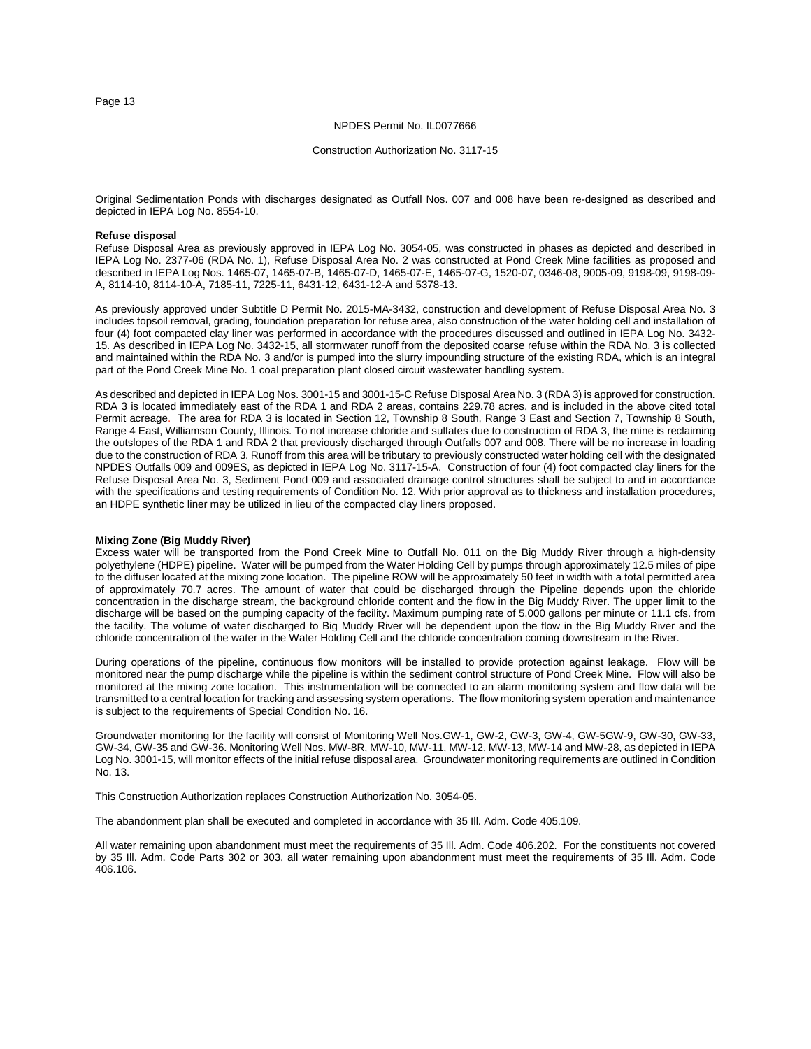#### NPDES Permit No. IL0077666

#### Construction Authorization No. 3117-15

Original Sedimentation Ponds with discharges designated as Outfall Nos. 007 and 008 have been re-designed as described and depicted in IEPA Log No. 8554-10.

#### **Refuse disposal**

Refuse Disposal Area as previously approved in IEPA Log No. 3054-05, was constructed in phases as depicted and described in IEPA Log No. 2377-06 (RDA No. 1), Refuse Disposal Area No. 2 was constructed at Pond Creek Mine facilities as proposed and described in IEPA Log Nos. 1465-07, 1465-07-B, 1465-07-D, 1465-07-E, 1465-07-G, 1520-07, 0346-08, 9005-09, 9198-09, 9198-09- A, 8114-10, 8114-10-A, 7185-11, 7225-11, 6431-12, 6431-12-A and 5378-13.

As previously approved under Subtitle D Permit No. 2015-MA-3432, construction and development of Refuse Disposal Area No. 3 includes topsoil removal, grading, foundation preparation for refuse area, also construction of the water holding cell and installation of four (4) foot compacted clay liner was performed in accordance with the procedures discussed and outlined in IEPA Log No. 3432- 15. As described in IEPA Log No. 3432-15, all stormwater runoff from the deposited coarse refuse within the RDA No. 3 is collected and maintained within the RDA No. 3 and/or is pumped into the slurry impounding structure of the existing RDA, which is an integral part of the Pond Creek Mine No. 1 coal preparation plant closed circuit wastewater handling system.

As described and depicted in IEPA Log Nos. 3001-15 and 3001-15-C Refuse Disposal Area No. 3 (RDA 3) is approved for construction. RDA 3 is located immediately east of the RDA 1 and RDA 2 areas, contains 229.78 acres, and is included in the above cited total Permit acreage. The area for RDA 3 is located in Section 12, Township 8 South, Range 3 East and Section 7, Township 8 South, Range 4 East, Williamson County, Illinois. To not increase chloride and sulfates due to construction of RDA 3, the mine is reclaiming the outslopes of the RDA 1 and RDA 2 that previously discharged through Outfalls 007 and 008. There will be no increase in loading due to the construction of RDA 3. Runoff from this area will be tributary to previously constructed water holding cell with the designated NPDES Outfalls 009 and 009ES, as depicted in IEPA Log No. 3117-15-A. Construction of four (4) foot compacted clay liners for the Refuse Disposal Area No. 3, Sediment Pond 009 and associated drainage control structures shall be subject to and in accordance with the specifications and testing requirements of Condition No. 12. With prior approval as to thickness and installation procedures, an HDPE synthetic liner may be utilized in lieu of the compacted clay liners proposed.

# **Mixing Zone (Big Muddy River)**

Excess water will be transported from the Pond Creek Mine to Outfall No. 011 on the Big Muddy River through a high-density polyethylene (HDPE) pipeline. Water will be pumped from the Water Holding Cell by pumps through approximately 12.5 miles of pipe to the diffuser located at the mixing zone location. The pipeline ROW will be approximately 50 feet in width with a total permitted area of approximately 70.7 acres. The amount of water that could be discharged through the Pipeline depends upon the chloride concentration in the discharge stream, the background chloride content and the flow in the Big Muddy River. The upper limit to the discharge will be based on the pumping capacity of the facility. Maximum pumping rate of 5,000 gallons per minute or 11.1 cfs. from the facility. The volume of water discharged to Big Muddy River will be dependent upon the flow in the Big Muddy River and the chloride concentration of the water in the Water Holding Cell and the chloride concentration coming downstream in the River.

During operations of the pipeline, continuous flow monitors will be installed to provide protection against leakage. Flow will be monitored near the pump discharge while the pipeline is within the sediment control structure of Pond Creek Mine. Flow will also be monitored at the mixing zone location. This instrumentation will be connected to an alarm monitoring system and flow data will be transmitted to a central location for tracking and assessing system operations. The flow monitoring system operation and maintenance is subject to the requirements of Special Condition No. 16.

Groundwater monitoring for the facility will consist of Monitoring Well Nos.GW-1, GW-2, GW-3, GW-4, GW-5GW-9, GW-30, GW-33, GW-34, GW-35 and GW-36. Monitoring Well Nos. MW-8R, MW-10, MW-11, MW-12, MW-13, MW-14 and MW-28, as depicted in IEPA Log No. 3001-15, will monitor effects of the initial refuse disposal area. Groundwater monitoring requirements are outlined in Condition No. 13.

This Construction Authorization replaces Construction Authorization No. 3054-05.

The abandonment plan shall be executed and completed in accordance with 35 Ill. Adm. Code 405.109.

All water remaining upon abandonment must meet the requirements of 35 Ill. Adm. Code 406.202. For the constituents not covered by 35 Ill. Adm. Code Parts 302 or 303, all water remaining upon abandonment must meet the requirements of 35 Ill. Adm. Code 406.106.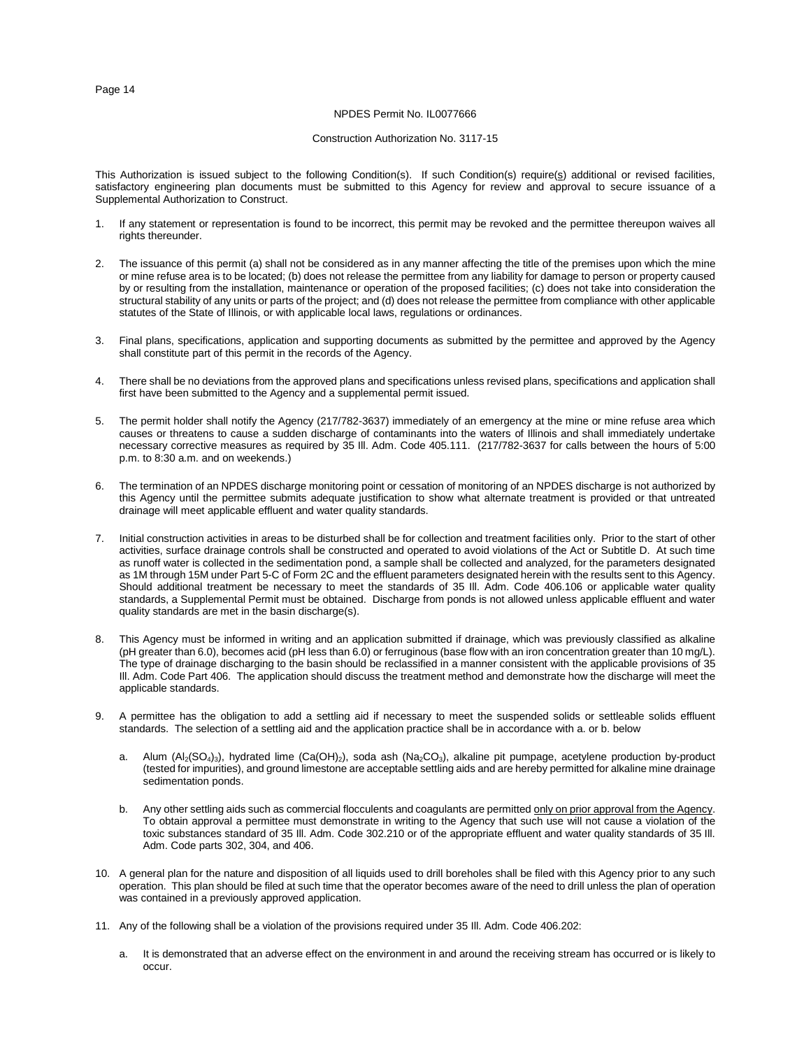#### NPDES Permit No. IL0077666

#### Construction Authorization No. 3117-15

This Authorization is issued subject to the following Condition(s). If such Condition(s) require( $\S$ ) additional or revised facilities, satisfactory engineering plan documents must be submitted to this Agency for review and approval to secure issuance of a Supplemental Authorization to Construct.

- 1. If any statement or representation is found to be incorrect, this permit may be revoked and the permittee thereupon waives all rights thereunder.
- 2. The issuance of this permit (a) shall not be considered as in any manner affecting the title of the premises upon which the mine or mine refuse area is to be located; (b) does not release the permittee from any liability for damage to person or property caused by or resulting from the installation, maintenance or operation of the proposed facilities; (c) does not take into consideration the structural stability of any units or parts of the project; and (d) does not release the permittee from compliance with other applicable statutes of the State of Illinois, or with applicable local laws, regulations or ordinances.
- 3. Final plans, specifications, application and supporting documents as submitted by the permittee and approved by the Agency shall constitute part of this permit in the records of the Agency.
- 4. There shall be no deviations from the approved plans and specifications unless revised plans, specifications and application shall first have been submitted to the Agency and a supplemental permit issued.
- 5. The permit holder shall notify the Agency (217/782-3637) immediately of an emergency at the mine or mine refuse area which causes or threatens to cause a sudden discharge of contaminants into the waters of Illinois and shall immediately undertake necessary corrective measures as required by 35 Ill. Adm. Code 405.111. (217/782-3637 for calls between the hours of 5:00 p.m. to 8:30 a.m. and on weekends.)
- The termination of an NPDES discharge monitoring point or cessation of monitoring of an NPDES discharge is not authorized by this Agency until the permittee submits adequate justification to show what alternate treatment is provided or that untreated drainage will meet applicable effluent and water quality standards.
- 7. Initial construction activities in areas to be disturbed shall be for collection and treatment facilities only. Prior to the start of other activities, surface drainage controls shall be constructed and operated to avoid violations of the Act or Subtitle D. At such time as runoff water is collected in the sedimentation pond, a sample shall be collected and analyzed, for the parameters designated as 1M through 15M under Part 5-C of Form 2C and the effluent parameters designated herein with the results sent to this Agency. Should additional treatment be necessary to meet the standards of 35 Ill. Adm. Code 406.106 or applicable water quality standards, a Supplemental Permit must be obtained. Discharge from ponds is not allowed unless applicable effluent and water quality standards are met in the basin discharge(s).
- This Agency must be informed in writing and an application submitted if drainage, which was previously classified as alkaline (pH greater than 6.0), becomes acid (pH less than 6.0) or ferruginous (base flow with an iron concentration greater than 10 mg/L). The type of drainage discharging to the basin should be reclassified in a manner consistent with the applicable provisions of 35 Ill. Adm. Code Part 406. The application should discuss the treatment method and demonstrate how the discharge will meet the applicable standards.
- 9. A permittee has the obligation to add a settling aid if necessary to meet the suspended solids or settleable solids effluent standards. The selection of a settling aid and the application practice shall be in accordance with a. or b. below
	- a. Alum (Al<sub>2</sub>(SO<sub>4</sub>)<sub>3</sub>), hydrated lime (Ca(OH)<sub>2</sub>), soda ash (Na<sub>2</sub>CO<sub>3</sub>), alkaline pit pumpage, acetylene production by-product (tested for impurities), and ground limestone are acceptable settling aids and are hereby permitted for alkaline mine drainage sedimentation ponds.
	- b. Any other settling aids such as commercial flocculents and coagulants are permitted only on prior approval from the Agency. To obtain approval a permittee must demonstrate in writing to the Agency that such use will not cause a violation of the toxic substances standard of 35 Ill. Adm. Code 302.210 or of the appropriate effluent and water quality standards of 35 Ill. Adm. Code parts 302, 304, and 406.
- 10. A general plan for the nature and disposition of all liquids used to drill boreholes shall be filed with this Agency prior to any such operation. This plan should be filed at such time that the operator becomes aware of the need to drill unless the plan of operation was contained in a previously approved application.
- 11. Any of the following shall be a violation of the provisions required under 35 Ill. Adm. Code 406.202:
	- a. It is demonstrated that an adverse effect on the environment in and around the receiving stream has occurred or is likely to occur.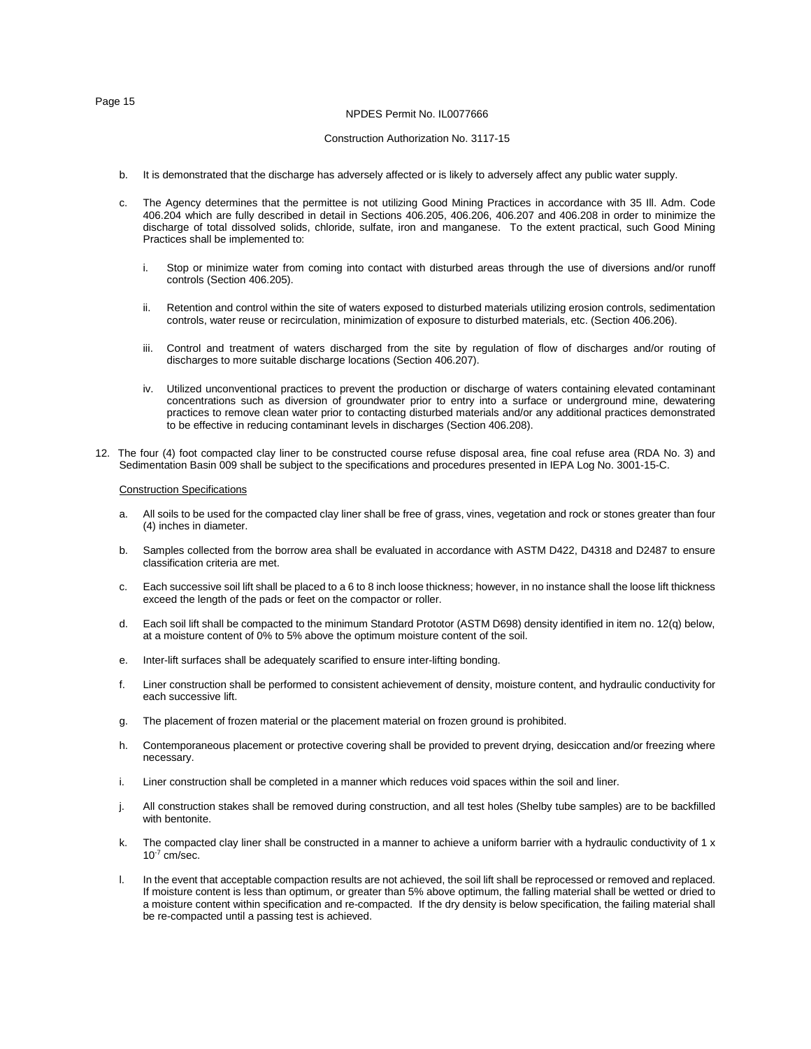# NPDES Permit No. IL0077666 Construction Authorization No. 3117-15

- b. It is demonstrated that the discharge has adversely affected or is likely to adversely affect any public water supply.
- c. The Agency determines that the permittee is not utilizing Good Mining Practices in accordance with 35 Ill. Adm. Code 406.204 which are fully described in detail in Sections 406.205, 406.206, 406.207 and 406.208 in order to minimize the discharge of total dissolved solids, chloride, sulfate, iron and manganese. To the extent practical, such Good Mining Practices shall be implemented to:
	- i. Stop or minimize water from coming into contact with disturbed areas through the use of diversions and/or runoff controls (Section 406.205).
	- ii. Retention and control within the site of waters exposed to disturbed materials utilizing erosion controls, sedimentation controls, water reuse or recirculation, minimization of exposure to disturbed materials, etc. (Section 406.206).
	- iii. Control and treatment of waters discharged from the site by regulation of flow of discharges and/or routing of discharges to more suitable discharge locations (Section 406.207).
	- iv. Utilized unconventional practices to prevent the production or discharge of waters containing elevated contaminant concentrations such as diversion of groundwater prior to entry into a surface or underground mine, dewatering practices to remove clean water prior to contacting disturbed materials and/or any additional practices demonstrated to be effective in reducing contaminant levels in discharges (Section 406.208).
- 12. The four (4) foot compacted clay liner to be constructed course refuse disposal area, fine coal refuse area (RDA No. 3) and Sedimentation Basin 009 shall be subject to the specifications and procedures presented in IEPA Log No. 3001-15-C.

# Construction Specifications

- a. All soils to be used for the compacted clay liner shall be free of grass, vines, vegetation and rock or stones greater than four (4) inches in diameter.
- b. Samples collected from the borrow area shall be evaluated in accordance with ASTM D422, D4318 and D2487 to ensure classification criteria are met.
- c. Each successive soil lift shall be placed to a 6 to 8 inch loose thickness; however, in no instance shall the loose lift thickness exceed the length of the pads or feet on the compactor or roller.
- d. Each soil lift shall be compacted to the minimum Standard Prototor (ASTM D698) density identified in item no. 12(q) below, at a moisture content of 0% to 5% above the optimum moisture content of the soil.
- e. Inter-lift surfaces shall be adequately scarified to ensure inter-lifting bonding.
- f. Liner construction shall be performed to consistent achievement of density, moisture content, and hydraulic conductivity for each successive lift.
- g. The placement of frozen material or the placement material on frozen ground is prohibited.
- h. Contemporaneous placement or protective covering shall be provided to prevent drying, desiccation and/or freezing where necessary.
- i. Liner construction shall be completed in a manner which reduces void spaces within the soil and liner.
- j. All construction stakes shall be removed during construction, and all test holes (Shelby tube samples) are to be backfilled with bentonite.
- k. The compacted clay liner shall be constructed in a manner to achieve a uniform barrier with a hydraulic conductivity of 1 x  $10^{-7}$  cm/sec.
- l. In the event that acceptable compaction results are not achieved, the soil lift shall be reprocessed or removed and replaced. If moisture content is less than optimum, or greater than 5% above optimum, the falling material shall be wetted or dried to a moisture content within specification and re-compacted. If the dry density is below specification, the failing material shall be re-compacted until a passing test is achieved.

Page 15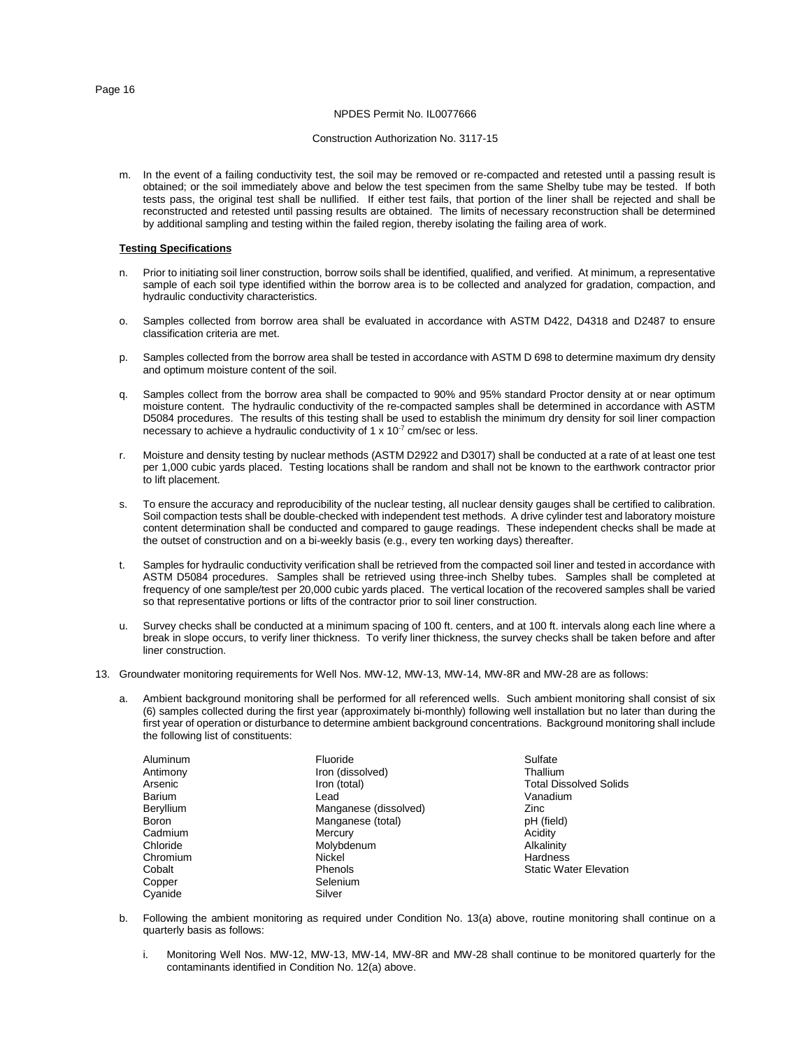# NPDES Permit No. IL0077666

# Construction Authorization No. 3117-15

m. In the event of a failing conductivity test, the soil may be removed or re-compacted and retested until a passing result is obtained; or the soil immediately above and below the test specimen from the same Shelby tube may be tested. If both tests pass, the original test shall be nullified. If either test fails, that portion of the liner shall be rejected and shall be reconstructed and retested until passing results are obtained. The limits of necessary reconstruction shall be determined by additional sampling and testing within the failed region, thereby isolating the failing area of work.

# **Testing Specifications**

- n. Prior to initiating soil liner construction, borrow soils shall be identified, qualified, and verified. At minimum, a representative sample of each soil type identified within the borrow area is to be collected and analyzed for gradation, compaction, and hydraulic conductivity characteristics.
- o. Samples collected from borrow area shall be evaluated in accordance with ASTM D422, D4318 and D2487 to ensure classification criteria are met.
- p. Samples collected from the borrow area shall be tested in accordance with ASTM D 698 to determine maximum dry density and optimum moisture content of the soil.
- q. Samples collect from the borrow area shall be compacted to 90% and 95% standard Proctor density at or near optimum moisture content. The hydraulic conductivity of the re-compacted samples shall be determined in accordance with ASTM D5084 procedures. The results of this testing shall be used to establish the minimum dry density for soil liner compaction necessary to achieve a hydraulic conductivity of 1 x  $10^{-7}$  cm/sec or less.
- r. Moisture and density testing by nuclear methods (ASTM D2922 and D3017) shall be conducted at a rate of at least one test per 1,000 cubic yards placed. Testing locations shall be random and shall not be known to the earthwork contractor prior to lift placement.
- s. To ensure the accuracy and reproducibility of the nuclear testing, all nuclear density gauges shall be certified to calibration. Soil compaction tests shall be double-checked with independent test methods. A drive cylinder test and laboratory moisture content determination shall be conducted and compared to gauge readings. These independent checks shall be made at the outset of construction and on a bi-weekly basis (e.g., every ten working days) thereafter.
- t. Samples for hydraulic conductivity verification shall be retrieved from the compacted soil liner and tested in accordance with ASTM D5084 procedures. Samples shall be retrieved using three-inch Shelby tubes. Samples shall be completed at frequency of one sample/test per 20,000 cubic yards placed. The vertical location of the recovered samples shall be varied so that representative portions or lifts of the contractor prior to soil liner construction.
- u. Survey checks shall be conducted at a minimum spacing of 100 ft. centers, and at 100 ft. intervals along each line where a break in slope occurs, to verify liner thickness. To verify liner thickness, the survey checks shall be taken before and after liner construction.
- 13. Groundwater monitoring requirements for Well Nos. MW-12, MW-13, MW-14, MW-8R and MW-28 are as follows:
	- Ambient background monitoring shall be performed for all referenced wells. Such ambient monitoring shall consist of six (6) samples collected during the first year (approximately bi-monthly) following well installation but no later than during the first year of operation or disturbance to determine ambient background concentrations. Background monitoring shall include the following list of constituents:

| Aluminum<br>Antimony<br>Arsenic<br>Barium<br>Beryllium<br><b>Boron</b><br>Cadmium<br>Chloride<br>Chromium<br>Cobalt<br>Copper | Fluoride<br>Iron (dissolved)<br>Iron (total)<br>Lead<br>Manganese (dissolved)<br>Manganese (total)<br>Mercury<br>Molybdenum<br>Nickel<br><b>Phenols</b><br>Selenium | Sulfate<br>Thallium<br><b>Total Dissolved Solids</b><br>Vanadium<br>Zinc<br>pH (field)<br>Acidity<br>Alkalinity<br><b>Hardness</b><br><b>Static Water Elevation</b> |
|-------------------------------------------------------------------------------------------------------------------------------|---------------------------------------------------------------------------------------------------------------------------------------------------------------------|---------------------------------------------------------------------------------------------------------------------------------------------------------------------|
| Cyanide                                                                                                                       | Silver                                                                                                                                                              |                                                                                                                                                                     |

- 
- b. Following the ambient monitoring as required under Condition No. 13(a) above, routine monitoring shall continue on a quarterly basis as follows:
	- i. Monitoring Well Nos. MW-12, MW-13, MW-14, MW-8R and MW-28 shall continue to be monitored quarterly for the contaminants identified in Condition No. 12(a) above.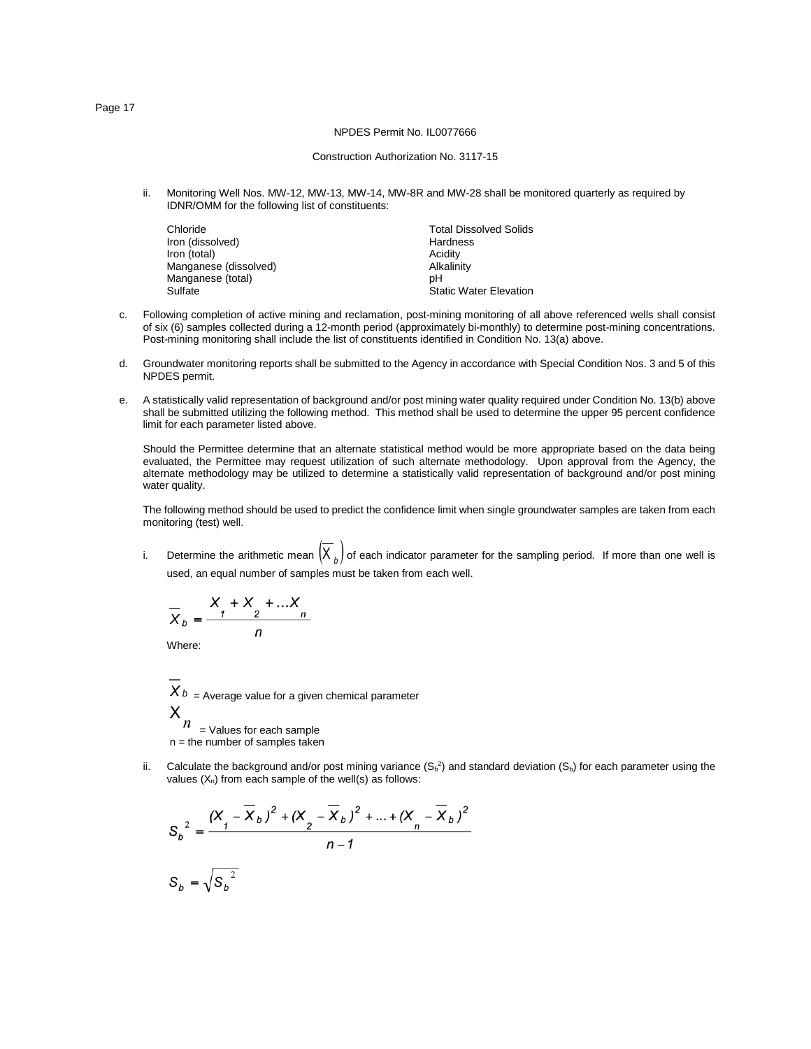#### Construction Authorization No. 3117-15

ii. Monitoring Well Nos. MW-12, MW-13, MW-14, MW-8R and MW-28 shall be monitored quarterly as required by IDNR/OMM for the following list of constituents:

| Chloride              | <b>Total Dissolved Solids</b> |
|-----------------------|-------------------------------|
| Iron (dissolved)      | Hardness                      |
| Iron (total)          | Acidity                       |
| Manganese (dissolved) | Alkalinity                    |
| Manganese (total)     | pН                            |
| Sulfate               | <b>Static Water Elevation</b> |

- c. Following completion of active mining and reclamation, post-mining monitoring of all above referenced wells shall consist of six (6) samples collected during a 12-month period (approximately bi-monthly) to determine post-mining concentrations. Post-mining monitoring shall include the list of constituents identified in Condition No. 13(a) above.
- d. Groundwater monitoring reports shall be submitted to the Agency in accordance with Special Condition Nos. 3 and 5 of this NPDES permit.
- e. A statistically valid representation of background and/or post mining water quality required under Condition No. 13(b) above shall be submitted utilizing the following method. This method shall be used to determine the upper 95 percent confidence limit for each parameter listed above.

Should the Permittee determine that an alternate statistical method would be more appropriate based on the data being evaluated, the Permittee may request utilization of such alternate methodology. Upon approval from the Agency, the alternate methodology may be utilized to determine a statistically valid representation of background and/or post mining water quality.

The following method should be used to predict the confidence limit when single groundwater samples are taken from each monitoring (test) well.

i. Determine the arithmetic mean  $(X_{b})$  of each indicator parameter for the sampling period. If more than one well is used, an equal number of samples must be taken from each well.

$$
\overline{X}_b = \frac{X_1 + X_2 + \dots X_n}{n}
$$

Where:

$$
X_b
$$
 = Average value for a given chemical parameter  
 $X_n$  = Volume for each sample

= Values for each sample  $n =$  the number of samples taken

ii. Calculate the background and/or post mining variance  $(S_b^2)$  and standard deviation  $(S_b)$  for each parameter using the values  $(X_n)$  from each sample of the well(s) as follows:

$$
S_b^2 = \frac{(X_f - \overline{X}_b)^2 + (X_g - \overline{X}_b)^2 + \dots + (X_n - \overline{X}_b)^2}{n - 1}
$$
  

$$
S_b = \sqrt{S_b^2}
$$

Page 17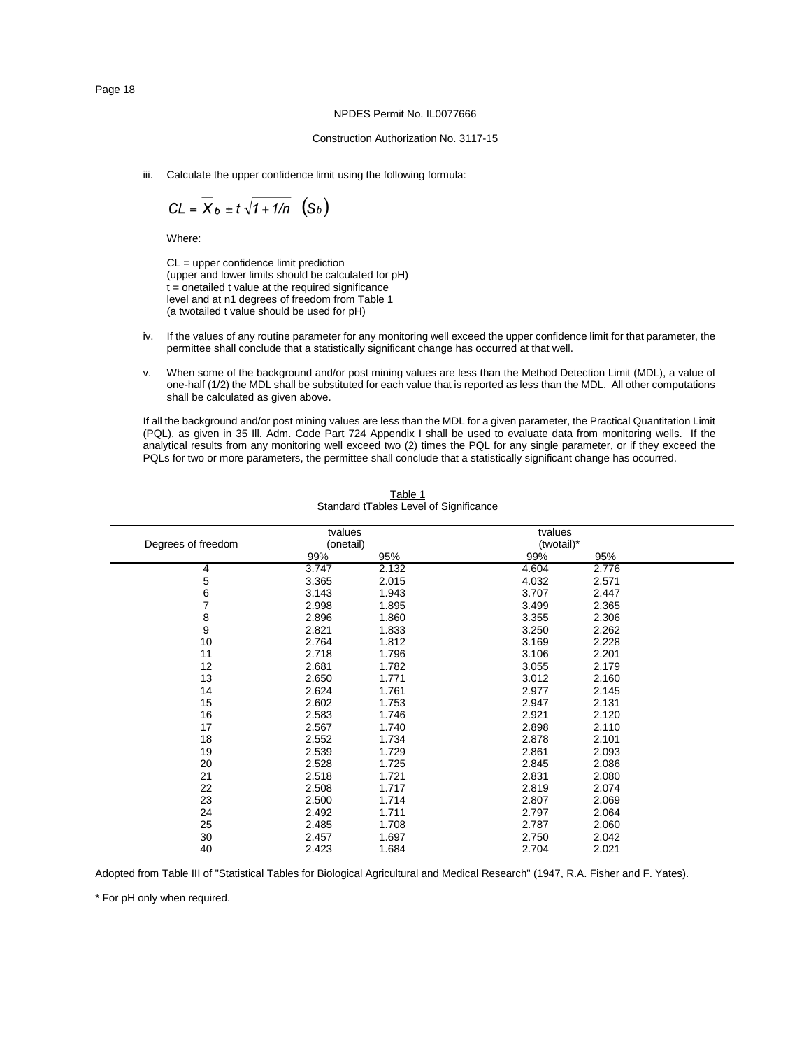# Construction Authorization No. 3117-15

iii. Calculate the upper confidence limit using the following formula:

$$
CL = \overline{X}_b \pm t \sqrt{1 + 1/n} \quad (S_b)
$$

Where:

CL = upper confidence limit prediction (upper and lower limits should be calculated for pH)  $t =$  onetailed  $t$  value at the required significance level and at n1 degrees of freedom from Table 1 (a twotailed t value should be used for pH)

- iv. If the values of any routine parameter for any monitoring well exceed the upper confidence limit for that parameter, the permittee shall conclude that a statistically significant change has occurred at that well.
- v. When some of the background and/or post mining values are less than the Method Detection Limit (MDL), a value of one-half (1/2) the MDL shall be substituted for each value that is reported as less than the MDL. All other computations shall be calculated as given above.

If all the background and/or post mining values are less than the MDL for a given parameter, the Practical Quantitation Limit (PQL), as given in 35 Ill. Adm. Code Part 724 Appendix I shall be used to evaluate data from monitoring wells. If the analytical results from any monitoring well exceed two (2) times the PQL for any single parameter, or if they exceed the PQLs for two or more parameters, the permittee shall conclude that a statistically significant change has occurred.

| Degrees of freedom | tvalues<br>(onetail) |       | tvalues<br>(twotail)* |       |  |
|--------------------|----------------------|-------|-----------------------|-------|--|
|                    | 99%                  | 95%   | 99%                   | 95%   |  |
| 4                  | 3.747                | 2.132 | 4.604                 | 2.776 |  |
| 5                  | 3.365                | 2.015 | 4.032                 | 2.571 |  |
| 6                  | 3.143                | 1.943 | 3.707                 | 2.447 |  |
| 7                  | 2.998                | 1.895 | 3.499                 | 2.365 |  |
| 8                  | 2.896                | 1.860 | 3.355                 | 2.306 |  |
| 9                  | 2.821                | 1.833 | 3.250                 | 2.262 |  |
| 10                 | 2.764                | 1.812 | 3.169                 | 2.228 |  |
| 11                 | 2.718                | 1.796 | 3.106                 | 2.201 |  |
| 12                 | 2.681                | 1.782 | 3.055                 | 2.179 |  |
| 13                 | 2.650                | 1.771 | 3.012                 | 2.160 |  |
| 14                 | 2.624                | 1.761 | 2.977                 | 2.145 |  |
| 15                 | 2.602                | 1.753 | 2.947                 | 2.131 |  |
| 16                 | 2.583                | 1.746 | 2.921                 | 2.120 |  |
| 17                 | 2.567                | 1.740 | 2.898                 | 2.110 |  |
| 18                 | 2.552                | 1.734 | 2.878                 | 2.101 |  |
| 19                 | 2.539                | 1.729 | 2.861                 | 2.093 |  |
| 20                 | 2.528                | 1.725 | 2.845                 | 2.086 |  |
| 21                 | 2.518                | 1.721 | 2.831                 | 2.080 |  |
| 22                 | 2.508                | 1.717 | 2.819                 | 2.074 |  |
| 23                 | 2.500                | 1.714 | 2.807                 | 2.069 |  |
| 24                 | 2.492                | 1.711 | 2.797                 | 2.064 |  |
| 25                 | 2.485                | 1.708 | 2.787                 | 2.060 |  |
| 30                 | 2.457                | 1.697 | 2.750                 | 2.042 |  |
| 40                 | 2.423                | 1.684 | 2.704                 | 2.021 |  |

Table 1 Standard tTables Level of Significance

Adopted from Table III of "Statistical Tables for Biological Agricultural and Medical Research" (1947, R.A. Fisher and F. Yates).

\* For pH only when required.

Page 18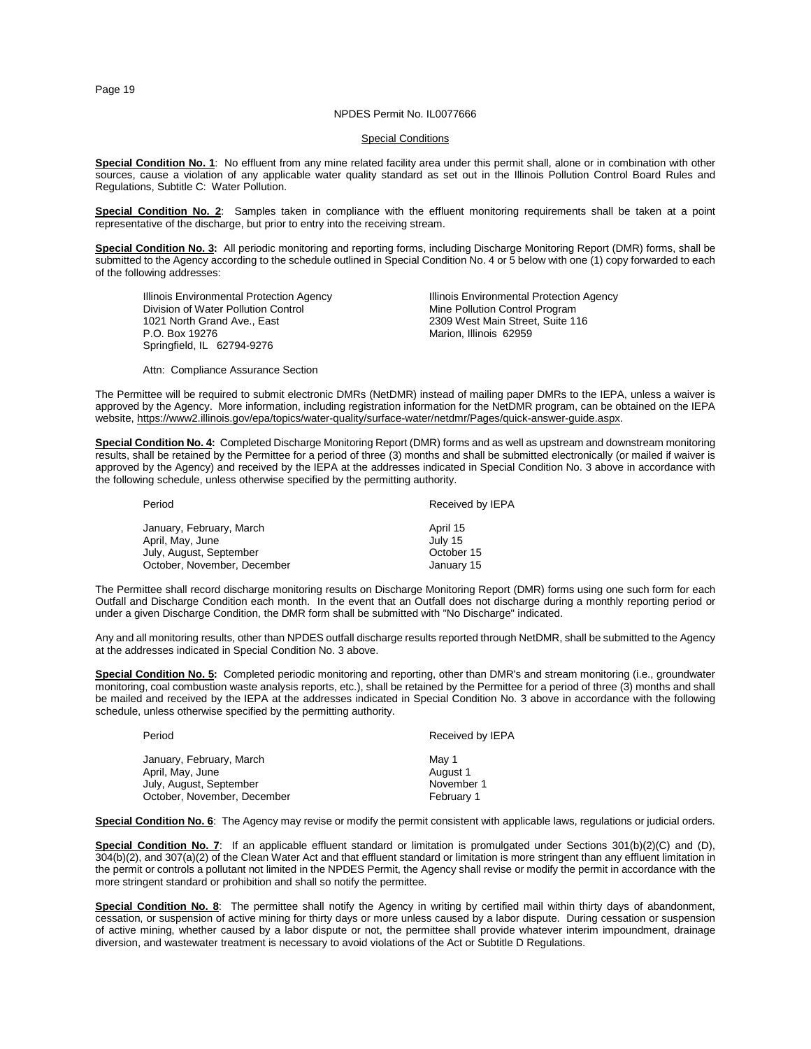#### NPDES Permit No. IL0077666

#### **Special Conditions**

**Special Condition No. 1**: No effluent from any mine related facility area under this permit shall, alone or in combination with other sources, cause a violation of any applicable water quality standard as set out in the Illinois Pollution Control Board Rules and Regulations, Subtitle C: Water Pollution.

**Special Condition No. 2**: Samples taken in compliance with the effluent monitoring requirements shall be taken at a point representative of the discharge, but prior to entry into the receiving stream.

**Special Condition No. 3:** All periodic monitoring and reporting forms, including Discharge Monitoring Report (DMR) forms, shall be submitted to the Agency according to the schedule outlined in Special Condition No. 4 or 5 below with one (1) copy forwarded to each of the following addresses:

Illinois Environmental Protection Agency<br>
Division of Water Pollution Control<br>
Mine Pollution Control Program 1021 North Grand Ave., East 2309 West Main Street, Suite 116<br>P.O. Box 19276<br>Marion. Illinois 62959 Springfield, IL 62794-9276

Mine Pollution Control Program Marion, Illinois 62959

Attn: Compliance Assurance Section

The Permittee will be required to submit electronic DMRs (NetDMR) instead of mailing paper DMRs to the IEPA, unless a waiver is approved by the Agency. More information, including registration information for the NetDMR program, can be obtained on the IEPA website, https://www2.illinois.gov/epa/topics/water-quality/surface-water/netdmr/Pages/quick-answer-guide.aspx.

**Special Condition No. 4:** Completed Discharge Monitoring Report (DMR) forms and as well as upstream and downstream monitoring results, shall be retained by the Permittee for a period of three (3) months and shall be submitted electronically (or mailed if waiver is approved by the Agency) and received by the IEPA at the addresses indicated in Special Condition No. 3 above in accordance with the following schedule, unless otherwise specified by the permitting authority.

| Period                      | Received by IEPA |
|-----------------------------|------------------|
| January, February, March    | April 15         |
| April, May, June            | July 15          |
| July, August, September     | October 15       |
| October, November, December | January 15       |

The Permittee shall record discharge monitoring results on Discharge Monitoring Report (DMR) forms using one such form for each Outfall and Discharge Condition each month. In the event that an Outfall does not discharge during a monthly reporting period or under a given Discharge Condition, the DMR form shall be submitted with "No Discharge" indicated.

Any and all monitoring results, other than NPDES outfall discharge results reported through NetDMR, shall be submitted to the Agency at the addresses indicated in Special Condition No. 3 above.

**Special Condition No. 5:** Completed periodic monitoring and reporting, other than DMR's and stream monitoring (i.e., groundwater monitoring, coal combustion waste analysis reports, etc.), shall be retained by the Permittee for a period of three (3) months and shall be mailed and received by the IEPA at the addresses indicated in Special Condition No. 3 above in accordance with the following schedule, unless otherwise specified by the permitting authority.

| Period                                       | Received by IEPA  |
|----------------------------------------------|-------------------|
| January, February, March<br>April, May, June | Mav 1<br>August 1 |
| July, August, September                      | November 1        |
| October, November, December                  | February 1        |

**Special Condition No. 6**: The Agency may revise or modify the permit consistent with applicable laws, regulations or judicial orders.

**Special Condition No. 7**: If an applicable effluent standard or limitation is promulgated under Sections 301(b)(2)(C) and (D), 304(b)(2), and 307(a)(2) of the Clean Water Act and that effluent standard or limitation is more stringent than any effluent limitation in the permit or controls a pollutant not limited in the NPDES Permit, the Agency shall revise or modify the permit in accordance with the more stringent standard or prohibition and shall so notify the permittee.

**Special Condition No. 8**: The permittee shall notify the Agency in writing by certified mail within thirty days of abandonment, cessation, or suspension of active mining for thirty days or more unless caused by a labor dispute. During cessation or suspension of active mining, whether caused by a labor dispute or not, the permittee shall provide whatever interim impoundment, drainage diversion, and wastewater treatment is necessary to avoid violations of the Act or Subtitle D Regulations.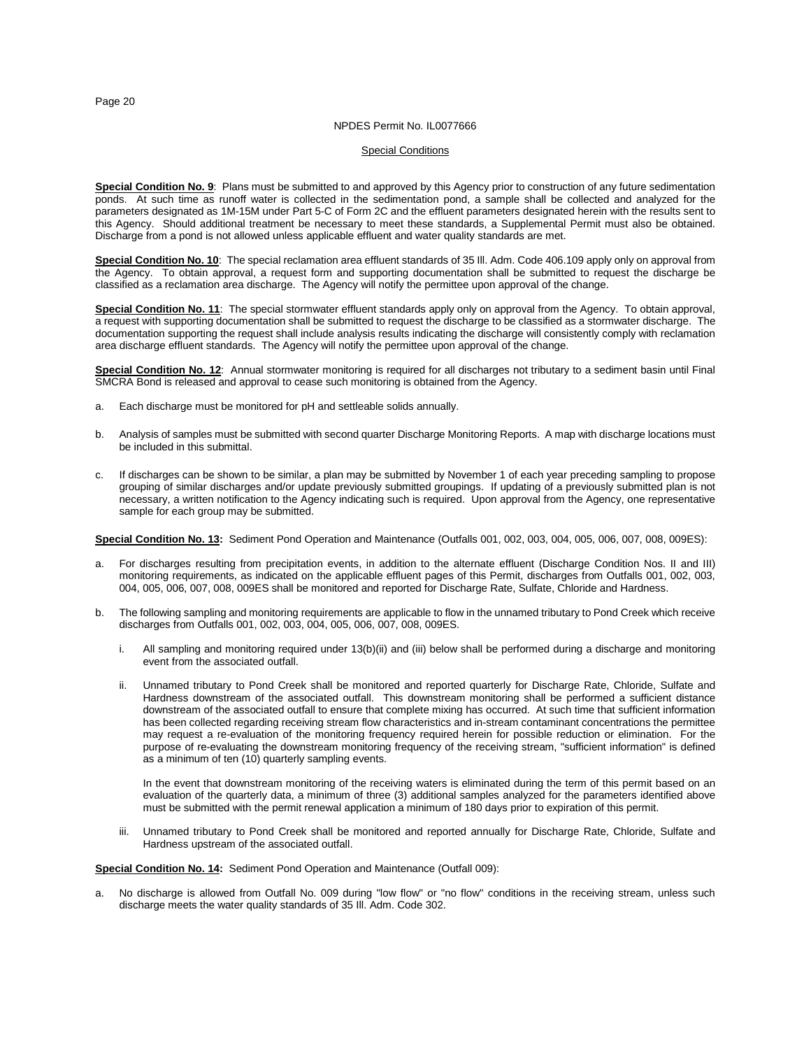#### NPDES Permit No. IL0077666

# Special Conditions

**Special Condition No. 9**: Plans must be submitted to and approved by this Agency prior to construction of any future sedimentation ponds. At such time as runoff water is collected in the sedimentation pond, a sample shall be collected and analyzed for the parameters designated as 1M-15M under Part 5-C of Form 2C and the effluent parameters designated herein with the results sent to this Agency. Should additional treatment be necessary to meet these standards, a Supplemental Permit must also be obtained. Discharge from a pond is not allowed unless applicable effluent and water quality standards are met.

**Special Condition No. 10**: The special reclamation area effluent standards of 35 Ill. Adm. Code 406.109 apply only on approval from the Agency. To obtain approval, a request form and supporting documentation shall be submitted to request the discharge be classified as a reclamation area discharge. The Agency will notify the permittee upon approval of the change.

**Special Condition No. 11**: The special stormwater effluent standards apply only on approval from the Agency. To obtain approval, a request with supporting documentation shall be submitted to request the discharge to be classified as a stormwater discharge. The documentation supporting the request shall include analysis results indicating the discharge will consistently comply with reclamation area discharge effluent standards. The Agency will notify the permittee upon approval of the change.

**Special Condition No. 12**: Annual stormwater monitoring is required for all discharges not tributary to a sediment basin until Final SMCRA Bond is released and approval to cease such monitoring is obtained from the Agency.

- a. Each discharge must be monitored for pH and settleable solids annually.
- b. Analysis of samples must be submitted with second quarter Discharge Monitoring Reports. A map with discharge locations must be included in this submittal.
- c. If discharges can be shown to be similar, a plan may be submitted by November 1 of each year preceding sampling to propose grouping of similar discharges and/or update previously submitted groupings. If updating of a previously submitted plan is not necessary, a written notification to the Agency indicating such is required. Upon approval from the Agency, one representative sample for each group may be submitted.

**Special Condition No. 13:** Sediment Pond Operation and Maintenance (Outfalls 001, 002, 003, 004, 005, 006, 007, 008, 009ES):

- a. For discharges resulting from precipitation events, in addition to the alternate effluent (Discharge Condition Nos. II and III) monitoring requirements, as indicated on the applicable effluent pages of this Permit, discharges from Outfalls 001, 002, 003, 004, 005, 006, 007, 008, 009ES shall be monitored and reported for Discharge Rate, Sulfate, Chloride and Hardness.
- The following sampling and monitoring requirements are applicable to flow in the unnamed tributary to Pond Creek which receive discharges from Outfalls 001, 002, 003, 004, 005, 006, 007, 008, 009ES.
	- i. All sampling and monitoring required under 13(b)(ii) and (iii) below shall be performed during a discharge and monitoring event from the associated outfall.
	- ii. Unnamed tributary to Pond Creek shall be monitored and reported quarterly for Discharge Rate, Chloride, Sulfate and Hardness downstream of the associated outfall. This downstream monitoring shall be performed a sufficient distance downstream of the associated outfall to ensure that complete mixing has occurred. At such time that sufficient information has been collected regarding receiving stream flow characteristics and in-stream contaminant concentrations the permittee may request a re-evaluation of the monitoring frequency required herein for possible reduction or elimination. For the purpose of re-evaluating the downstream monitoring frequency of the receiving stream, "sufficient information" is defined as a minimum of ten (10) quarterly sampling events.

In the event that downstream monitoring of the receiving waters is eliminated during the term of this permit based on an evaluation of the quarterly data, a minimum of three (3) additional samples analyzed for the parameters identified above must be submitted with the permit renewal application a minimum of 180 days prior to expiration of this permit.

iii. Unnamed tributary to Pond Creek shall be monitored and reported annually for Discharge Rate, Chloride, Sulfate and Hardness upstream of the associated outfall.

# **Special Condition No. 14:** Sediment Pond Operation and Maintenance (Outfall 009):

No discharge is allowed from Outfall No. 009 during "low flow" or "no flow" conditions in the receiving stream, unless such discharge meets the water quality standards of 35 Ill. Adm. Code 302.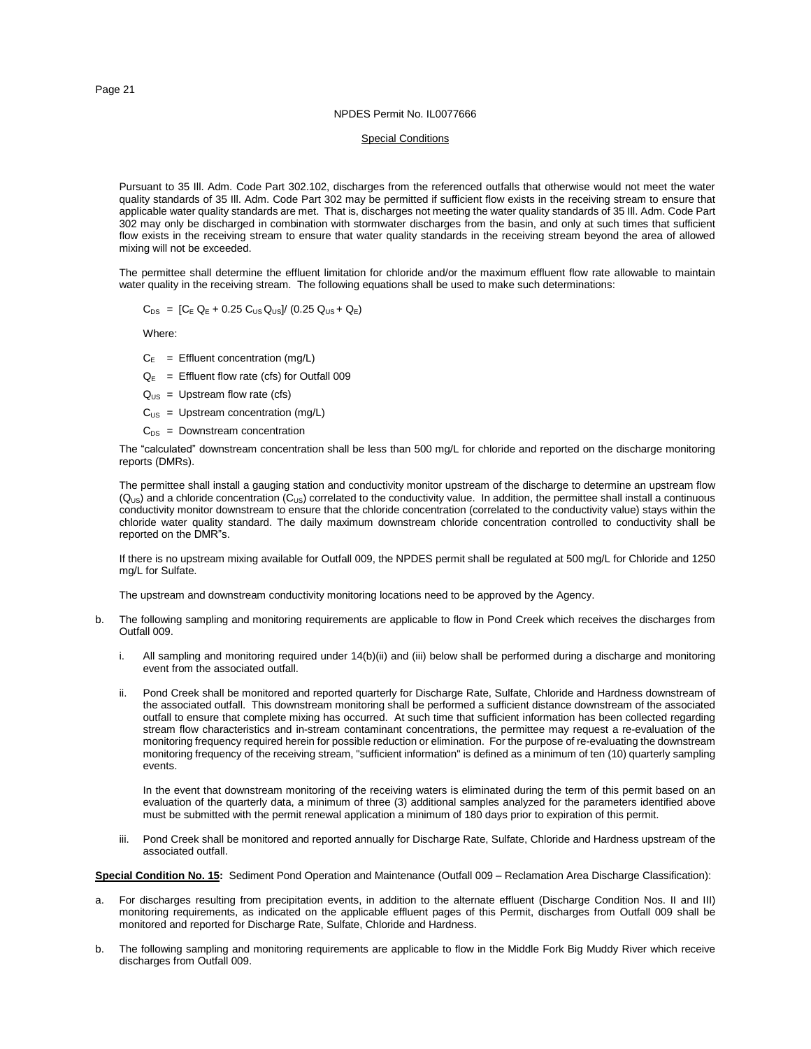#### NPDES Permit No. IL0077666

# **Special Conditions**

Pursuant to 35 Ill. Adm. Code Part 302.102, discharges from the referenced outfalls that otherwise would not meet the water quality standards of 35 Ill. Adm. Code Part 302 may be permitted if sufficient flow exists in the receiving stream to ensure that applicable water quality standards are met. That is, discharges not meeting the water quality standards of 35 Ill. Adm. Code Part 302 may only be discharged in combination with stormwater discharges from the basin, and only at such times that sufficient flow exists in the receiving stream to ensure that water quality standards in the receiving stream beyond the area of allowed mixing will not be exceeded.

The permittee shall determine the effluent limitation for chloride and/or the maximum effluent flow rate allowable to maintain water quality in the receiving stream. The following equations shall be used to make such determinations:

$$
C_{DS}
$$
 =  $[C_E Q_E + 0.25 C_{US} Q_{US}] / (0.25 Q_{US} + Q_E)$ 

Where:

- $C_E$  = Effluent concentration (mg/L)
- $Q_E$  = Effluent flow rate (cfs) for Outfall 009
- $Q<sub>US</sub> = Upstream flow rate (cfs)$
- $C_{US}$  = Upstream concentration (mg/L)
- $C_{DS}$  = Downstream concentration

The "calculated" downstream concentration shall be less than 500 mg/L for chloride and reported on the discharge monitoring reports (DMRs).

The permittee shall install a gauging station and conductivity monitor upstream of the discharge to determine an upstream flow  $(Q_{US})$  and a chloride concentration  $(C_{US})$  correlated to the conductivity value. In addition, the permittee shall install a continuous conductivity monitor downstream to ensure that the chloride concentration (correlated to the conductivity value) stays within the chloride water quality standard. The daily maximum downstream chloride concentration controlled to conductivity shall be reported on the DMR"s.

If there is no upstream mixing available for Outfall 009, the NPDES permit shall be regulated at 500 mg/L for Chloride and 1250 mg/L for Sulfate.

The upstream and downstream conductivity monitoring locations need to be approved by the Agency.

- b. The following sampling and monitoring requirements are applicable to flow in Pond Creek which receives the discharges from Outfall 009.
	- i. All sampling and monitoring required under 14(b)(ii) and (iii) below shall be performed during a discharge and monitoring event from the associated outfall.
	- ii. Pond Creek shall be monitored and reported quarterly for Discharge Rate, Sulfate, Chloride and Hardness downstream of the associated outfall. This downstream monitoring shall be performed a sufficient distance downstream of the associated outfall to ensure that complete mixing has occurred. At such time that sufficient information has been collected regarding stream flow characteristics and in-stream contaminant concentrations, the permittee may request a re-evaluation of the monitoring frequency required herein for possible reduction or elimination. For the purpose of re-evaluating the downstream monitoring frequency of the receiving stream, "sufficient information" is defined as a minimum of ten (10) quarterly sampling events.

In the event that downstream monitoring of the receiving waters is eliminated during the term of this permit based on an evaluation of the quarterly data, a minimum of three (3) additional samples analyzed for the parameters identified above must be submitted with the permit renewal application a minimum of 180 days prior to expiration of this permit.

iii. Pond Creek shall be monitored and reported annually for Discharge Rate, Sulfate, Chloride and Hardness upstream of the associated outfall.

**Special Condition No. 15:** Sediment Pond Operation and Maintenance (Outfall 009 – Reclamation Area Discharge Classification):

- a. For discharges resulting from precipitation events, in addition to the alternate effluent (Discharge Condition Nos. II and III) monitoring requirements, as indicated on the applicable effluent pages of this Permit, discharges from Outfall 009 shall be monitored and reported for Discharge Rate, Sulfate, Chloride and Hardness.
- b. The following sampling and monitoring requirements are applicable to flow in the Middle Fork Big Muddy River which receive discharges from Outfall 009.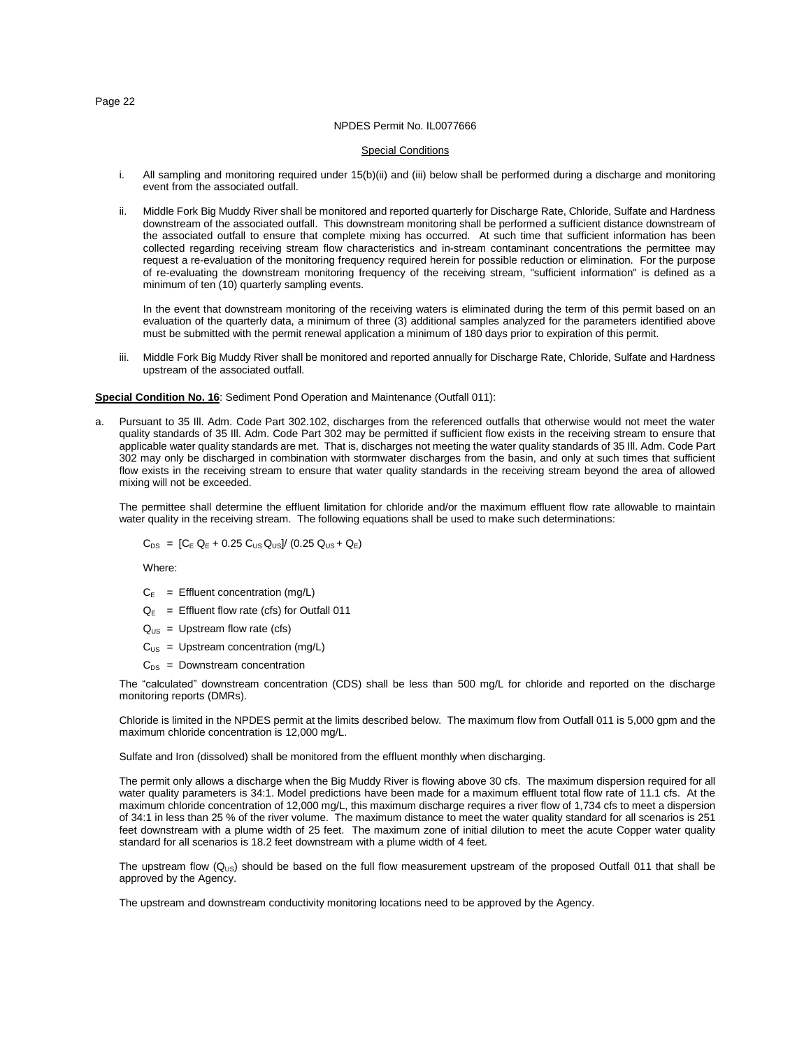#### NPDES Permit No. IL0077666

# Special Conditions

- i. All sampling and monitoring required under 15(b)(ii) and (iii) below shall be performed during a discharge and monitoring event from the associated outfall.
- ii. Middle Fork Big Muddy River shall be monitored and reported quarterly for Discharge Rate, Chloride, Sulfate and Hardness downstream of the associated outfall. This downstream monitoring shall be performed a sufficient distance downstream of the associated outfall to ensure that complete mixing has occurred. At such time that sufficient information has been collected regarding receiving stream flow characteristics and in-stream contaminant concentrations the permittee may request a re-evaluation of the monitoring frequency required herein for possible reduction or elimination. For the purpose of re-evaluating the downstream monitoring frequency of the receiving stream, "sufficient information" is defined as a minimum of ten (10) quarterly sampling events.

In the event that downstream monitoring of the receiving waters is eliminated during the term of this permit based on an evaluation of the quarterly data, a minimum of three (3) additional samples analyzed for the parameters identified above must be submitted with the permit renewal application a minimum of 180 days prior to expiration of this permit.

iii. Middle Fork Big Muddy River shall be monitored and reported annually for Discharge Rate, Chloride, Sulfate and Hardness upstream of the associated outfall.

#### **Special Condition No. 16**: Sediment Pond Operation and Maintenance (Outfall 011):

a. Pursuant to 35 Ill. Adm. Code Part 302.102, discharges from the referenced outfalls that otherwise would not meet the water quality standards of 35 Ill. Adm. Code Part 302 may be permitted if sufficient flow exists in the receiving stream to ensure that applicable water quality standards are met. That is, discharges not meeting the water quality standards of 35 Ill. Adm. Code Part 302 may only be discharged in combination with stormwater discharges from the basin, and only at such times that sufficient flow exists in the receiving stream to ensure that water quality standards in the receiving stream beyond the area of allowed mixing will not be exceeded.

The permittee shall determine the effluent limitation for chloride and/or the maximum effluent flow rate allowable to maintain water quality in the receiving stream. The following equations shall be used to make such determinations:

 $C_{DS} = [C_E Q_E + 0.25 C_{US} Q_{US}] / (0.25 Q_{US} + Q_E)$ 

Where:

- $C_E$  = Effluent concentration (mg/L)
- $Q_E$  = Effluent flow rate (cfs) for Outfall 011
- $Q<sub>US</sub>$  = Upstream flow rate (cfs)
- $C<sub>US</sub>$  = Upstream concentration (mg/L)
- $C_{DS}$  = Downstream concentration

The "calculated" downstream concentration (CDS) shall be less than 500 mg/L for chloride and reported on the discharge monitoring reports (DMRs).

Chloride is limited in the NPDES permit at the limits described below. The maximum flow from Outfall 011 is 5,000 gpm and the maximum chloride concentration is 12,000 mg/L.

Sulfate and Iron (dissolved) shall be monitored from the effluent monthly when discharging.

The permit only allows a discharge when the Big Muddy River is flowing above 30 cfs. The maximum dispersion required for all water quality parameters is 34:1. Model predictions have been made for a maximum effluent total flow rate of 11.1 cfs. At the maximum chloride concentration of 12,000 mg/L, this maximum discharge requires a river flow of 1,734 cfs to meet a dispersion of 34:1 in less than 25 % of the river volume. The maximum distance to meet the water quality standard for all scenarios is 251 feet downstream with a plume width of 25 feet. The maximum zone of initial dilution to meet the acute Copper water quality standard for all scenarios is 18.2 feet downstream with a plume width of 4 feet.

The upstream flow  $(Q_{US})$  should be based on the full flow measurement upstream of the proposed Outfall 011 that shall be approved by the Agency.

The upstream and downstream conductivity monitoring locations need to be approved by the Agency.